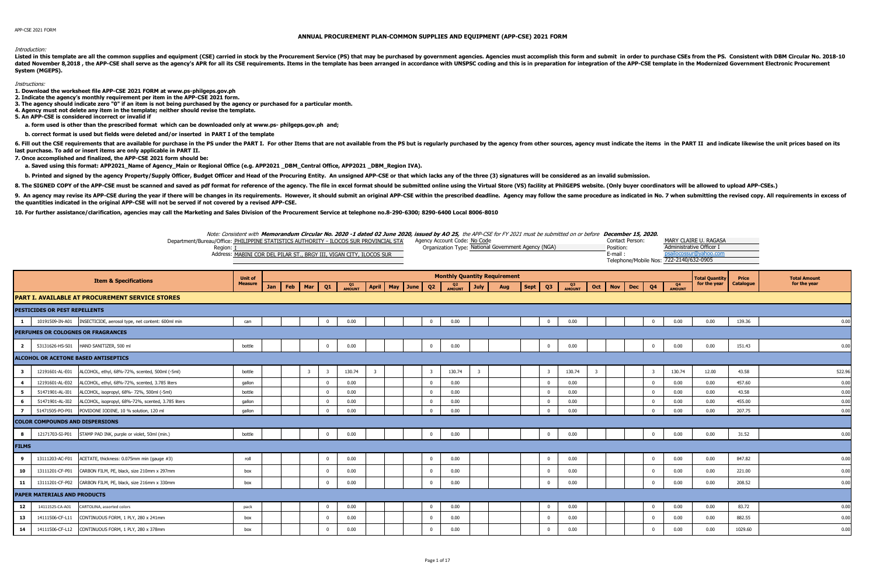## **ANNUAL PROCUREMENT PLAN-COMMON SUPPLIES AND EQUIPMENT (APP-CSE) 2021 FORM**

## Introduction:

Listed in this template are all the common supplies and equipment (CSE) carried in stock by the Procurement Service (PS) that may be purchased by government agencies. Agencies must accomplish this form and submit in order dated November 8,2018, the APP-CSE shall serve as the agency's APR for all its CSE requirements. Items in the template has been arranged in accordance with UNSPSC coding and this is in preparation for integration of the AP **System (MGEPS).** 

## Instructions:

**1. Download the worksheet file APP-CSE 2021 FORM at www.ps-philgeps.gov.ph**

- **2. Indicate the agency's monthly requirement per item in the APP-CSE 2021 form.**
- **3. The agency should indicate zero "0" if an item is not being purchased by the agency or purchased for a particular month.**
- **4. Agency must not delete any item in the template; neither should revise the template.**
- **5. An APP-CSE is considered incorrect or invalid if**
- **a. form used is other than the prescribed format which can be downloaded only at www.ps- philgeps.gov.ph and;**

 **b. correct format is used but fields were deleted and/or inserted in PART I of the template** 

6. Fill out the CSE requirements that are available for purchase in the PS under the PS under the PS under the PART I. For other Items that are not available from the PS but is regularly purchased by the agency from other **last purchase. To add or insert items are only applicable in PART II.**

**7. Once accomplished and finalized, the APP-CSE 2021 form should be:**

 **a. Saved using this format: APP2021\_Name of Agency\_Main or Regional Office (e.g. APP2021 \_DBM\_Central Office, APP2021 \_DBM\_Region IVA).** 

b. Printed and signed by the agency Property/Supply Officer, Budget Officer and Head of the Procuring Entity. An unsigned APP-CSE or that which lacks any of the three (3) signatures will be considered as an invalid submiss

8. The SIGNED COPY of the APP-CSE must be scanned and saved as pdf format for reference of the agency. The file in excel format should be submitted online using the Virtual Store (VS) facility at PhilGEPS website. (Only bu

9. An agency may revise its APP-CSE during the year if there will be changes in its requirements. However, it should submit an original APP-CSE within the prescribed deadline. Agency may follow the same procedure as indica **the quantities indicated in the original APP-CSE will not be served if not covered by a revised APP-CSE.**

**10. For further assistance/clarification, agencies may call the Marketing and Sales Division of the Procurement Service at telephone no.8-290-6300; 8290-6400 Local 8006-8010**

Note: Consistent with **Memorandum Circular No. 2020 -1 dated 02 June 2020, issued by AO 25,** the APP-CSE for FY 2021 must be submitted on or before **December 15, 2020.**

| Department/Bureau/Office: PHILIPPINE STATISTICS AUTHORITY - ILOCOS SUR PROVINCIAL STA | Agency Account Code: No Code                        | Contact Person:                         | MARY CLAIRE U. RAGASA    |
|---------------------------------------------------------------------------------------|-----------------------------------------------------|-----------------------------------------|--------------------------|
| Region:                                                                               | Organization Type: National Government Agency (NGA) | Position:                               | Administrative Officer I |
| Address: MABINI COR DEL PILAR ST., BRGY III, VIGAN CITY, ILOCOS SUR                   |                                                     | E-mail                                  | ., @vanoo.com            |
|                                                                                       |                                                     | Telephone/Mobile Nos: 722-2140/632-0905 |                          |

|                         | <b>Item &amp; Specifications</b>                                      | <b>Unit of</b> |     |                         |              |              |                         |  |                |                          |             | <b>Monthly Quantity Requirement</b> |      |                         |              |                         |                          |            |                          | <b>Total Quantity</b> | Price     | <b>Total Amount</b> |
|-------------------------|-----------------------------------------------------------------------|----------------|-----|-------------------------|--------------|--------------|-------------------------|--|----------------|--------------------------|-------------|-------------------------------------|------|-------------------------|--------------|-------------------------|--------------------------|------------|--------------------------|-----------------------|-----------|---------------------|
|                         |                                                                       | <b>Measure</b> | Jan | Feb   Mar               | Q1           | Q1<br>AMOUNT | April   May   June      |  | Q2             | Q <sub>2</sub><br>AMOUNT | <b>July</b> | Aug                                 | Sept | Q <sub>3</sub>          | Q3<br>AMOUNT | $Oct \vert$             | <b>Nov</b><br><b>Dec</b> | Q4         | Q <sub>4</sub><br>AMOUNT | for the year          | Catalogue | for the year        |
|                         | PART I. AVAILABLE AT PROCUREMENT SERVICE STORES                       |                |     |                         |              |              |                         |  |                |                          |             |                                     |      |                         |              |                         |                          |            |                          |                       |           |                     |
|                         | <b>PESTICIDES OR PEST REPELLENTS</b>                                  |                |     |                         |              |              |                         |  |                |                          |             |                                     |      |                         |              |                         |                          |            |                          |                       |           |                     |
| $\mathbf{1}$            | 10191509-IN-A01    INSECTICIDE, aerosol type, net content: 600ml min  | can            |     |                         |              | 0.00         |                         |  |                | 0.00                     |             |                                     |      | $\Omega$                | 0.00         |                         |                          |            | 0.00                     | 0.00                  | 139.36    | 0.00                |
|                         | PERFUMES OR COLOGNES OR FRAGRANCES                                    |                |     |                         |              |              |                         |  |                |                          |             |                                     |      |                         |              |                         |                          |            |                          |                       |           |                     |
| $\overline{\mathbf{2}}$ | HAND SANITIZER, 500 ml<br>53131626-HS-S01                             | bottle         |     |                         | $\Omega$     | 0.00         |                         |  | $\Omega$       | 0.00                     |             |                                     |      | $\mathbf{0}$            | 0.00         |                         |                          |            | 0.00                     | 0.00                  | 151.43    | 0.00                |
|                         | ALCOHOL OR ACETONE BASED ANTISEPTICS                                  |                |     |                         |              |              |                         |  |                |                          |             |                                     |      |                         |              |                         |                          |            |                          |                       |           |                     |
| $\overline{\mathbf{3}}$ | ALCOHOL, ethyl, 68%-72%, scented, 500ml (-5ml)<br>12191601-AL-E01     | bottle         |     | $\overline{\mathbf{3}}$ | -3           | 130.74       | $\overline{\mathbf{3}}$ |  | $\overline{3}$ | 130.74                   | 3           |                                     |      | $\overline{\mathbf{3}}$ | 130.74       | $\overline{\mathbf{3}}$ |                          |            | 130.74                   | 12.00                 | 43.58     | 522.96              |
| $\overline{4}$          | ALCOHOL, ethyl, 68%-72%, scented, 3.785 liters<br>12191601-AL-E02     | qallon         |     |                         |              | 0.00         |                         |  | $\Omega$       | 0.00                     |             |                                     |      | $\Omega$                | 0.00         |                         |                          |            | 0.00                     | 0.00                  | 457.60    | 0.00                |
| 5                       | ALCOHOL, isopropyl, 68%- 72%, 500ml (-5ml)<br>51471901-AL-I01         | bottle         |     |                         |              | 0.00         |                         |  |                | 0.00                     |             |                                     |      | $\Omega$                | 0.00         |                         |                          |            | 0.00                     | 0.00                  | 43.58     | 0.00                |
| 6                       | ALCOHOL, isopropyl, 68%-72%, scented, 3.785 liters<br>51471901-AL-I02 | gallon         |     |                         |              | 0.00         |                         |  |                | 0.00                     |             |                                     |      | $\Omega$                | 0.00         |                         |                          |            | 0.00                     | 0.00                  | 455.00    | 0.00                |
| $\overline{z}$          | 51471505-PO-P01 POVIDONE IODINE, 10 % solution, 120 ml                | gallon         |     |                         |              | 0.00         |                         |  |                | 0.00                     |             |                                     |      | $\Omega$                | 0.00         |                         |                          |            | 0.00                     | 0.00                  | 207.75    | 0.00                |
|                         | <b>COLOR COMPOUNDS AND DISPERSIONS</b>                                |                |     |                         |              |              |                         |  |                |                          |             |                                     |      |                         |              |                         |                          |            |                          |                       |           |                     |
| 8                       | 12171703-SI-P01 STAMP PAD INK, purple or violet, 50ml (min.)          | bottle         |     |                         | $\mathbf{0}$ | 0.00         |                         |  | $\mathbf{0}$   | 0.00                     |             |                                     |      | $\overline{0}$          | 0.00         |                         |                          | $\Omega$   | 0.00                     | 0.00                  | 31.52     | 0.00                |
| <b>FILMS</b>            |                                                                       |                |     |                         |              |              |                         |  |                |                          |             |                                     |      |                         |              |                         |                          |            |                          |                       |           |                     |
| 9                       | ACETATE, thickness: 0.075mm min (gauge #3)<br>13111203-AC-F01         | roll           |     |                         | $\mathbf{0}$ | 0.00         |                         |  | $\mathbf{0}$   | 0.00                     |             |                                     |      | $\mathbf{0}$            | 0.00         |                         |                          | $^{\circ}$ | 0.00                     | 0.00                  | 847.82    | 0.00                |
| 10                      | CARBON FILM, PE, black, size 210mm x 297mm<br>13111201-CF-P01         | box            |     |                         |              | 0.00         |                         |  |                | 0.00                     |             |                                     |      | $\Omega$                | 0.00         |                         |                          |            | 0.00                     | 0.00                  | 221.00    | 0.00                |
| 11                      | 13111201-CF-P02<br>CARBON FILM, PE, black, size 216mm x 330mm         | box            |     |                         |              | 0.00         |                         |  | $\Omega$       | 0.00                     |             |                                     |      | $\Omega$                | 0.00         |                         |                          |            | 0.00                     | 0.00                  | 208.52    | 0.00                |
|                         | <b>PAPER MATERIALS AND PRODUCTS</b>                                   |                |     |                         |              |              |                         |  |                |                          |             |                                     |      |                         |              |                         |                          |            |                          |                       |           |                     |
| 12                      | 14111525-CA-A01<br>CARTOLINA, assorted colors                         | pack           |     |                         |              | 0.00         |                         |  |                | 0.00                     |             |                                     |      | $\mathbf{0}$            | 0.00         |                         |                          |            | 0.00                     | 0.00                  | 83.72     | 0.00                |
| 13                      | CONTINUOUS FORM, 1 PLY, 280 x 241mm<br>14111506-CF-L11                | box            |     |                         |              | 0.00         |                         |  |                | 0.00                     |             |                                     |      | $\Omega$                | 0.00         |                         |                          |            | 0.00                     | 0.00                  | 882.55    | 0.00                |
| 14                      | 14111506-CF-L12 CONTINUOUS FORM, 1 PLY, 280 x 378mm                   | box            |     |                         |              | 0.00         |                         |  | $\Omega$       | 0.00                     |             |                                     |      | $\Omega$                | 0.00         |                         |                          |            | 0.00                     | 0.00                  | 1029.60   | 0.00                |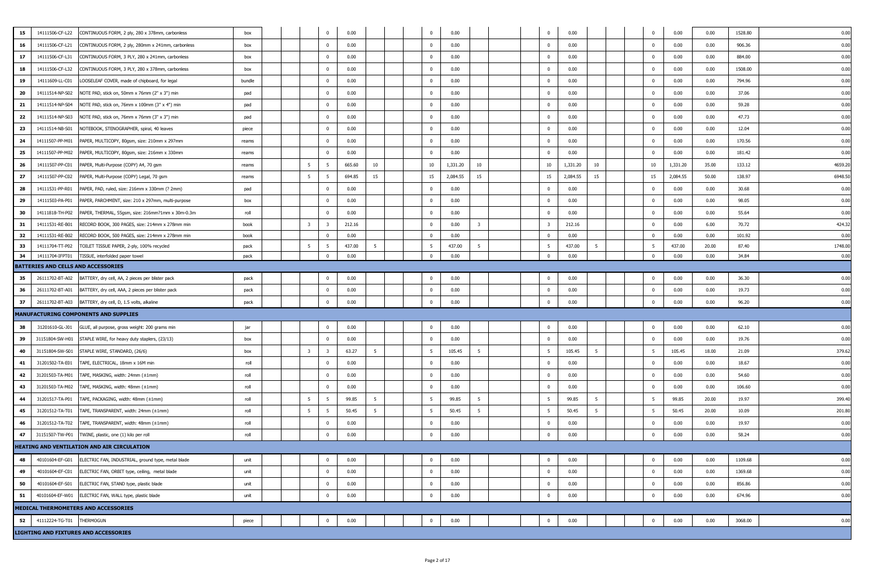| 15 | 14111506-CF-L22                                                                                                                                                                                                                                  | CONTINUOUS FORM, 2 ply, 280 x 378mm, carbonless               | box    |  |  |                         |              | 0.00   |    |  |  | $^{\circ}$   | 0.00     |                         |  | $\mathbf{0}$             | 0.00     |    | 0            | 0.00     | 0.00  | 1528.80 | 0.00   |
|----|--------------------------------------------------------------------------------------------------------------------------------------------------------------------------------------------------------------------------------------------------|---------------------------------------------------------------|--------|--|--|-------------------------|--------------|--------|----|--|--|--------------|----------|-------------------------|--|--------------------------|----------|----|--------------|----------|-------|---------|--------|
| 16 | 14111506-CF-L21                                                                                                                                                                                                                                  | CONTINUOUS FORM, 2 ply, 280mm x 241mm, carbonless             | box    |  |  |                         |              | 0.00   |    |  |  | $\mathbf{0}$ | 0.00     |                         |  | $\Omega$                 | 0.00     |    | $^{\circ}$   | 0.00     | 0.00  | 906.36  | 0.00   |
| 17 | 14111506-CF-L31                                                                                                                                                                                                                                  | CONTINUOUS FORM, 3 PLY, 280 x 241mm, carbonless               | box    |  |  |                         | $\Omega$     | 0.00   |    |  |  | $\bf{0}$     | 0.00     |                         |  | $\overline{\phantom{0}}$ | 0.00     |    | $\mathbf 0$  | 0.00     | 0.00  | 884.00  | 0.00   |
| 18 | 14111506-CF-L32                                                                                                                                                                                                                                  | CONTINUOUS FORM, 3 PLY, 280 x 378mm, carbonless               | box    |  |  |                         | $\Omega$     | 0.00   |    |  |  | $\mathbf{0}$ | 0.00     |                         |  | $\overline{\mathbf{0}}$  | 0.00     |    | $\mathbf 0$  | 0.00     | 0.00  | 1508.00 | 0.00   |
| 19 | 14111609-LL-C01                                                                                                                                                                                                                                  | LOOSELEAF COVER, made of chipboard, for legal                 | bundle |  |  |                         | $\Omega$     | 0.00   |    |  |  | $\bf{0}$     | 0.00     |                         |  | $\overline{\mathbf{0}}$  | 0.00     |    | $\mathbf{0}$ | 0.00     | 0.00  | 794.96  | 0.00   |
| 20 | 14111514-NP-S02                                                                                                                                                                                                                                  | NOTE PAD, stick on, 50mm x 76mm (2" x 3") min                 | pad    |  |  |                         | $\Omega$     | 0.00   |    |  |  | $\bf{0}$     | 0.00     |                         |  | $\overline{\phantom{0}}$ | 0.00     |    | $\mathbf 0$  | 0.00     | 0.00  | 37.06   | 0.00   |
| 21 | 14111514-NP-S04                                                                                                                                                                                                                                  | NOTE PAD, stick on, 76mm x 100mm (3" x 4") min                | pad    |  |  |                         | $\Omega$     | 0.00   |    |  |  | $\bf{0}$     | 0.00     |                         |  | $\overline{\mathbf{0}}$  | 0.00     |    | $\mathbf 0$  | 0.00     | 0.00  | 59.28   | 0.00   |
| 22 | 14111514-NP-S03                                                                                                                                                                                                                                  | NOTE PAD, stick on, 76mm x 76mm (3" x 3") min                 | pad    |  |  |                         | $\Omega$     | 0.00   |    |  |  | $\mathbf{0}$ | 0.00     |                         |  | $\overline{\mathbf{0}}$  | 0.00     |    | $\mathbf{0}$ | 0.00     | 0.00  | 47.73   | 0.00   |
| 23 | 14111514-NB-S01                                                                                                                                                                                                                                  | NOTEBOOK, STENOGRAPHER, spiral, 40 leaves                     | piece  |  |  |                         | $\Omega$     | 0.00   |    |  |  | $\mathbf{0}$ | 0.00     |                         |  | $\overline{\phantom{0}}$ | 0.00     |    | $^{\circ}$   | 0.00     | 0.00  | 12.04   | 0.00   |
| 24 | 14111507-PP-M01                                                                                                                                                                                                                                  | PAPER, MULTICOPY, 80gsm, size: 210mm x 297mm                  | reams  |  |  |                         | $\Omega$     | 0.00   |    |  |  | $\bf{0}$     | 0.00     |                         |  | $\overline{\phantom{0}}$ | 0.00     |    | $\mathbf{0}$ | 0.00     | 0.00  | 170.56  | 0.00   |
| 25 | 14111507-PP-M02                                                                                                                                                                                                                                  | PAPER, MULTICOPY, 80gsm, size: 216mm x 330mm                  | reams  |  |  |                         | $\Omega$     | 0.00   |    |  |  | $\mathbf{0}$ | 0.00     |                         |  | $\overline{\mathbf{0}}$  | 0.00     |    | $\mathbf{0}$ | 0.00     | 0.00  | 181.42  | 0.00   |
| 26 | 14111507-PP-C01                                                                                                                                                                                                                                  | PAPER, Multi-Purpose (COPY) A4, 70 gsm                        | reams  |  |  | 5                       | -5           | 665.60 | 10 |  |  | 10           | 1,331.20 | 10                      |  | 10                       | 1,331.20 | 10 | 10           | 1,331.20 | 35.00 | 133.12  | 4659.2 |
| 27 | 14111507-PP-C02                                                                                                                                                                                                                                  | PAPER, Multi-Purpose (COPY) Legal, 70 gsm                     | reams  |  |  | 5                       |              | 694.85 | 15 |  |  | 15           | 2,084.55 | 15                      |  | 15                       | 2,084.55 | 15 | 15           | 2,084.55 | 50.00 | 138.97  | 6948.5 |
| 28 | 14111531-PP-R01                                                                                                                                                                                                                                  | PAPER, PAD, ruled, size: 216mm x 330mm (? 2mm)                | pad    |  |  |                         |              | 0.00   |    |  |  | $\mathbf{0}$ | 0.00     |                         |  | $\overline{\mathbf{0}}$  | 0.00     |    | $\mathbf 0$  | 0.00     | 0.00  | 30.68   | 0.00   |
| 29 | 14111503-PA-P01                                                                                                                                                                                                                                  | PAPER, PARCHMENT, size: 210 x 297mm, multi-purpose            | box    |  |  |                         | $\Omega$     | 0.00   |    |  |  | $\bf{0}$     | 0.00     |                         |  | $\overline{\mathbf{0}}$  | 0.00     |    | $\mathbf{0}$ | 0.00     | 0.00  | 98.05   | 0.00   |
| 30 | 14111818-TH-P02                                                                                                                                                                                                                                  | PAPER, THERMAL, 55gsm, size: 216mm?1mm x 30m-0.3m             | roll   |  |  |                         |              | 0.00   |    |  |  | $\bf{0}$     | 0.00     |                         |  | $\overline{\mathbf{0}}$  | 0.00     |    | $^{\circ}$   | 0.00     | 0.00  | 55.64   | 0.00   |
| 31 | 14111531-RE-B01                                                                                                                                                                                                                                  | RECORD BOOK, 300 PAGES, size: 214mm x 278mm min               | book   |  |  | $\overline{\mathbf{3}}$ |              | 212.16 |    |  |  | $\mathbf{0}$ | 0.00     | $\overline{\mathbf{3}}$ |  | $\overline{\mathbf{3}}$  | 212.16   |    | $^{\circ}$   | 0.00     | 6.00  | 70.72   | 424.3  |
| 32 | 14111531-RE-B02                                                                                                                                                                                                                                  | RECORD BOOK, 500 PAGES, size: 214mm x 278mm min               | book   |  |  |                         |              | 0.00   |    |  |  | $\bf{0}$     | 0.00     |                         |  | $\overline{\phantom{0}}$ | 0.00     |    | $\mathbf{0}$ | 0.00     | 0.00  | 101.92  | 0.00   |
| 33 | 14111704-TT-P02                                                                                                                                                                                                                                  | TOILET TISSUE PAPER, 2-ply, 100% recycled                     | pack   |  |  | 5                       | -5           | 437.00 | 5  |  |  | 5            | 437.00   | 5                       |  |                          | 437.00   | 5  | -5           | 437.00   | 20.00 | 87.40   | 1748.0 |
| 34 | 14111704-IFPT01                                                                                                                                                                                                                                  | TISSUE, interfolded paper towel                               | pack   |  |  |                         |              | 0.00   |    |  |  | $\bf{0}$     | 0.00     |                         |  |                          | 0.00     |    | $\mathbf{0}$ | 0.00     | 0.00  | 34.84   | 0.00   |
|    | - 5<br>$\overline{\mathbf{0}}$<br>$\bf{0}$<br>$\overline{\mathbf{0}}$<br>$^{\circ}$<br>$\Omega$                                                                                                                                                  |                                                               |        |  |  |                         |              |        |    |  |  |              |          |                         |  |                          |          |    |              |          |       |         |        |
| 35 | BATTERIES AND CELLS AND ACCESSORIES<br>26111702-BT-A02<br>0.00<br>0.00<br>0.00<br>36.30<br>BATTERY, dry cell, AA, 2 pieces per blister pack<br>0.00<br>0.00<br>pack<br>26111702-BT-A01<br>$\mathbf 0$<br>$\mathbf{0}$<br>$\overline{\mathbf{0}}$ |                                                               |        |  |  |                         |              |        |    |  |  |              |          |                         |  | 0.00                     |          |    |              |          |       |         |        |
| 36 |                                                                                                                                                                                                                                                  | BATTERY, dry cell, AAA, 2 pieces per blister pack             | pack   |  |  |                         |              | 0.00   |    |  |  |              | 0.00     |                         |  |                          | 0.00     |    |              | 0.00     | 0.00  | 19.73   | 0.00   |
| 37 | 26111702-BT-A03                                                                                                                                                                                                                                  | BATTERY, dry cell, D, 1.5 volts, alkaline                     | pack   |  |  |                         | $\Omega$     | 0.00   |    |  |  | $\mathbf{0}$ | 0.00     |                         |  | $\overline{0}$           | 0.00     |    | $\mathbf{0}$ | 0.00     | 0.00  | 96.20   | 0.00   |
|    |                                                                                                                                                                                                                                                  | MANUFACTURING COMPONENTS AND SUPPLIES                         |        |  |  |                         |              |        |    |  |  |              |          |                         |  |                          |          |    |              |          |       |         |        |
| 38 | 31201610-GL-J01                                                                                                                                                                                                                                  | GLUE, all purpose, gross weight: 200 grams min                | jar    |  |  |                         | $^{\circ}$   | 0.00   |    |  |  | $\mathbf{0}$ | 0.00     |                         |  | $\overline{0}$           | 0.00     |    | $\mathbf{0}$ | 0.00     | 0.00  | 62.10   | 0.00   |
| 39 |                                                                                                                                                                                                                                                  | 31151804-SW-H01 STAPLE WIRE, for heavy duty staplers, (23/13) | box    |  |  |                         | $\Omega$     | 0.00   |    |  |  | $\mathbf{0}$ | 0.00     |                         |  | $\overline{\mathbf{0}}$  | 0.00     |    | $\mathbf 0$  | 0.00     | 0.00  | 19.76   | 0.00   |
| 40 | 31151804-SW-S01                                                                                                                                                                                                                                  | STAPLE WIRE, STANDARD, (26/6)                                 | box    |  |  | $\overline{\mathbf{3}}$ | 3            | 63.27  | 5  |  |  | 5            | 105.45   | 5                       |  | 5                        | 105.45   |    | - 5          | 105.45   | 18.00 | 21.09   | 379.6  |
| 41 | 31201502-TA-E01                                                                                                                                                                                                                                  | TAPE, ELECTRICAL, 18mm x 16M min                              | roll   |  |  |                         |              | 0.00   |    |  |  | $\bf{0}$     | 0.00     |                         |  | $\overline{\phantom{0}}$ | 0.00     |    | $\mathbf 0$  | 0.00     | 0.00  | 18.67   | 0.00   |
| 42 | 31201503-TA-M01                                                                                                                                                                                                                                  | TAPE, MASKING, width: 24mm (±1mm)                             | roll   |  |  |                         | $\Omega$     | 0.00   |    |  |  | $\bf{0}$     | 0.00     |                         |  | $\overline{\mathbf{0}}$  | 0.00     |    | $\mathbf{0}$ | 0.00     | 0.00  | 54.60   | 0.00   |
| 43 | 31201503-TA-M02                                                                                                                                                                                                                                  | TAPE, MASKING, width: 48mm (±1mm)                             | roll   |  |  |                         | $\Omega$     | 0.00   |    |  |  | $\mathbf{0}$ | 0.00     |                         |  | $\overline{\mathbf{0}}$  | 0.00     |    | $\mathbf{0}$ | 0.00     | 0.00  | 106.60  | 0.00   |
| 44 | 31201517-TA-P01                                                                                                                                                                                                                                  | TAPE, PACKAGING, width: 48mm (±1mm)                           | roll   |  |  | $5\overline{5}$         | -5           | 99.85  | 5  |  |  | 5            | 99.85    | -5                      |  | 5                        | 99.85    | -5 | 5            | 99.85    | 20.00 | 19.97   | 399.40 |
| 45 | 31201512-TA-T01                                                                                                                                                                                                                                  | TAPE, TRANSPARENT, width: 24mm (±1mm)                         | roll   |  |  | 5                       | -5           | 50.45  | 5  |  |  | 5            | 50.45    | 5                       |  | 5                        | 50.45    |    | 5            | 50.45    | 20.00 | 10.09   | 201.80 |
| 46 | 31201512-TA-T02                                                                                                                                                                                                                                  | TAPE, TRANSPARENT, width: 48mm (±1mm)                         | roll   |  |  |                         | $\Omega$     | 0.00   |    |  |  | $\bf{0}$     | 0.00     |                         |  | $\Omega$                 | 0.00     |    | $\mathbf{0}$ | 0.00     | 0.00  | 19.97   | 0.00   |
| 47 |                                                                                                                                                                                                                                                  | 31151507-TW-P01 TWINE, plastic, one (1) kilo per roll         | roll   |  |  |                         |              | 0.00   |    |  |  | $\mathbf{0}$ | 0.00     |                         |  | $\overline{\mathbf{0}}$  | 0.00     |    | $\mathbf{0}$ | 0.00     | 0.00  | 58.24   | 0.00   |
|    |                                                                                                                                                                                                                                                  | HEATING AND VENTILATION AND AIR CIRCULATION                   |        |  |  |                         |              |        |    |  |  |              |          |                         |  |                          |          |    |              |          |       |         |        |
| 48 | 40101604-EF-G01                                                                                                                                                                                                                                  | ELECTRIC FAN, INDUSTRIAL, ground type, metal blade            | unit   |  |  |                         |              | 0.00   |    |  |  | $\bf{0}$     | 0.00     |                         |  | $\overline{0}$           | 0.00     |    | $\mathbf 0$  | 0.00     | 0.00  | 1109.68 | 0.00   |
| 49 | 40101604-EF-C01                                                                                                                                                                                                                                  | ELECTRIC FAN, ORBIT type, ceiling, metal blade                | unit   |  |  |                         | $\Omega$     | 0.00   |    |  |  | $\mathbf{0}$ | 0.00     |                         |  | $\overline{\mathbf{0}}$  | 0.00     |    | $\mathbf{0}$ | 0.00     | 0.00  | 1369.68 | 0.00   |
| 50 | 40101604-EF-S01                                                                                                                                                                                                                                  | ELECTRIC FAN, STAND type, plastic blade                       | unit   |  |  |                         | $\mathbf{0}$ | 0.00   |    |  |  | $\bf{0}$     | 0.00     |                         |  | $\overline{\mathbf{0}}$  | 0.00     |    | $\mathbf 0$  | 0.00     | 0.00  | 856.86  | 0.00   |
| 51 |                                                                                                                                                                                                                                                  | 40101604-EF-W01 ELECTRIC FAN, WALL type, plastic blade        | unit   |  |  |                         | $\Omega$     | 0.00   |    |  |  | $\mathbf{0}$ | 0.00     |                         |  | $\overline{0}$           | 0.00     |    | $\mathbf{0}$ | 0.00     | 0.00  | 674.96  | 0.00   |
|    |                                                                                                                                                                                                                                                  | MEDICAL THERMOMETERS AND ACCESSORIES                          |        |  |  |                         |              |        |    |  |  |              |          |                         |  |                          |          |    |              |          |       |         |        |
| 52 | 41112224-TG-T01 THERMOGUN                                                                                                                                                                                                                        |                                                               | piece  |  |  |                         | $\mathbf{0}$ | 0.00   |    |  |  | $\mathbf{0}$ | 0.00     |                         |  | $\mathbf{0}$             | 0.00     |    | $\mathbf{0}$ | 0.00     | 0.00  | 3068.00 | 0.00   |
|    |                                                                                                                                                                                                                                                  | <b>LIGHTING AND FIXTURES AND ACCESSORIES</b>                  |        |  |  |                         |              |        |    |  |  |              |          |                         |  |                          |          |    |              |          |       |         |        |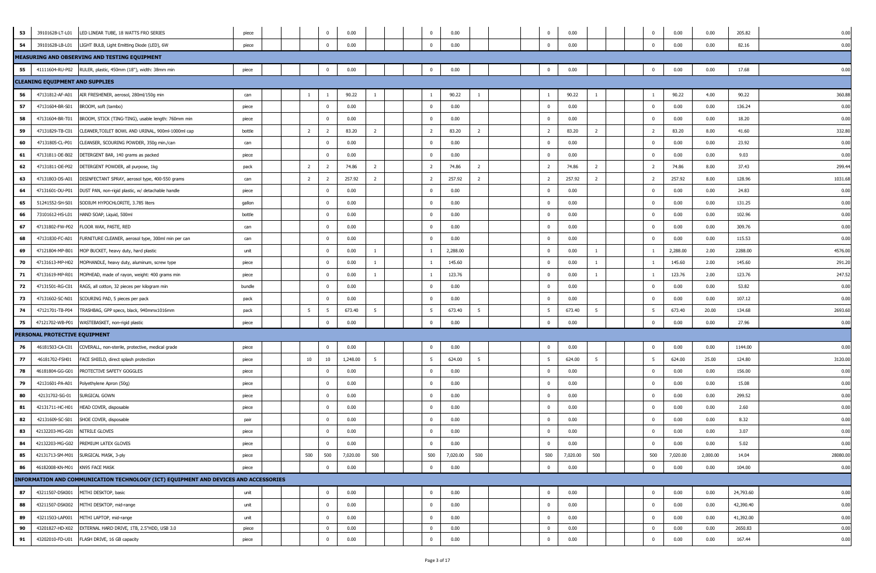| 53 |                                        | 39101628-LT-L01 LED LINEAR TUBE, 18 WATTS FRO SERIES                                 | piece  |                 | $\mathbf 0$    | 0.00     |                |  | $^{\circ}$     | 0.00     |                | $\overline{\mathbf{0}}$  | 0.00     |                | $\mathbf 0$    | 0.00     | 0.00     | 205.82    | 0.00     |
|----|----------------------------------------|--------------------------------------------------------------------------------------|--------|-----------------|----------------|----------|----------------|--|----------------|----------|----------------|--------------------------|----------|----------------|----------------|----------|----------|-----------|----------|
| 54 | 39101628-LB-L01                        | LIGHT BULB, Light Emitting Diode (LED), 6W                                           | piece  |                 | $\Omega$       | 0.00     |                |  | $\Omega$       | 0.00     |                | $\overline{\mathbf{0}}$  | 0.00     |                | $\mathbf 0$    | 0.00     | 0.00     | 82.16     | 0.00     |
|    |                                        | MEASURING AND OBSERVING AND TESTING EQUIPMENT                                        |        |                 |                |          |                |  |                |          |                |                          |          |                |                |          |          |           |          |
| 55 |                                        | 41111604-RU-P02 RULER, plastic, 450mm (18"), width: 38mm min                         | piece  |                 | $\Omega$       | 0.00     |                |  | $^{\circ}$     | 0.00     |                | $\overline{0}$           | 0.00     |                | $\mathbf 0$    | 0.00     | 0.00     | 17.68     | 0.00     |
|    | <b>CLEANING EQUIPMENT AND SUPPLIES</b> |                                                                                      |        |                 |                |          |                |  |                |          |                |                          |          |                |                |          |          |           |          |
| 56 | 47131812-AF-A01                        | AIR FRESHENER, aerosol, 280ml/150g min                                               | can    | -1              | - 1            | 90.22    | $\overline{1}$ |  |                | 90.22    | $\overline{1}$ | $\overline{1}$           | 90.22    | $\overline{1}$ | - 1            | 90.22    | 4.00     | 90.22     | 360.88   |
| 57 | 47131604-BR-S01                        | BROOM, soft (tambo)                                                                  | piece  |                 | $\mathbf{0}$   | 0.00     |                |  | $\mathbf{0}$   | 0.00     |                | $\overline{\mathbf{0}}$  | 0.00     |                | $\mathbf 0$    | 0.00     | 0.00     | 136.24    | 0.00     |
| 58 | 47131604-BR-T01                        | BROOM, STICK (TING-TING), usable length: 760mm min                                   | piece  |                 | $\Omega$       | 0.00     |                |  | $\mathbf{0}$   | 0.00     |                | $\overline{\mathbf{0}}$  | 0.00     |                | $\mathbf{0}$   | 0.00     | 0.00     | 18.20     | 0.00     |
| 59 | 47131829-TB-C01                        | CLEANER, TOILET BOWL AND URINAL, 900ml-1000ml cap                                    | bottle | $\overline{2}$  | 2              | 83.20    | 2              |  | $\overline{2}$ | 83.20    | 2              | $\overline{2}$           | 83.20    | $\overline{2}$ | $\overline{2}$ | 83.20    | 8.00     | 41.60     | 332.8    |
| 60 | 47131805-CL-P01                        | CLEANSER, SCOURING POWDER, 350g min./can                                             | can    |                 | $\Omega$       | 0.00     |                |  | $^{\circ}$     | 0.00     |                | $\overline{\mathbf{0}}$  | 0.00     |                | $\mathbf 0$    | 0.00     | 0.00     | 23.92     | 0.00     |
| 61 | 47131811-DE-B02                        | DETERGENT BAR, 140 grams as packed                                                   | piece  |                 | $\Omega$       | 0.00     |                |  | $\mathbf{0}$   | 0.00     |                | $\overline{\mathbf{0}}$  | 0.00     |                | $\mathbf 0$    | 0.00     | 0.00     | 9.03      | 0.00     |
| 62 | 47131811-DE-P02                        | DETERGENT POWDER, all purpose, 1kg                                                   | pack   | $\overline{2}$  | $\overline{2}$ | 74.86    | $\overline{2}$ |  | $\overline{2}$ | 74.86    | $\overline{2}$ | $\overline{2}$           | 74.86    | $\overline{2}$ | $\overline{2}$ | 74.86    | 8.00     | 37.43     | 299.4    |
| 63 | 47131803-DS-A01                        | DISINFECTANT SPRAY, aerosol type, 400-550 grams                                      | can    | $\overline{2}$  | 2              | 257.92   | 2              |  | 2              | 257.92   | 2              | $\overline{2}$           | 257.92   | $\overline{2}$ | 2              | 257.92   | 8.00     | 128.96    | 1031.6   |
| 64 | 47131601-DU-P01                        | DUST PAN, non-rigid plastic, w/ detachable handle                                    | piece  |                 | $\Omega$       | 0.00     |                |  | $\Omega$       | 0.00     |                | $\overline{\mathbf{0}}$  | 0.00     |                | $\mathbf 0$    | 0.00     | 0.00     | 24.83     | 0.00     |
| 65 | 51241552-SH-S01                        | SODIUM HYPOCHLORITE, 3.785 liters                                                    | gallon |                 | $\Omega$       | 0.00     |                |  | $\Omega$       | 0.00     |                | $\Omega$                 | 0.00     |                | $\mathbf 0$    | 0.00     | 0.00     | 131.25    | 0.00     |
| 66 | 73101612-HS-L01                        | HAND SOAP, Liquid, 500ml                                                             | bottle |                 | $^{\circ}$     | 0.00     |                |  | $\mathbf 0$    | 0.00     |                | $\overline{\phantom{0}}$ | 0.00     |                | $\mathbf 0$    | 0.00     | 0.00     | 102.96    | 0.00     |
| 67 | 47131802-FW-P02                        | FLOOR WAX, PASTE, RED                                                                | can    |                 | $\Omega$       | 0.00     |                |  | $\Omega$       | 0.00     |                | $\Omega$                 | 0.00     |                | $\mathbf 0$    | 0.00     | 0.00     | 309.76    | 0.00     |
| 68 | 47131830-FC-A01                        | FURNITURE CLEANER, aerosol type, 300ml min per can                                   | can    |                 | $\Omega$       | 0.00     |                |  | $\mathbf{0}$   | 0.00     |                | - 0                      | 0.00     |                | $\mathbf 0$    | 0.00     | 0.00     | 115.53    | 0.00     |
| 69 | 47121804-MP-B01                        | MOP BUCKET, heavy duty, hard plastic                                                 | unit   |                 | $\Omega$       | 0.00     | $\overline{1}$ |  | $\overline{1}$ | 2,288.00 |                | $\Omega$                 | 0.00     | 1              |                | 2,288.00 | 2.00     | 2288.00   | 4576.00  |
| 70 | 47131613-MP-H02                        | MOPHANDLE, heavy duty, aluminum, screw type                                          | piece  |                 | $^{\circ}$     | 0.00     | -1             |  | $\overline{1}$ | 145.60   |                | $\overline{\phantom{0}}$ | 0.00     | 1              | - 1            | 145.60   | 2.00     | 145.60    | 291.2    |
| 71 | 47131619-MP-R01                        | MOPHEAD, made of rayon, weight: 400 grams min                                        | piece  |                 | $\mathbf{0}$   | 0.00     | -1             |  | $\overline{1}$ | 123.76   |                | $\overline{\mathbf{0}}$  | 0.00     | 1              | -1             | 123.76   | 2.00     | 123.76    | 247.5    |
| 72 | 47131501-RG-C01                        | RAGS, all cotton, 32 pieces per kilogram min                                         | bundle |                 | $\Omega$       | 0.00     |                |  | $\Omega$       | 0.00     |                | $\overline{\mathbf{0}}$  | 0.00     |                | $\mathbf 0$    | 0.00     | 0.00     | 53.82     | 0.00     |
| 73 | 47131602-SC-N01                        | SCOURING PAD, 5 pieces per pack                                                      | pack   |                 | $\overline{0}$ | 0.00     |                |  | $\mathbf 0$    | 0.00     |                | $\overline{\mathbf{0}}$  | 0.00     |                | $\mathbf{0}$   | 0.00     | 0.00     | 107.12    | 0.00     |
| 74 | 47121701-TB-P04                        | TRASHBAG, GPP specs, black, 940mmx1016mm                                             | pack   | $5\overline{5}$ | 5              | 673.40   | 5              |  | 5 <sup>5</sup> | 673.40   | 5              | 5                        | 673.40   | 5              | 5              | 673.40   | 20.00    | 134.68    | 2693.60  |
| 75 | 47121702-WB-P01                        | WASTEBASKET, non-rigid plastic                                                       | piece  |                 | $\Omega$       | 0.00     |                |  | $\mathbf{0}$   | 0.00     |                | $\overline{\mathbf{0}}$  | 0.00     |                | $\mathbf 0$    | 0.00     | 0.00     | 27.96     | 0.00     |
|    | PERSONAL PROTECTIVE EQUIPMENT          |                                                                                      |        |                 |                |          |                |  |                |          |                |                          |          |                |                |          |          |           |          |
| 76 | 46181503-CA-C01                        | COVERALL, non-sterile, protective, medical grade                                     | piece  |                 | $\Omega$       | 0.00     |                |  | $\Omega$       | 0.00     |                | $\Omega$                 | 0.00     |                | $\mathbf 0$    | 0.00     | 0.00     | 1144.00   | 0.00     |
| 77 | 46181702-FSH01                         | FACE SHIELD, direct splash protection                                                | piece  | 10              | 10             | 1,248.00 | 5              |  | 5              | 624.00   | 5              | 5                        | 624.00   | 5              | -5             | 624.00   | 25.00    | 124.80    | 3120.00  |
| 78 | 46181804-GG-G01                        | PROTECTIVE SAFETY GOGGLES                                                            | piece  |                 | $\Omega$       | 0.00     |                |  | $\Omega$       | 0.00     |                | $\Omega$                 | 0.00     |                | $\mathbf 0$    | 0.00     | 0.00     | 156.00    | 0.00     |
| 79 | 42131601-PA-A01                        | Polyethylene Apron (50g)                                                             | piece  |                 | $^{\circ}$     | 0.00     |                |  | $\mathbf 0$    | 0.00     |                | $\overline{\mathbf{0}}$  | 0.00     |                | $\mathbf 0$    | 0.00     | 0.00     | 15.08     | 0.00     |
| 80 | 42131702-SG-01                         | SURGICAL GOWN                                                                        | piece  |                 | $\Omega$       | 0.00     |                |  | $^{\circ}$     | 0.00     |                | $\overline{\mathbf{0}}$  | 0.00     |                | $\mathbf 0$    | 0.00     | 0.00     | 299.52    | 0.00     |
| 81 | 42131711-HC-H01                        | HEAD COVER, disposable                                                               | piece  |                 | $\Omega$       | 0.00     |                |  | $^{\circ}$     | 0.00     |                | $\overline{\mathbf{0}}$  | 0.00     |                | $\mathbf 0$    | 0.00     | 0.00     | 2.60      | 0.00     |
| 82 | 42131609-SC-S01                        | SHOE COVER, disposable                                                               | pair   |                 | $\Omega$       | 0.00     |                |  | $^{\circ}$     | 0.00     |                | $\overline{\phantom{0}}$ | 0.00     |                | $\mathbf{0}$   | 0.00     | 0.00     | 8.32      | 0.00     |
| 83 | 42132203-MG-G01                        | <b>NITRILE GLOVES</b>                                                                | piece  |                 | $\mathbf 0$    | 0.00     |                |  | $^{\circ}$     | 0.00     |                | $\overline{\mathbf{0}}$  | 0.00     |                | $\mathbf{0}$   | 0.00     | 0.00     | 3.07      | 0.00     |
| 84 |                                        | 42132203-MG-G02 PREMIUM LATEX GLOVES                                                 | niece  |                 | $\Omega$       | 0.00     |                |  |                | 0.00     |                | $\Omega$                 | 0.00     |                | $\Omega$       | 0.00     | 0.00     | 5.02      | 0.00     |
| 85 |                                        | 42131713-SM-M01 SURGICAL MASK, 3-ply                                                 | piece  | 500             | 500            | 7,020.00 | 500            |  | 500            | 7,020.00 | 500            | 500                      | 7,020.00 | 500            | 500            | 7,020.00 | 2,000.00 | 14.04     | 28080.00 |
| 86 | 46182008-KN-M01 KN95 FACE MASK         |                                                                                      | piece  |                 | $\Omega$       | 0.00     |                |  | $\Omega$       | 0.00     |                | $\overline{\mathbf{0}}$  | 0.00     |                | $\mathbf 0$    | 0.00     | 0.00     | 104.00    | 0.00     |
|    |                                        | INFORMATION AND COMMUNICATION TECHNOLOGY (ICT) EQUIPMENT AND DEVICES AND ACCESSORIES |        |                 |                |          |                |  |                |          |                |                          |          |                |                |          |          |           |          |
| 87 | 43211507-DSK001                        | MITHI DESKTOP, basic                                                                 | unit   |                 | $\mathbf 0$    | 0.00     |                |  | $\mathbf{0}$   | 0.00     |                | $\overline{\mathbf{0}}$  | 0.00     |                | $\overline{0}$ | 0.00     | 0.00     | 24,793.60 | 0.00     |
| 88 | 43211507-DSK002                        | MITHI DESKTOP, mid-range                                                             | unit   |                 | $\overline{0}$ | 0.00     |                |  | $\Omega$       | 0.00     |                | $\overline{\mathbf{0}}$  | 0.00     |                | $\overline{0}$ | 0.00     | 0.00     | 42,390.40 | 0.00     |
| 89 | 43211503-LAP001                        | MITHI LAPTOP, mid-range                                                              | unit   |                 | $\overline{0}$ | 0.00     |                |  | $\mathbf{0}$   | 0.00     |                | $\overline{\mathbf{0}}$  | 0.00     |                | $\overline{0}$ | 0.00     | 0.00     | 41,392.00 | 0.00     |
| 90 |                                        | 43201827-HD-X02 EXTERNAL HARD DRIVE, 1TB, 2.5"HDD, USB 3.0                           | piece  |                 | $\mathbf 0$    | 0.00     |                |  | $\mathbf 0$    | 0.00     |                | $\overline{\mathbf{0}}$  | 0.00     |                | $\mathbf{0}$   | 0.00     | 0.00     | 2650.83   | 0.00     |
| 91 |                                        | 43202010-FD-U01 FLASH DRIVE, 16 GB capacity                                          | piece  |                 | $\Omega$       | 0.00     |                |  | $\Omega$       | 0.00     |                | $\overline{\mathbf{0}}$  | 0.00     |                | $\overline{0}$ | 0.00     | 0.00     | 167.44    | 0.00     |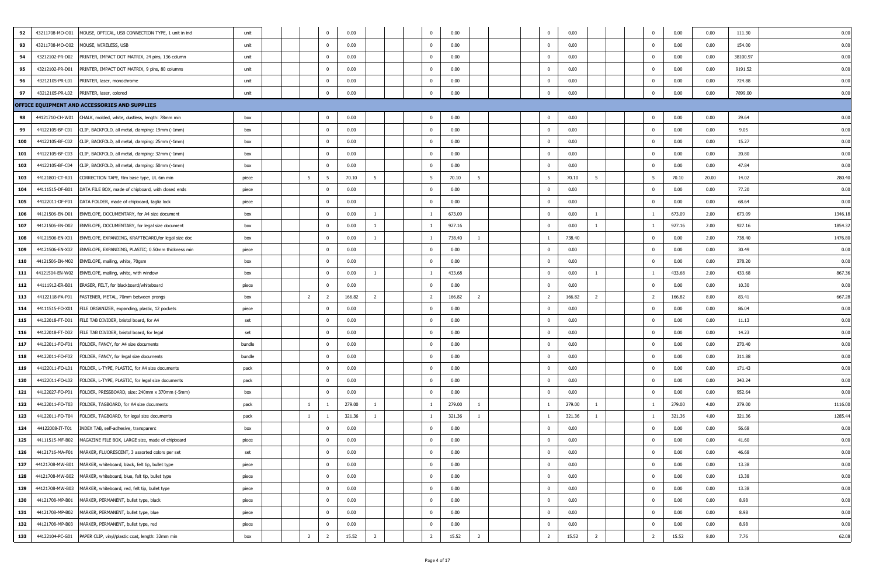| 92  | 43211708-MO-O01 | MOUSE, OPTICAL, USB CONNECTION TYPE, 1 unit in ind               | unit   |                | $\Omega$       | 0.00   |                |  |                | 0.00   |                | $\overline{\mathbf{0}}$  | 0.00                     | $^{\circ}$     | 0.00   | 0.00  | 111.30   | 0.00   |
|-----|-----------------|------------------------------------------------------------------|--------|----------------|----------------|--------|----------------|--|----------------|--------|----------------|--------------------------|--------------------------|----------------|--------|-------|----------|--------|
| 93  | 43211708-MO-O02 | MOUSE, WIRELESS, USB                                             | unit   |                | $\mathbf{0}$   | 0.00   |                |  | $\Omega$       | 0.00   |                | $\overline{0}$           | 0.00                     | $\mathbf{0}$   | 0.00   | 0.00  | 154.00   | 0.00   |
| 94  | 43212102-PR-D02 | PRINTER, IMPACT DOT MATRIX, 24 pins, 136 column                  | unit   |                | $\Omega$       | 0.00   |                |  | $^{\circ}$     | 0.00   |                | $\overline{0}$           | 0.00                     | $\mathbf 0$    | 0.00   | 0.00  | 38100.97 | 0.00   |
| 95  | 43212102-PR-D01 | PRINTER, IMPACT DOT MATRIX, 9 pins, 80 columns                   | unit   |                | $\Omega$       | 0.00   |                |  | $^{\circ}$     | 0.00   |                | $\overline{\phantom{0}}$ | 0.00                     | $^{\circ}$     | 0.00   | 0.00  | 9191.52  | 0.00   |
| 96  | 43212105-PR-L01 | PRINTER, laser, monochrome                                       | unit   |                | $\mathbf{0}$   | 0.00   |                |  | $\mathbf{0}$   | 0.00   |                | $\overline{\mathbf{0}}$  | 0.00                     | $\mathbf{0}$   | 0.00   | 0.00  | 724.88   | 0.00   |
| 97  | 43212105-PR-L02 | PRINTER, laser, colored                                          | unit   |                | $\Omega$       | 0.00   |                |  | $\mathbf{0}$   | 0.00   |                | $\overline{0}$           | 0.00                     | $^{\circ}$     | 0.00   | 0.00  | 7899.00  | 0.00   |
|     |                 | OFFICE EQUIPMENT AND ACCESSORIES AND SUPPLIES                    |        |                |                |        |                |  |                |        |                |                          |                          |                |        |       |          |        |
| 98  | 44121710-CH-W01 | CHALK, molded, white, dustless, length: 78mm min                 | box    |                | $\Omega$       | 0.00   |                |  | $\Omega$       | 0.00   |                | $\overline{0}$           | 0.00                     | $^{\circ}$     | 0.00   | 0.00  | 29.64    | 0.00   |
| 99  | 44122105-BF-C01 | CLIP, BACKFOLD, all metal, clamping: 19mm (-1mm)                 | box    |                | $\overline{0}$ | 0.00   |                |  | $\mathbf{0}$   | 0.00   |                | $\overline{\mathbf{0}}$  | 0.00                     | $^{\circ}$     | 0.00   | 0.00  | 9.05     | 0.00   |
| 100 | 44122105-BF-C02 | CLIP, BACKFOLD, all metal, clamping: 25mm (-1mm)                 | box    |                | $\Omega$       | 0.00   |                |  | $\Omega$       | 0.00   |                | $\overline{\mathbf{0}}$  | 0.00                     | $^{\circ}$     | 0.00   | 0.00  | 15.27    | 0.00   |
| 101 | 44122105-BF-C03 | CLIP, BACKFOLD, all metal, clamping: 32mm (-1mm)                 | box    |                | $\mathbf{0}$   | 0.00   |                |  | $\mathbf 0$    | 0.00   |                | $\overline{\mathbf{0}}$  | 0.00                     | $\mathbf{0}$   | 0.00   | 0.00  | 20.80    | 0.00   |
| 102 | 44122105-BF-C04 | CLIP, BACKFOLD, all metal, clamping: 50mm (-1mm)                 | box    |                | $\Omega$       | 0.00   |                |  | $\mathbf 0$    | 0.00   |                | $\overline{\mathbf{0}}$  | 0.00                     | $\mathbf{0}$   | 0.00   | 0.00  | 47.84    | 0.00   |
| 103 | 44121801-CT-R01 | CORRECTION TAPE, film base type, UL 6m min                       | piece  | 5              | - 5            | 70.10  | 5              |  | 5              | 70.10  | 5              | - 5                      | 70.10<br>5               | -5             | 70.10  | 20.00 | 14.02    | 280.40 |
| 104 | 44111515-DF-B01 | DATA FILE BOX, made of chipboard, with closed ends               | piece  |                | $\overline{0}$ | 0.00   |                |  | $^{\circ}$     | 0.00   |                | $\overline{\mathbf{0}}$  | 0.00                     | $\bf{0}$       | 0.00   | 0.00  | 77.20    | 0.00   |
| 105 | 44122011-DF-F01 | DATA FOLDER, made of chipboard, taglia lock                      | piece  |                | $\mathbf{0}$   | 0.00   |                |  | $^{\circ}$     | 0.00   |                | $\overline{\mathbf{0}}$  | 0.00                     | $\mathbf{0}$   | 0.00   | 0.00  | 68.64    | 0.00   |
| 106 | 44121506-EN-D01 | ENVELOPE, DOCUMENTARY, for A4 size document                      | box    |                | $\mathbf{0}$   | 0.00   | $\mathbf{1}$   |  | $\overline{1}$ | 673.09 |                | $\overline{\mathbf{0}}$  | 0.00<br>1                |                | 673.09 | 2.00  | 673.09   | 1346.1 |
| 107 | 44121506-EN-D02 | ENVELOPE, DOCUMENTARY, for legal size document                   | box    |                | $\Omega$       | 0.00   | -1             |  | $\overline{1}$ | 927.16 |                | $\overline{\mathbf{0}}$  | 0.00                     |                | 927.16 | 2.00  | 927.16   | 1854.3 |
| 108 | 44121506-EN-X01 | ENVELOPE, EXPANDING, KRAFTBOARD, for legal size doc              | box    |                | $\overline{0}$ | 0.00   | <sup>1</sup>   |  | $\overline{1}$ | 738.40 | -1             | - 1                      | 738.40                   | $\mathbf 0$    | 0.00   | 2.00  | 738.40   | 1476.8 |
| 109 | 44121506-EN-X02 | ENVELOPE, EXPANDING, PLASTIC, 0.50mm thickness min               | piece  |                | $\mathbf{0}$   | 0.00   |                |  | $\mathbf{0}$   | 0.00   |                | $\overline{0}$           | 0.00                     | $\mathbf{0}$   | 0.00   | 0.00  | 30.49    | 0.00   |
| 110 | 44121506-EN-M02 | ENVELOPE, mailing, white, 70gsm                                  | box    |                | $\Omega$       | 0.00   |                |  | $^{\circ}$     | 0.00   |                | $\overline{0}$           | 0.00                     | $^{\circ}$     | 0.00   | 0.00  | 378.20   | 0.00   |
| 111 |                 | 44121504-EN-W02 ENVELOPE, mailing, white, with window            | box    |                | $\Omega$       | 0.00   |                |  |                | 433.68 |                | $\overline{0}$           | 0.00                     |                | 433.68 | 2.00  | 433.68   | 867.3  |
| 112 | 44111912-ER-B01 | ERASER, FELT, for blackboard/whiteboard                          | piece  |                | $\overline{0}$ | 0.00   |                |  | $^{\circ}$     | 0.00   |                | $\overline{\mathbf{0}}$  | 0.00                     | $\bf{0}$       | 0.00   | 0.00  | 10.30    | 0.00   |
| 113 | 44122118-FA-P01 | FASTENER, METAL, 70mm between prongs                             | box    | $\overline{2}$ | 2              | 166.82 | 2              |  | 2              | 166.82 | 2              | $\overline{2}$           | 166.82<br>$\overline{2}$ | $\overline{2}$ | 166.82 | 8.00  | 83.41    | 667.2  |
| 114 | 44111515-FO-X01 | FILE ORGANIZER, expanding, plastic, 12 pockets                   | piece  |                | $\mathbf{0}$   | 0.00   |                |  | $\Omega$       | 0.00   |                | $\overline{\mathbf{0}}$  | 0.00                     | $\mathbf 0$    | 0.00   | 0.00  | 86.04    | 0.00   |
| 115 | 44122018-FT-D01 | FILE TAB DIVIDER, bristol board, for A4                          | set    |                | $\Omega$       | 0.00   |                |  | $^{\circ}$     | 0.00   |                | $\overline{\mathbf{0}}$  | 0.00                     | $\mathbf 0$    | 0.00   | 0.00  | 11.13    | 0.00   |
| 116 | 44122018-FT-D02 | FILE TAB DIVIDER, bristol board, for legal                       | set    |                | $\Omega$       | 0.00   |                |  | $\Omega$       | 0.00   |                | $\overline{\mathbf{0}}$  | 0.00                     | $\mathbf{0}$   | 0.00   | 0.00  | 14.23    | 0.00   |
| 117 | 44122011-FO-F01 | FOLDER, FANCY, for A4 size documents                             | bundle |                | $\overline{0}$ | 0.00   |                |  | $\bf{0}$       | 0.00   |                | $\overline{\mathbf{0}}$  | 0.00                     | $\overline{0}$ | 0.00   | 0.00  | 270.40   | 0.00   |
| 118 | 44122011-FO-F02 | FOLDER, FANCY, for legal size documents                          | bundle |                | $\Omega$       | 0.00   |                |  | $\mathbf{0}$   | 0.00   |                | $\overline{\mathbf{0}}$  | 0.00                     | $^{\circ}$     | 0.00   | 0.00  | 311.88   | 0.00   |
| 119 | 44122011-FO-L01 | FOLDER, L-TYPE, PLASTIC, for A4 size documents                   | pack   |                | $\Omega$       | 0.00   |                |  | $^{\circ}$     | 0.00   |                | $\overline{\mathbf{0}}$  | 0.00                     | $^{\circ}$     | 0.00   | 0.00  | 171.43   | 0.00   |
| 120 | 44122011-FO-L02 | FOLDER, L-TYPE, PLASTIC, for legal size documents                | pack   |                | $\Omega$       | 0.00   |                |  | $^{\circ}$     | 0.00   |                | $\overline{\mathbf{0}}$  | 0.00                     | $^{\circ}$     | 0.00   | 0.00  | 243.24   | 0.00   |
| 121 | 44122027-FO-P01 | FOLDER, PRESSBOARD, size: 240mm x 370mm (-5mm)                   | box    |                | $\overline{0}$ | 0.00   |                |  | $^{\circ}$     | 0.00   |                | $\overline{\mathbf{0}}$  | 0.00                     | $\mathbf 0$    | 0.00   | 0.00  | 952.64   | 0.00   |
| 122 | 44122011-FO-T03 | FOLDER, TAGBOARD, for A4 size documents                          | pack   | 1              |                | 279.00 | -1             |  | $\overline{1}$ | 279.00 | $\overline{1}$ | $\overline{1}$           | 279.00<br>1              | -1             | 279.00 | 4.00  | 279.00   | 1116.0 |
| 123 | 44122011-FO-T04 | FOLDER, TAGBOARD, for legal size documents                       | pack   | $\overline{1}$ |                | 321.36 | $\overline{1}$ |  |                | 321.36 | $\overline{1}$ |                          | 321.36                   |                | 321.36 | 4.00  | 321.36   | 1285.4 |
| 124 | 44122008-IT-T01 | INDEX TAB, self-adhesive, transparent                            | box    |                | $\Omega$       | 0.00   |                |  | $\Omega$       | 0.00   |                | $\overline{\phantom{0}}$ | 0.00                     | $^{\circ}$     | 0.00   | 0.00  | 56.68    | 0.00   |
| 125 |                 | 44111515-MF-B02 MAGAZINE FILE BOX, LARGE size, made of chipboard | piece  |                | $\mathbf{0}$   | 0.00   |                |  | $\mathbf{0}$   | 0.00   |                | $\overline{0}$           | 0.00                     | $\mathbf 0$    | 0.00   | 0.00  | 41.60    | 0.00   |
| 126 |                 | 44121716-MA-F01 MARKER, FLUORESCENT, 3 assorted colors per set   | set    |                | $\mathbf{0}$   | 0.00   |                |  | $\bf{0}$       | 0.00   |                | $\overline{0}$           | 0.00                     | $^{\circ}$     | 0.00   | 0.00  | 46.68    | 0.00   |
| 127 |                 | 44121708-MW-B01 MARKER, whiteboard, black, felt tip, bullet type | piece  |                | $\overline{0}$ | 0.00   |                |  | $\mathbf{0}$   | 0.00   |                | $\overline{\mathbf{0}}$  | 0.00                     | $\mathbf{0}$   | 0.00   | 0.00  | 13.38    | 0.00   |
| 128 |                 | 44121708-MW-B02 MARKER, whiteboard, blue, felt tip, bullet type  | piece  |                | $\overline{0}$ | 0.00   |                |  | $\bf{0}$       | 0.00   |                | $\overline{\mathbf{0}}$  | 0.00                     | $\bf{0}$       | 0.00   | 0.00  | 13.38    | 0.00   |
| 129 |                 | 44121708-MW-B03 MARKER, whiteboard, red, felt tip, bullet type   | piece  |                | $\mathbf{0}$   | 0.00   |                |  | $\mathbf{0}$   | 0.00   |                | $\overline{0}$           | 0.00                     | $\mathbf{0}$   | 0.00   | 0.00  | 13.38    | 0.00   |
| 130 | 44121708-MP-B01 | MARKER, PERMANENT, bullet type, black                            | piece  |                | $\mathbf{0}$   | 0.00   |                |  | $\mathbf{0}$   | 0.00   |                | $\overline{\mathbf{0}}$  | 0.00                     | $^{\circ}$     | 0.00   | 0.00  | 8.98     | 0.00   |
| 131 |                 | 44121708-MP-B02 MARKER, PERMANENT, bullet type, blue             | piece  |                | $\overline{0}$ | 0.00   |                |  | $\mathbf{0}$   | 0.00   |                | $\overline{\mathbf{0}}$  | 0.00                     | $\mathbf{0}$   | 0.00   | 0.00  | 8.98     | 0.00   |
| 132 |                 | 44121708-MP-B03 MARKER, PERMANENT, bullet type, red              | piece  |                | $\overline{0}$ | 0.00   |                |  | $\mathbf{0}$   | 0.00   |                | $\overline{\mathbf{0}}$  | 0.00                     | $\overline{0}$ | 0.00   | 0.00  | 8.98     | 0.00   |
| 133 |                 | 44122104-PC-G01 PAPER CLIP, vinyl/plastic coat, length: 32mm min | box    | $\overline{2}$ | $\overline{2}$ | 15.52  | $\overline{2}$ |  | $\overline{2}$ | 15.52  | $\overline{2}$ | $\overline{2}$           | 15.52<br>$\overline{2}$  | $\overline{2}$ | 15.52  | 8.00  | 7.76     | 62.08  |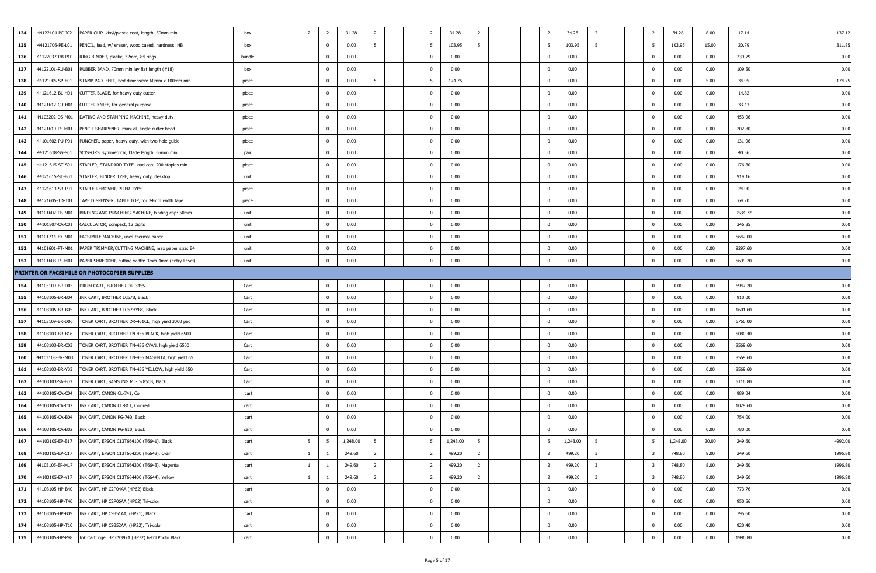| 134 | 44122104-PC-J02                                                         |        |              | - 2            | 34.28    | - 2            |  | 2              | 34.28    | $\overline{2}$ | $\overline{2}$           | 34.28    | - 2                     |                         | 34.28    | 8.00  | 137.1<br>17.14    |
|-----|-------------------------------------------------------------------------|--------|--------------|----------------|----------|----------------|--|----------------|----------|----------------|--------------------------|----------|-------------------------|-------------------------|----------|-------|-------------------|
|     | PAPER CLIP, vinyl/plastic coat, length: 50mm min                        | box    | 2            |                |          | -5             |  |                |          |                |                          |          |                         | 2                       |          |       |                   |
| 135 | 44121706-PE-L01<br>PENCIL, lead, w/ eraser, wood cased, hardness: HB    | box    |              | $\Omega$       | 0.00     |                |  | -5             | 103.95   |                | 5                        | 103.95   | 5                       | 5                       | 103.95   | 15.00 | 20.79<br>311.8    |
| 136 | 44122037-RB-P10<br>RING BINDER, plastic, 32mm, 84 rings                 | bundle |              | $\Omega$       | 0.00     |                |  | $^{\circ}$     | 0.00     |                | $\overline{\phantom{0}}$ | 0.00     |                         | $\mathbf 0$             | 0.00     | 0.00  | 239.79<br>0.00    |
| 137 | 44122101-RU-B01<br>RUBBER BAND, 70mm min lay flat length (#18)          | box    |              | $\Omega$       | 0.00     |                |  | $\Omega$       | 0.00     |                | $\overline{\mathbf{0}}$  | 0.00     |                         | $^{\circ}$              | 0.00     | 0.00  | 109.50<br>0.00    |
| 138 | 44121905-SP-F01<br>STAMP PAD, FELT, bed dimension: 60mm x 100mm min     | piece  |              | $\Omega$       | 0.00     | 5              |  | 5              | 174.75   |                | $\overline{\mathbf{0}}$  | 0.00     |                         | $^{\circ}$              | 0.00     | 5.00  | 174.7<br>34.95    |
| 139 | 44121612-BL-H01<br>CUTTER BLADE, for heavy duty cutter                  | piece  |              | $\Omega$       | 0.00     |                |  | $\Omega$       | 0.00     |                | $\overline{\phantom{0}}$ | 0.00     |                         | $^{\circ}$              | 0.00     | 0.00  | 14.82<br>0.00     |
| 140 | 44121612-CU-H01<br>CUTTER KNIFE, for general purpose                    | piece  |              | $^{\circ}$     | 0.00     |                |  | $^{\circ}$     | 0.00     |                | $\overline{\mathbf{0}}$  | 0.00     |                         | $^{\circ}$              | 0.00     | 0.00  | 33.43<br>0.00     |
| 141 | 44103202-DS-M01<br>DATING AND STAMPING MACHINE, heavy duty              | piece  |              | $\Omega$       | 0.00     |                |  | $\Omega$       | 0.00     |                | $\overline{\mathbf{0}}$  | 0.00     |                         | $^{\circ}$              | 0.00     | 0.00  | 453.96<br>0.00    |
| 142 | 44121619-PS-M01<br>PENCIL SHARPENER, manual, single cutter head         | piece  |              | $\Omega$       | 0.00     |                |  | $^{\circ}$     | 0.00     |                | $\overline{\mathbf{0}}$  | 0.00     |                         | $^{\circ}$              | 0.00     | 0.00  | 202.80<br>0.00    |
| 143 | 44101602-PU-P01<br>PUNCHER, paper, heavy duty, with two hole guide      | piece  |              | $\mathbf{0}$   | 0.00     |                |  | $\mathbf{0}$   | 0.00     |                | $\overline{\phantom{0}}$ | 0.00     |                         | $^{\circ}$              | 0.00     | 0.00  | 131.96<br>0.00    |
| 144 | 44121618-SS-S01<br>SCISSORS, symmetrical, blade length: 65mm min        | pair   |              | $\mathbf{0}$   | 0.00     |                |  | $\mathbf{0}$   | 0.00     |                | $\overline{\mathbf{0}}$  | 0.00     |                         | $\mathbf{0}$            | 0.00     | 0.00  | 40.56<br>0.00     |
| 145 | 44121615-ST-S01<br>STAPLER, STANDARD TYPE, load cap: 200 staples min    | piece  |              | $\Omega$       | 0.00     |                |  | $^{\circ}$     | 0.00     |                | $\overline{\mathbf{0}}$  | 0.00     |                         | $\mathbf 0$             | 0.00     | 0.00  | 176.80<br>0.00    |
| 146 | 44121615-ST-B01<br>STAPLER, BINDER TYPE, heavy duty, desktop            | unit   |              | $\Omega$       | 0.00     |                |  | $^{\circ}$     | 0.00     |                | $\overline{\mathbf{0}}$  | 0.00     |                         | $\mathbf{0}$            | 0.00     | 0.00  | 914.16<br>0.00    |
| 147 | 44121613-SR-P01<br>STAPLE REMOVER, PLIER-TYPE                           | piece  |              | $\Omega$       | 0.00     |                |  | $^{\circ}$     | 0.00     |                | $\overline{\phantom{0}}$ | 0.00     |                         | 0                       | 0.00     | 0.00  | 24.90<br>0.00     |
| 148 | 44121605-TD-T01<br>TAPE DISPENSER, TABLE TOP, for 24mm width tape       | piece  |              | $^{\circ}$     | 0.00     |                |  | $^{\circ}$     | 0.00     |                | $\overline{\mathbf{0}}$  | 0.00     |                         | $^{\circ}$              | 0.00     | 0.00  | 64.20<br>0.00     |
| 149 | 44101602-PB-M01<br>BINDING AND PUNCHING MACHINE, binding cap: 50mm      | unit   |              | $\Omega$       | 0.00     |                |  | $\Omega$       | 0.00     |                | $\overline{\mathbf{0}}$  | 0.00     |                         | $\mathbf{0}$            | 0.00     | 0.00  | 9534.72<br>0.00   |
| 150 | 44101807-CA-C01<br>CALCULATOR, compact, 12 digits                       | unit   |              | $\Omega$       | 0.00     |                |  | $\Omega$       | 0.00     |                | $\overline{0}$           | 0.00     |                         | $\Omega$                | 0.00     | 0.00  | 346.85<br>0.00    |
| 151 | FACSIMILE MACHINE, uses thermal paper<br>44101714-FX-M01                | unit   |              | $\overline{0}$ | 0.00     |                |  | $^{\circ}$     | 0.00     |                | $\overline{\phantom{0}}$ | 0.00     |                         | $\mathbf{0}$            | 0.00     | 0.00  | 5642.00<br>0.00   |
| 152 | 44101601-PT-M01<br>PAPER TRIMMER/CUTTING MACHINE, max paper size: B4    | unit   |              | $\Omega$       | 0.00     |                |  | $\Omega$       | 0.00     |                | $\overline{\mathbf{0}}$  | 0.00     |                         | $^{\circ}$              | 0.00     | 0.00  | 9297.60<br>0.00   |
| 153 | PAPER SHREDDER, cutting width: 3mm-4mm (Entry Level)<br>44101603-PS-M01 | unit   |              | $\Omega$       | 0.00     |                |  | $\Omega$       | 0.00     |                | $\overline{\mathbf{0}}$  | 0.00     |                         | $^{\circ}$              | 0.00     | 0.00  | 5699.20<br>0.00   |
|     | PRINTER OR FACSIMILE OR PHOTOCOPIER SUPPLIES                            |        |              |                |          |                |  |                |          |                |                          |          |                         |                         |          |       |                   |
| 154 | 44103109-BR-D05<br>DRUM CART, BROTHER DR-3455                           | Cart   |              | $\Omega$       | 0.00     |                |  |                | 0.00     |                | $\overline{0}$           | 0.00     |                         | $\overline{0}$          | 0.00     | 0.00  | 6947.20<br>0.00   |
| 155 | 44103105-BR-B04<br>INK CART, BROTHER LC67B, Black                       | Cart   |              | $\Omega$       | 0.00     |                |  | $\Omega$       | 0.00     |                | $\overline{\mathbf{0}}$  | 0.00     |                         | $^{\circ}$              | 0.00     | 0.00  | 910.00<br>0.00    |
| 156 | 44103105-BR-B05<br>INK CART, BROTHER LC67HYBK, Black                    | Cart   |              | $\Omega$       | 0.00     |                |  | $^{\circ}$     | 0.00     |                | $\overline{\mathbf{0}}$  | 0.00     |                         | $\mathbf{0}$            | 0.00     | 0.00  | 1601.60<br>0.00   |
| 157 | 44103109-BR-D06<br>TONER CART, BROTHER DR-451CL, high yield 3000 pag    | Cart   |              | $\mathbf{0}$   | 0.00     |                |  | $\mathbf{0}$   | 0.00     |                | $\overline{\mathbf{0}}$  | 0.00     |                         | $^{\circ}$              | 0.00     | 0.00  | 6760.00<br>0.00   |
| 158 | 44103103-BR-B16<br>TONER CART, BROTHER TN-456 BLACK, high yield 6500    | Cart   |              | $\Omega$       | 0.00     |                |  | $^{\circ}$     | 0.00     |                | $\overline{\mathbf{0}}$  | 0.00     |                         | $\mathbf{0}$            | 0.00     | 0.00  | 5080.40<br>0.00   |
| 159 | 44103103-BR-C03<br>TONER CART, BROTHER TN-456 CYAN, high yield 6500     | Cart   |              | $\Omega$       | 0.00     |                |  | $\Omega$       | 0.00     |                | $\overline{\mathbf{0}}$  | 0.00     |                         | 0                       | 0.00     | 0.00  | 8569.60<br>0.00   |
| 160 | 44103103-BR-M03<br>TONER CART, BROTHER TN-456 MAGENTA, high yield 65    | Cart   |              | $\mathbf{0}$   | 0.00     |                |  | $^{\circ}$     | 0.00     |                | $\overline{\mathbf{0}}$  | 0.00     |                         | $\mathbf{0}$            | 0.00     | 0.00  | 8569.60<br>0.00   |
| 161 | 44103103-BR-Y03<br>TONER CART, BROTHER TN-456 YELLOW, high yield 650    | Cart   |              | $\Omega$       | 0.00     |                |  | $\Omega$       | 0.00     |                | $\overline{\mathbf{0}}$  | 0.00     |                         | $\mathbf{0}$            | 0.00     | 0.00  | 8569.60<br>0.00   |
| 162 | 44103103-SA-B03<br>TONER CART, SAMSUNG ML-D2850B, Black                 | Cart   |              | $\Omega$       | 0.00     |                |  | $\Omega$       | 0.00     |                | $\overline{\mathbf{0}}$  | 0.00     |                         | $\mathbf{0}$            | 0.00     | 0.00  | 5116.80<br>0.00   |
| 163 | 44103105-CA-C04<br>INK CART, CANON CL-741, Col.                         | cart   |              | $\Omega$       | 0.00     |                |  | $\Omega$       | 0.00     |                | $\overline{0}$           | 0.00     |                         | $\Omega$                | 0.00     | 0.00  | 989.04<br>0.00    |
| 164 | 44103105-CA-C02<br>INK CART, CANON CL-811, Colored                      | cart   |              | $\mathbf{0}$   | 0.00     |                |  | $^{\circ}$     | 0.00     |                | $\overline{\mathbf{0}}$  | 0.00     |                         | $\mathbf{0}$            | 0.00     | 0.00  | 1029.60<br>0.00   |
| 165 | INK CART, CANON PG-740, Black<br>44103105-CA-B04                        | cart   |              | $\Omega$       | 0.00     |                |  | $^{\circ}$     | 0.00     |                | $\overline{\mathbf{0}}$  | 0.00     |                         | $\mathbf{0}$            | 0.00     | 0.00  | 754.00<br>0.00    |
| 166 | 44103105-CA-B02<br>INK CART, CANON PG-810, Black                        | cart   |              | $\Omega$       | 0.00     |                |  | $\Omega$       | 0.00     |                | $\overline{\mathbf{0}}$  | 0.00     |                         | 0                       | 0.00     | 0.00  | 780.00<br>0.00    |
| 167 | 44103105-EP-B17<br>INK CART, EPSON C13T664100 (T6641), Black            | cart   | 5            | -5             | 1,248.00 | -5             |  | -5             | 1,248.00 | $\overline{5}$ | 5                        | 1,248.00 | - 5                     | 5                       | 1,248.00 | 20.00 | 249.60<br>4992.00 |
| 168 | 44103105-EP-C17<br>INK CART, EPSON C13T664200 (T6642), Cyan             | cart   | 1            |                | 249.60   | $\overline{2}$ |  | $\overline{2}$ | 499.20   | 2              | $\overline{2}$           | 499.20   | $\overline{\mathbf{3}}$ | $\overline{\mathbf{3}}$ | 748.80   | 8.00  | 1996.80<br>249.60 |
| 169 | 44103105-EP-M17<br>INK CART, EPSON C13T664300 (T6643), Magenta          | cart   | $\mathbf{1}$ |                | 249.60   | $\overline{2}$ |  | $\overline{2}$ | 499.20   | $\overline{2}$ | $\overline{2}$           | 499.20   | 3                       | $\overline{\mathbf{3}}$ | 748.80   | 8.00  | 1996.80<br>249.60 |
| 170 | 44103105-EP-Y17<br>INK CART, EPSON C13T664400 (T6644), Yellow           | cart   | $\mathbf{1}$ |                | 249.60   | $\overline{2}$ |  | $\overline{2}$ | 499.20   | 2              | $\overline{2}$           | 499.20   | $\overline{\mathbf{3}}$ | 3                       | 748.80   | 8.00  | 1996.80<br>249.60 |
| 171 | 44103105-HP-B40<br>INK CART, HP C2P04AA (HP62) Black                    | cart   |              | $\overline{0}$ | 0.00     |                |  | $\bf{0}$       | 0.00     |                | $\overline{\mathbf{0}}$  | 0.00     |                         | $\mathbf 0$             | 0.00     | 0.00  | 773.76<br>0.00    |
|     |                                                                         |        |              |                |          |                |  |                |          |                |                          |          |                         |                         |          |       |                   |
| 172 | 44103105-HP-T40<br>INK CART, HP C2P06AA (HP62) Tri-color                | cart   |              | $\overline{0}$ | 0.00     |                |  | $\mathbf{0}$   | 0.00     |                | $\overline{\mathbf{0}}$  | 0.00     |                         | $\mathbf 0$             | 0.00     | 0.00  | 950.56<br>0.00    |
| 173 | 44103105-HP-B09<br>INK CART, HP C9351AA, (HP21), Black                  | cart   |              | $^{\circ}$     | 0.00     |                |  | $\mathbf{0}$   | 0.00     |                | $\overline{\mathbf{0}}$  | 0.00     |                         | $\mathbf 0$             | 0.00     | 0.00  | 795.60<br>0.00    |
| 174 | 44103105-HP-T10<br>INK CART, HP C9352AA, (HP22), Tri-color              | cart   |              | $\bf{0}$       | 0.00     |                |  | $\mathbf{0}$   | 0.00     |                | $\overline{\mathbf{0}}$  | 0.00     |                         | $\mathbf 0$             | 0.00     | 0.00  | 920.40<br>0.00    |
| 175 | 44103105-HP-P48<br>Ink Cartridge, HP C9397A (HP72) 69ml Photo Black     | cart   |              | $\mathbf{0}$   | 0.00     |                |  | $\mathbf 0$    | 0.00     |                | $\overline{\mathbf{0}}$  | 0.00     |                         | $\pmb{0}$               | 0.00     | 0.00  | 0.00<br>1996.80   |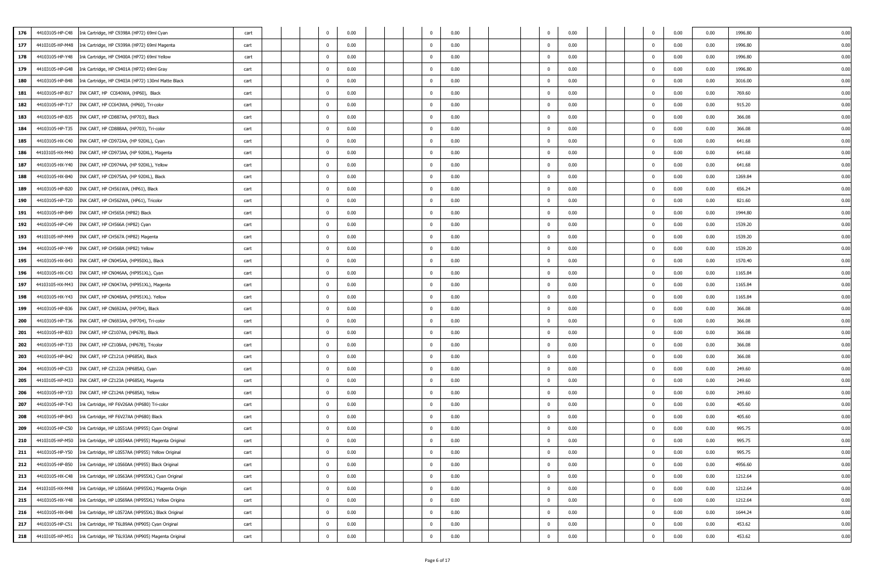| 176 | 44103105-HP-C48 | Ink Cartridge, HP C9398A (HP72) 69ml Cyan                             | cart |  | $^{\circ}$     | 0.00 |  | $^{\circ}$   | 0.00 |  | $\overline{0}$           | 0.00 | $^{\circ}$     | 0.00 | 0.00 | 1996.80 | 0.00 |
|-----|-----------------|-----------------------------------------------------------------------|------|--|----------------|------|--|--------------|------|--|--------------------------|------|----------------|------|------|---------|------|
| 177 | 44103105-HP-M48 | Ink Cartridge, HP C9399A (HP72) 69ml Magenta                          | cart |  | $\Omega$       | 0.00 |  | $\mathbf 0$  | 0.00 |  | $\overline{\mathbf{0}}$  | 0.00 | $\mathbf 0$    | 0.00 | 0.00 | 1996.80 | 0.00 |
| 178 | 44103105-HP-Y48 | Ink Cartridge, HP C9400A (HP72) 69ml Yellow                           | cart |  | $^{\circ}$     | 0.00 |  | $\mathbf 0$  | 0.00 |  | $\overline{\mathbf{0}}$  | 0.00 | $^{\circ}$     | 0.00 | 0.00 | 1996.80 | 0.00 |
| 179 | 44103105-HP-G48 | Ink Cartridge, HP C9401A (HP72) 69ml Gray                             | cart |  | $\Omega$       | 0.00 |  | $\mathbf{0}$ | 0.00 |  | $\overline{\mathbf{0}}$  | 0.00 | $^{\circ}$     | 0.00 | 0.00 | 1996.80 | 0.00 |
| 180 | 44103105-HP-B48 | Ink Cartridge, HP C9403A (HP72) 130ml Matte Black                     | cart |  | $\Omega$       | 0.00 |  | $\mathbf{0}$ | 0.00 |  | $\overline{\mathbf{0}}$  | 0.00 | 0              | 0.00 | 0.00 | 3016.00 | 0.00 |
| 181 | 44103105-HP-B17 | INK CART, HP CC640WA, (HP60), Black                                   | cart |  | $\Omega$       | 0.00 |  | $\bf{0}$     | 0.00 |  | $\overline{\mathbf{0}}$  | 0.00 | $\mathbf 0$    | 0.00 | 0.00 | 769.60  | 0.00 |
| 182 | 44103105-HP-T17 | INK CART, HP CC643WA, (HP60), Tri-color                               | cart |  | $\Omega$       | 0.00 |  | $\mathbf 0$  | 0.00 |  | $\overline{\mathbf{0}}$  | 0.00 | $^{\circ}$     | 0.00 | 0.00 | 915.20  | 0.00 |
| 183 | 44103105-HP-B35 | INK CART, HP CD887AA, (HP703), Black                                  | cart |  | $\Omega$       | 0.00 |  | $\mathbf 0$  | 0.00 |  | $\overline{\mathbf{0}}$  | 0.00 | $^{\circ}$     | 0.00 | 0.00 | 366.08  | 0.00 |
| 184 | 44103105-HP-T35 | INK CART, HP CD888AA, (HP703), Tri-color                              | cart |  | $\Omega$       | 0.00 |  | $\mathbf{0}$ | 0.00 |  | $\overline{\mathbf{0}}$  | 0.00 | 0              | 0.00 | 0.00 | 366.08  | 0.00 |
| 185 | 44103105-HX-C40 | INK CART, HP CD972AA, (HP 920XL), Cyan                                | cart |  | $\Omega$       | 0.00 |  | $\mathbf 0$  | 0.00 |  | $\overline{\phantom{0}}$ | 0.00 | $\mathbf{0}$   | 0.00 | 0.00 | 641.68  | 0.00 |
| 186 | 44103105-HX-M40 | INK CART, HP CD973AA, (HP 920XL), Magenta                             | cart |  | $\Omega$       | 0.00 |  | $\Omega$     | 0.00 |  | $\overline{0}$           | 0.00 | 0              | 0.00 | 0.00 | 641.68  | 0.00 |
| 187 | 44103105-HX-Y40 | INK CART, HP CD974AA, (HP 920XL), Yellow                              | cart |  | $\Omega$       | 0.00 |  | $\mathbf{0}$ | 0.00 |  | $\overline{\mathbf{0}}$  | 0.00 | 0              | 0.00 | 0.00 | 641.68  | 0.00 |
| 188 | 44103105-HX-B40 | INK CART, HP CD975AA, (HP 920XL), Black                               | cart |  | $\Omega$       | 0.00 |  | $\mathbf 0$  | 0.00 |  | $\overline{\mathbf{0}}$  | 0.00 | $^{\circ}$     | 0.00 | 0.00 | 1269.84 | 0.00 |
| 189 | 44103105-HP-B20 | INK CART, HP CH561WA, (HP61), Black                                   | cart |  | $\Omega$       | 0.00 |  | $\mathbf 0$  | 0.00 |  | $\overline{\mathbf{0}}$  | 0.00 | $^{\circ}$     | 0.00 | 0.00 | 656.24  | 0.00 |
| 190 | 44103105-HP-T20 | INK CART, HP CH562WA, (HP61), Tricolor                                | cart |  | $\Omega$       | 0.00 |  | $\mathbf{0}$ | 0.00 |  | $\overline{0}$           | 0.00 | $^{\circ}$     | 0.00 | 0.00 | 821.60  | 0.00 |
| 191 | 44103105-HP-B49 | INK CART, HP CH565A (HP82) Black                                      | cart |  | $\Omega$       | 0.00 |  | $\mathbf 0$  | 0.00 |  | $\overline{\mathbf{0}}$  | 0.00 | $^{\circ}$     | 0.00 | 0.00 | 1944.80 | 0.00 |
| 192 | 44103105-HP-C49 | INK CART, HP CH566A (HP82) Cyan                                       | cart |  | $\Omega$       | 0.00 |  | $\mathbf 0$  | 0.00 |  | $\overline{\phantom{0}}$ | 0.00 | 0              | 0.00 | 0.00 | 1539.20 | 0.00 |
| 193 |                 | 44103105-HP-M49 INK CART, HP CH567A (HP82) Magenta                    | cart |  | $\Omega$       | 0.00 |  | $\mathbf 0$  | 0.00 |  | $\overline{\mathbf{0}}$  | 0.00 | 0              | 0.00 | 0.00 | 1539.20 | 0.00 |
| 194 | 44103105-HP-Y49 | INK CART, HP CH568A (HP82) Yellow                                     | cart |  | $\Omega$       | 0.00 |  | $\mathbf{0}$ | 0.00 |  | $\overline{0}$           | 0.00 | $^{\circ}$     | 0.00 | 0.00 | 1539.20 | 0.00 |
| 195 | 44103105-HX-B43 | INK CART, HP CN045AA, (HP950XL), Black                                | cart |  |                | 0.00 |  | $\mathbf{0}$ | 0.00 |  | $\overline{\mathbf{0}}$  | 0.00 | 0              | 0.00 | 0.00 | 1570.40 | 0.00 |
| 196 | 44103105-HX-C43 | INK CART, HP CN046AA, (HP951XL), Cyan                                 | cart |  | $\Omega$       | 0.00 |  | $\bf{0}$     | 0.00 |  | $\overline{\mathbf{0}}$  | 0.00 | $\mathbf 0$    | 0.00 | 0.00 | 1165.84 | 0.00 |
| 197 | 44103105-HX-M43 | INK CART, HP CN047AA, (HP951XL), Magenta                              | cart |  | $\Omega$       | 0.00 |  | $\mathbf 0$  | 0.00 |  | $\overline{\mathbf{0}}$  | 0.00 | $^{\circ}$     | 0.00 | 0.00 | 1165.84 | 0.00 |
| 198 | 44103105-HX-Y43 | INK CART, HP CN048AA, (HP951XL). Yellow                               | cart |  | $\Omega$       | 0.00 |  | $\mathbf{0}$ | 0.00 |  | $\overline{\mathbf{0}}$  | 0.00 | 0              | 0.00 | 0.00 | 1165.84 | 0.00 |
| 199 | 44103105-HP-B36 | INK CART, HP CN692AA, (HP704), Black                                  | cart |  | $\Omega$       | 0.00 |  | $\mathbf{0}$ | 0.00 |  | $\overline{\mathbf{0}}$  | 0.00 | $\Omega$       | 0.00 | 0.00 | 366.08  | 0.00 |
| 200 | 44103105-HP-T36 | INK CART, HP CN693AA, (HP704), Tri-color                              | cart |  | $\Omega$       | 0.00 |  | $\mathbf 0$  | 0.00 |  | $\overline{\phantom{0}}$ | 0.00 | $^{\circ}$     | 0.00 | 0.00 | 366.08  | 0.00 |
| 201 | 44103105-HP-B33 | INK CART, HP CZ107AA, (HP678), Black                                  | cart |  | $\Omega$       | 0.00 |  | $\mathbf{0}$ | 0.00 |  | $\overline{0}$           | 0.00 | $^{\circ}$     | 0.00 | 0.00 | 366.08  | 0.00 |
| 202 | 44103105-HP-T33 | INK CART, HP CZ108AA, (HP678), Tricolor                               | cart |  | $\Omega$       | 0.00 |  | $\mathbf{0}$ | 0.00 |  | $\overline{\mathbf{0}}$  | 0.00 | 0              | 0.00 | 0.00 | 366.08  | 0.00 |
| 203 | 44103105-HP-B42 | INK CART, HP CZ121A (HP685A), Black                                   | cart |  | $\Omega$       | 0.00 |  | $\mathbf 0$  | 0.00 |  | $\overline{\mathbf{0}}$  | 0.00 | 0              | 0.00 | 0.00 | 366.08  | 0.00 |
| 204 | 44103105-HP-C33 | INK CART, HP CZ122A (HP685A), Cyan                                    | cart |  | $\Omega$       | 0.00 |  | $\mathbf 0$  | 0.00 |  | $\overline{\mathbf{0}}$  | 0.00 | $^{\circ}$     | 0.00 | 0.00 | 249.60  | 0.00 |
| 205 | 44103105-HP-M33 | INK CART, HP CZ123A (HP685A), Magenta                                 | cart |  | $\Omega$       | 0.00 |  | $\mathbf{0}$ | 0.00 |  | $\overline{\mathbf{0}}$  | 0.00 | $^{\circ}$     | 0.00 | 0.00 | 249.60  | 0.00 |
| 206 | 44103105-HP-Y33 | INK CART, HP CZ124A (HP685A), Yellow                                  | cart |  |                | 0.00 |  | $\Omega$     | 0.00 |  | $\overline{\phantom{0}}$ | 0.00 | $^{\circ}$     | 0.00 | 0.00 | 249.60  | 0.00 |
| 207 | 44103105-HP-T43 | Ink Cartridge, HP F6V26AA (HP680) Tri-color                           | cart |  | $\Omega$       | 0.00 |  | $\mathbf 0$  | 0.00 |  | $\overline{\mathbf{0}}$  | 0.00 | $^{\circ}$     | 0.00 | 0.00 | 405.60  | 0.00 |
| 208 | 44103105-HP-B43 | Ink Cartridge, HP F6V27AA (HP680) Black                               | cart |  | $\Omega$       | 0.00 |  | $\mathbf{0}$ | 0.00 |  | $\overline{\mathbf{0}}$  | 0.00 | 0              | 0.00 | 0.00 | 405.60  | 0.00 |
| 209 | 44103105-HP-C50 | Ink Cartridge, HP L0S51AA (HP955) Cyan Original                       | cart |  | $\Omega$       | 0.00 |  | $\mathbf{0}$ | 0.00 |  | $\overline{\mathbf{0}}$  | 0.00 | $^{\circ}$     | 0.00 | 0.00 | 995.75  | 0.00 |
| 210 |                 | 44103105-HP-M50 Ink Cartridge, HP L0S54AA (HP955) Magenta Original    | cart |  | $\Omega$       | 0.00 |  | $\mathbf{0}$ | 0.00 |  | $\overline{0}$           | 0.00 | $\mathbf{0}$   | 0.00 | 0.00 | 995.75  | 0.00 |
| 211 | 44103105-HP-Y50 | Ink Cartridge, HP L0S57AA (HP955) Yellow Original                     | cart |  | $\overline{0}$ | 0.00 |  | $\bf{0}$     | 0.00 |  | $\overline{\mathbf{0}}$  | 0.00 | $\mathbf 0$    | 0.00 | 0.00 | 995.75  | 0.00 |
| 212 | 44103105-HP-B50 | Ink Cartridge, HP L0S60AA (HP955) Black Original                      | cart |  | $\mathbf 0$    | 0.00 |  | $\mathbf 0$  | 0.00 |  | $\overline{\mathbf{0}}$  | 0.00 | $\overline{0}$ | 0.00 | 0.00 | 4956.60 | 0.00 |
| 213 | 44103105-HX-C48 | Ink Cartridge, HP L0S63AA (HP955XL) Cyan Original                     | cart |  | $\mathbf{0}$   | 0.00 |  | $\mathbf 0$  | 0.00 |  | $\overline{\mathbf{0}}$  | 0.00 | $\mathbf{0}$   | 0.00 | 0.00 | 1212.64 | 0.00 |
| 214 |                 | 44103105-HX-M48    Ink Cartridge, HP L0S66AA (HP955XL) Magenta Origin | cart |  | $\mathbf 0$    | 0.00 |  | $\mathbf{0}$ | 0.00 |  | $\overline{\mathbf{0}}$  | 0.00 | $\mathbf 0$    | 0.00 | 0.00 | 1212.64 | 0.00 |
| 215 | 44103105-HX-Y48 | Ink Cartridge, HP L0S69AA (HP955XL) Yellow Origina                    | cart |  | $\mathbf{0}$   | 0.00 |  | $\bf{0}$     | 0.00 |  | $\overline{\mathbf{0}}$  | 0.00 | $\mathbf 0$    | 0.00 | 0.00 | 1212.64 | 0.00 |
| 216 | 44103105-HX-B48 | Ink Cartridge, HP L0S72AA (HP955XL) Black Original                    | cart |  | $\mathbf 0$    | 0.00 |  | $\mathbf 0$  | 0.00 |  | $\overline{0}$           | 0.00 | $\overline{0}$ | 0.00 | 0.00 | 1644.24 | 0.00 |
| 217 | 44103105-HP-C51 | Ink Cartridge, HP T6L89AA (HP905) Cyan Original                       | cart |  | $\overline{0}$ | 0.00 |  | $\bf{0}$     | 0.00 |  | $\overline{\mathbf{0}}$  | 0.00 | $\mathbf 0$    | 0.00 | 0.00 | 453.62  | 0.00 |
| 218 |                 | 44103105-HP-M51    Ink Cartridge, HP T6L93AA (HP905) Magenta Original | cart |  | $\overline{0}$ | 0.00 |  | $\bf{0}$     | 0.00 |  | $\overline{\mathbf{0}}$  | 0.00 | $\overline{0}$ | 0.00 | 0.00 | 453.62  | 0.00 |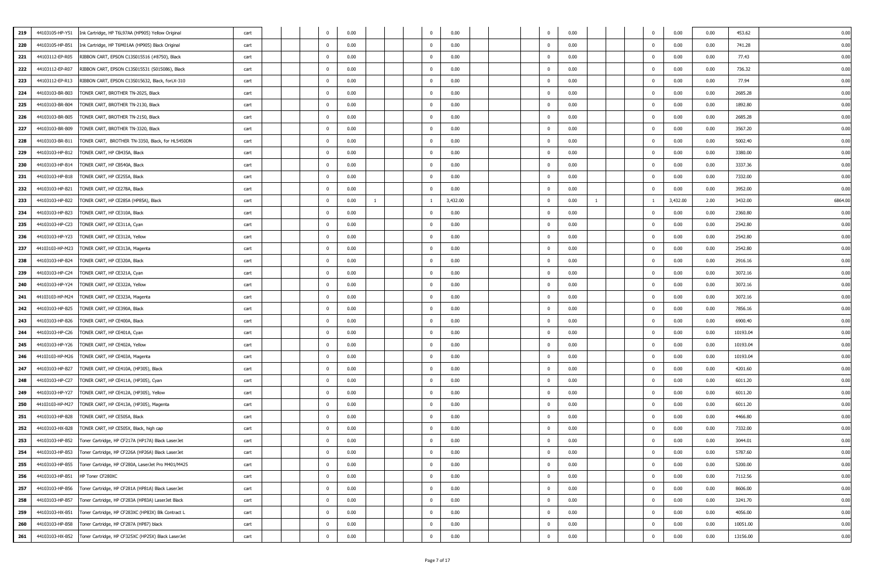|     |                 |                                                                    |      |  |                |      |   |                |          |  | $\overline{\mathbf{0}}$  |      |  |                |          |      |          |        |
|-----|-----------------|--------------------------------------------------------------------|------|--|----------------|------|---|----------------|----------|--|--------------------------|------|--|----------------|----------|------|----------|--------|
| 219 | 44103105-HP-Y51 | Ink Cartridge, HP T6L97AA (HP905) Yellow Original                  | cart |  | $^{\circ}$     | 0.00 |   | $^{\circ}$     | 0.00     |  |                          | 0.00 |  | $\mathbf 0$    | 0.00     | 0.00 | 453.62   | 0.00   |
| 220 | 44103105-HP-B51 | Ink Cartridge, HP T6M01AA (HP905) Black Original                   | cart |  | $\Omega$       | 0.00 |   | $\mathbf{0}$   | 0.00     |  | $\overline{\mathbf{0}}$  | 0.00 |  | $^{\circ}$     | 0.00     | 0.00 | 741.28   | 0.00   |
| 221 | 44103112-EP-R05 | RIBBON CART, EPSON C13S015516 (#8750), Black                       | cart |  | $\overline{0}$ | 0.00 |   | $\bf{0}$       | 0.00     |  | $\overline{\phantom{0}}$ | 0.00 |  | $\mathbf 0$    | 0.00     | 0.00 | 77.43    | 0.00   |
| 222 | 44103112-EP-R07 | RIBBON CART, EPSON C13S015531 (S015086), Black                     | cart |  | $\Omega$       | 0.00 |   | $\mathbf{0}$   | 0.00     |  | $\overline{\mathbf{0}}$  | 0.00 |  | $^{\circ}$     | 0.00     | 0.00 | 736.32   | 0.00   |
| 223 | 44103112-EP-R13 | RIBBON CART, EPSON C13S015632, Black, forLX-310                    | cart |  | $\Omega$       | 0.00 |   | $\mathbf 0$    | 0.00     |  | $\overline{\mathbf{0}}$  | 0.00 |  | $^{\circ}$     | 0.00     | 0.00 | 77.94    | 0.00   |
| 224 | 44103103-BR-B03 | TONER CART, BROTHER TN-2025, Black                                 | cart |  | $\Omega$       | 0.00 |   | $\mathbf 0$    | 0.00     |  | $\overline{\phantom{0}}$ | 0.00 |  | $\mathbf 0$    | 0.00     | 0.00 | 2685.28  | 0.00   |
| 225 | 44103103-BR-B04 | TONER CART, BROTHER TN-2130, Black                                 | cart |  | $^{\circ}$     | 0.00 |   | $\mathbf 0$    | 0.00     |  | $\overline{\mathbf{0}}$  | 0.00 |  | $\mathbf 0$    | 0.00     | 0.00 | 1892.80  | 0.00   |
| 226 | 44103103-BR-B05 | TONER CART, BROTHER TN-2150, Black                                 | cart |  | $\Omega$       | 0.00 |   | $\mathbf 0$    | 0.00     |  | $\overline{\mathbf{0}}$  | 0.00 |  | $^{\circ}$     | 0.00     | 0.00 | 2685.28  | 0.00   |
| 227 | 44103103-BR-B09 | TONER CART, BROTHER TN-3320, Black                                 | cart |  | $\overline{0}$ | 0.00 |   | $\mathbf{0}$   | 0.00     |  | $\overline{\mathbf{0}}$  | 0.00 |  | $^{\circ}$     | 0.00     | 0.00 | 3567.20  | 0.00   |
| 228 | 44103103-BR-B11 | TONER CART, BROTHER TN-3350, Black, for HL5450DN                   | cart |  | $\overline{0}$ | 0.00 |   | $\bf{0}$       | 0.00     |  | $\overline{\mathbf{0}}$  | 0.00 |  | $\mathbf 0$    | 0.00     | 0.00 | 5002.40  | 0.00   |
| 229 |                 | 44103103-HP-B12   TONER CART, HP CB435A, Black                     | cart |  | $\overline{0}$ | 0.00 |   | $\mathbf 0$    | 0.00     |  | $\overline{\mathbf{0}}$  | 0.00 |  | $\mathbf{0}$   | 0.00     | 0.00 | 3380.00  | 0.00   |
| 230 | 44103103-HP-B14 | TONER CART, HP CB540A, Black                                       | cart |  | $^{\circ}$     | 0.00 |   | $\mathbf 0$    | 0.00     |  | $\overline{\mathbf{0}}$  | 0.00 |  | $^{\circ}$     | 0.00     | 0.00 | 3337.36  | 0.00   |
| 231 | 44103103-HP-B18 | TONER CART, HP CE255A, Black                                       | cart |  | $^{\circ}$     | 0.00 |   | $\mathbf 0$    | 0.00     |  | $\overline{\mathbf{0}}$  | 0.00 |  | $^{\circ}$     | 0.00     | 0.00 | 7332.00  | 0.00   |
| 232 | 44103103-HP-B21 | TONER CART, HP CE278A, Black                                       | cart |  | $^{\circ}$     | 0.00 |   | $\bf{0}$       | 0.00     |  | $\overline{\phantom{0}}$ | 0.00 |  | $\mathbf 0$    | 0.00     | 0.00 | 3952.00  | 0.00   |
| 233 | 44103103-HP-B22 | TONER CART, HP CE285A (HP85A), Black                               | cart |  | $\overline{0}$ | 0.00 | 1 | $\overline{1}$ | 3,432.00 |  | $\overline{\mathbf{0}}$  | 0.00 |  | 1              | 3,432.00 | 2.00 | 3432.00  | 6864.0 |
| 234 | 44103103-HP-B23 | TONER CART, HP CE310A, Black                                       | cart |  | $\Omega$       | 0.00 |   | $\mathbf{0}$   | 0.00     |  | $\overline{\mathbf{0}}$  | 0.00 |  | $^{\circ}$     | 0.00     | 0.00 | 2360.80  | 0.00   |
| 235 | 44103103-HP-C23 | TONER CART, HP CE311A, Cyan                                        | cart |  | $\Omega$       | 0.00 |   | $\mathbf{0}$   | 0.00     |  | $\overline{\mathbf{0}}$  | 0.00 |  | $^{\circ}$     | 0.00     | 0.00 | 2542.80  | 0.00   |
| 236 | 44103103-HP-Y23 | TONER CART, HP CE312A, Yellow                                      | cart |  | $\overline{0}$ | 0.00 |   | $\mathbf{0}$   | 0.00     |  | $\overline{\phantom{0}}$ | 0.00 |  | $\mathbf{0}$   | 0.00     | 0.00 | 2542.80  | 0.00   |
| 237 |                 | 44103103-HP-M23   TONER CART, HP CE313A, Magenta                   | cart |  | $\Omega$       | 0.00 |   | $\mathbf{0}$   | 0.00     |  | $\overline{\mathbf{0}}$  | 0.00 |  | $\mathbf{0}$   | 0.00     | 0.00 | 2542.80  | 0.00   |
| 238 | 44103103-HP-B24 | TONER CART, HP CE320A, Black                                       | cart |  | $\Omega$       | 0.00 |   | $\mathbf 0$    | 0.00     |  | $\overline{\phantom{0}}$ | 0.00 |  | $^{\circ}$     | 0.00     | 0.00 | 2916.16  | 0.00   |
| 239 | 44103103-HP-C24 | TONER CART, HP CE321A, Cyan                                        | cart |  | $\Omega$       | 0.00 |   | $\mathbf 0$    | 0.00     |  | $\overline{\phantom{0}}$ | 0.00 |  | $\mathbf 0$    | 0.00     | 0.00 | 3072.16  | 0.00   |
| 240 | 44103103-HP-Y24 | TONER CART, HP CE322A, Yellow                                      | cart |  | $^{\circ}$     | 0.00 |   | $\mathbf 0$    | 0.00     |  | $\overline{\phantom{0}}$ | 0.00 |  | $\mathbf 0$    | 0.00     | 0.00 | 3072.16  | 0.00   |
| 241 | 44103103-HP-M24 | TONER CART, HP CE323A, Magenta                                     | cart |  | $\mathbf 0$    | 0.00 |   | $\mathbf 0$    | 0.00     |  | $\overline{\mathbf{0}}$  | 0.00 |  | $\mathbf{0}$   | 0.00     | 0.00 | 3072.16  | 0.00   |
| 242 |                 | 44103103-HP-B25   TONER CART, HP CE390A, Black                     | cart |  | $\Omega$       | 0.00 |   | $\mathbf 0$    | 0.00     |  | $\overline{\mathbf{0}}$  | 0.00 |  | $\mathbf{0}$   | 0.00     | 0.00 | 7856.16  | 0.00   |
| 243 | 44103103-HP-B26 | TONER CART, HP CE400A, Black                                       | cart |  | $\overline{0}$ | 0.00 |   | $\mathbf{0}$   | 0.00     |  | $\overline{\mathbf{0}}$  | 0.00 |  | $^{\circ}$     | 0.00     | 0.00 | 6900.40  | 0.00   |
| 244 |                 | 44103103-HP-C26   TONER CART, HP CE401A, Cyan                      | cart |  | $\overline{0}$ | 0.00 |   | $\mathbf{0}$   | 0.00     |  | $\overline{\mathbf{0}}$  | 0.00 |  | $\mathbf{0}$   | 0.00     | 0.00 | 10193.04 | 0.00   |
| 245 | 44103103-HP-Y26 | TONER CART, HP CE402A, Yellow                                      | cart |  | $^{\circ}$     | 0.00 |   | $\mathbf 0$    | 0.00     |  | $\overline{\mathbf{0}}$  | 0.00 |  | $^{\circ}$     | 0.00     | 0.00 | 10193.04 | 0.00   |
| 246 |                 | 44103103-HP-M26   TONER CART, HP CE403A, Magenta                   | cart |  | $\Omega$       | 0.00 |   | $\mathbf 0$    | 0.00     |  | $\overline{\mathbf{0}}$  | 0.00 |  | $^{\circ}$     | 0.00     | 0.00 | 10193.04 | 0.00   |
| 247 | 44103103-HP-B27 | TONER CART, HP CE410A, (HP305), Black                              | cart |  | $^{\circ}$     | 0.00 |   | $\bf{0}$       | 0.00     |  | $\overline{\phantom{0}}$ | 0.00 |  | $\mathbf{0}$   | 0.00     | 0.00 | 4201.60  | 0.00   |
| 248 | 44103103-HP-C27 | TONER CART, HP CE411A, (HP305), Cyan                               | cart |  | $^{\circ}$     | 0.00 |   | $\mathbf 0$    | 0.00     |  | $\overline{\mathbf{0}}$  | 0.00 |  | $\mathbf 0$    | 0.00     | 0.00 | 6011.20  | 0.00   |
| 249 | 44103103-HP-Y27 | TONER CART, HP CE412A, (HP305), Yellow                             | cart |  | $\Omega$       | 0.00 |   | $\mathbf 0$    | 0.00     |  | $\overline{\phantom{0}}$ | 0.00 |  | $^{\circ}$     | 0.00     | 0.00 | 6011.20  | 0.00   |
| 250 |                 | 44103103-HP-M27 TONER CART, HP CE413A, (HP305), Magenta            | cart |  | $\Omega$       | 0.00 |   | $\mathbf{0}$   | 0.00     |  | $\overline{0}$           | 0.00 |  | $^{\circ}$     | 0.00     | 0.00 | 6011.20  | 0.00   |
| 251 | 44103103-HP-B28 | TONER CART, HP CE505A, Black                                       | cart |  | $\Omega$       | 0.00 |   | $\mathbf 0$    | 0.00     |  | $\overline{\phantom{0}}$ | 0.00 |  | $\mathbf{0}$   | 0.00     | 0.00 | 4466.80  | 0.00   |
| 252 | 44103103-HX-B28 | TONER CART, HP CE505X, Black, high cap                             | cart |  | $\Omega$       | 0.00 |   | $\mathbf{0}$   | 0.00     |  | $\overline{\mathbf{0}}$  | 0.00 |  | $^{\circ}$     | 0.00     | 0.00 | 7332.00  | 0.00   |
| 253 |                 | 44103103-HP-B52 Toner Cartridge, HP CF217A (HP17A) Black LaserJet  | cart |  | $\overline{0}$ | 0.00 |   | $\mathbf{0}$   | 0.00     |  | $\overline{0}$           | 0.00 |  | $\mathbf{0}$   | 0.00     | 0.00 | 3044.01  | 0.00   |
| 254 | 44103103-HP-B53 | Toner Cartridge, HP CF226A (HP26A) Black LaserJet                  | cart |  | $\mathbf 0$    | 0.00 |   | $\mathbf 0$    | 0.00     |  | $\overline{\mathbf{0}}$  | 0.00 |  | $\overline{0}$ | 0.00     | 0.00 | 5787.60  | 0.00   |
| 255 |                 | 44103103-HP-B55 Toner Cartridge, HP CF280A, LaserJet Pro M401/M425 | cart |  | $\mathbf 0$    | 0.00 |   | $\overline{0}$ | 0.00     |  | $\overline{\mathbf{0}}$  | 0.00 |  | $\overline{0}$ | 0.00     | 0.00 | 5200.00  | 0.00   |
| 256 | 44103103-HP-B51 | HP Toner CF280XC                                                   | cart |  | $\mathbf 0$    | 0.00 |   | $\bf{0}$       | 0.00     |  | $\overline{\mathbf{0}}$  | 0.00 |  | $\mathbf 0$    | 0.00     | 0.00 | 7112.56  | 0.00   |
| 257 |                 | 44103103-HP-B56 Toner Cartridge, HP CF281A (HP81A) Black LaserJet  | cart |  | $\overline{0}$ | 0.00 |   | $\mathbf{0}$   | 0.00     |  | $\overline{\mathbf{0}}$  | 0.00 |  | $\mathbf{0}$   | 0.00     | 0.00 | 8606.00  | 0.00   |
| 258 | 44103103-HP-B57 | Toner Cartridge, HP CF283A (HP83A) LaserJet Black                  | cart |  | $\mathbf 0$    | 0.00 |   | $\bf{0}$       | 0.00     |  | $\overline{\mathbf{0}}$  | 0.00 |  | $\mathbf 0$    | 0.00     | 0.00 | 3241.70  | 0.00   |
| 259 |                 | 44103103-HX-B51 Toner Cartridge, HP CF283XC (HP83X) Blk Contract L | cart |  | $\mathbf 0$    | 0.00 |   | $\mathbf{0}$   | 0.00     |  | $\overline{\mathbf{0}}$  | 0.00 |  | $\mathbf{0}$   | 0.00     | 0.00 | 4056.00  | 0.00   |
| 260 |                 | 44103103-HP-B58 Toner Cartridge, HP CF287A (HP87) black            | cart |  | $\mathbf 0$    | 0.00 |   | $\bf{0}$       | 0.00     |  | $\overline{\mathbf{0}}$  | 0.00 |  | $\mathbf 0$    | 0.00     | 0.00 | 10051.00 | 0.00   |
| 261 |                 | 44103103-HX-B52 Toner Cartridge, HP CF325XC (HP25X) Black LaserJet | cart |  | $\overline{0}$ | 0.00 |   | $\mathbf{0}$   | 0.00     |  | $\overline{\mathbf{0}}$  | 0.00 |  | $\mathbf 0$    | 0.00     | 0.00 | 13156.00 | 0.00   |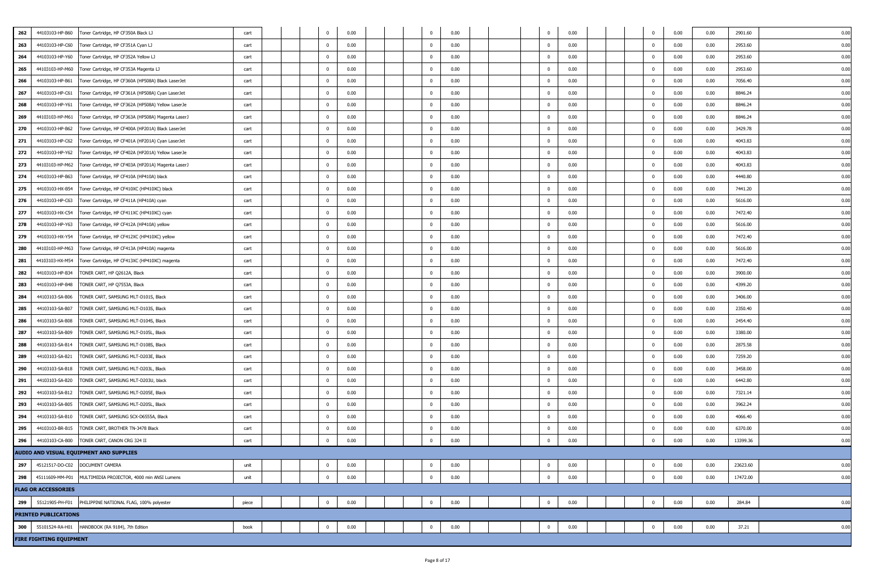| 262<br>44103103-HP-B60<br>0.00<br>0.00<br>0.00<br>0.00<br>0.00<br>2901.60<br>0.00<br>Toner Cartridge, HP CF350A Black LJ<br>cart<br>$\mathbf{0}$<br>$^{\circ}$<br>0<br>$\overline{0}$<br>0.00<br>263<br>44103103-HP-C60<br>Toner Cartridge, HP CF351A Cyan LJ<br>0.00<br>$\overline{0}$<br>0.00<br>$\mathbf 0$<br>0.00<br>0.00<br>2953.60<br>0.00<br>cart<br>$\Omega$<br>264<br>0.00<br>0.00<br>$\overline{0}$<br>0.00<br>44103103-HP-Y60<br>Toner Cartridge, HP CF352A Yellow LJ<br>cart<br>$^{\circ}$<br>$\overline{\mathbf{0}}$<br>$\mathbf{0}$<br>0.00<br>0.00<br>2953.60<br>0.00<br>265<br>44103103-HP-M60<br>0.00<br>$\mathbf 0$<br>0.00<br>$\overline{0}$<br>0.00<br>0.00<br>0.00<br>2953.60<br>0.00<br>Toner Cartridge, HP CF353A Magenta LJ<br>$^{\circ}$<br>cart<br>266<br>44103103-HP-B61<br>Toner Cartridge, HP CF360A (HP508A) Black LaserJet<br>0.00<br>$\mathbf 0$<br>0.00<br>$\overline{0}$<br>0.00<br>0.00<br>0.00<br>7056.40<br>0.00<br>cart<br>0<br>267<br>44103103-HP-C61<br>Toner Cartridge, HP CF361A (HP508A) Cyan LaserJet<br>0.00<br>0.00<br>$\overline{0}$<br>0.00<br>0.00<br>0.00<br>8846.24<br>0.00<br>$\mathbf{0}$<br>$\mathbf{0}$<br>cart<br>$\Omega$<br>268<br>44103103-HP-Y61<br>Toner Cartridge, HP CF362A (HP508A) Yellow LaserJe<br>0.00<br>$\mathbf 0$<br>0.00<br>$\overline{0}$<br>0.00<br>$\mathbf 0$<br>0.00<br>0.00<br>8846.24<br>0.00<br>cart<br>$\Omega$<br>269<br>44103103-HP-M61<br>0.00<br>$\overline{0}$<br>0.00<br>$\overline{0}$<br>0.00<br>0.00<br>0.00<br>8846.24<br>0.00<br>Toner Cartridge, HP CF363A (HP508A) Magenta LaserJ<br>$\Omega$<br>$\mathbf{0}$<br>cart<br>270<br>44103103-HP-B62<br>Toner Cartridge, HP CF400A (HP201A) Black LaserJet<br>0.00<br>$\mathbf 0$<br>0.00<br>$\overline{0}$<br>0.00<br>0.00<br>0.00<br>3429.78<br>0.00<br>cart<br>$\Omega$<br>$^{\circ}$<br>$\overline{0}$<br>0.00<br>0.00<br>4043.83<br>271<br>44103103-HP-C62<br>Toner Cartridge, HP CF401A (HP201A) Cyan LaserJet<br>$\Omega$<br>0.00<br>$\overline{\mathbf{0}}$<br>0.00<br>$\overline{0}$<br>0.00<br>0.00<br>cart<br>272<br>44103103-HP-Y62<br>Toner Cartridge, HP CF402A (HP201A) Yellow LaserJe<br>0.00<br>$\Omega$<br>0.00<br>$\overline{0}$<br>0.00<br>$\mathbf 0$<br>0.00<br>0.00<br>4043.83<br>0.00<br>cart<br>$\Omega$<br>273<br>44103103-HP-M62<br>0.00<br>$\mathbf 0$<br>0.00<br>$\overline{\mathbf{0}}$<br>0.00<br>0.00<br>0.00<br>4043.83<br>0.00<br>Toner Cartridge, HP CF403A (HP201A) Magenta LaserJ<br>cart<br>$\Omega$<br>$^{\circ}$<br>274<br>44103103-HP-B63<br>Toner Cartridge, HP CF410A (HP410A) black<br>0.00<br>$\overline{0}$<br>0.00<br>$\overline{0}$<br>0.00<br>$\mathbf 0$<br>0.00<br>0.00<br>4440.80<br>0.00<br>$\Omega$<br>cart<br>275<br>44103103-HX-B54<br>0.00<br>0.00<br>$\overline{0}$<br>0.00<br>0.00<br>0.00<br>0.00<br>Toner Cartridge, HP CF410XC (HP410XC) black<br>cart<br>$\overline{\mathbf{0}}$<br>$^{\circ}$<br>7441.20<br>276<br>44103103-HP-C63<br>0.00<br>$\mathbf{0}$<br>0.00<br>$\overline{0}$<br>0.00<br>$\overline{0}$<br>0.00<br>0.00<br>5616.00<br>0.00<br>Toner Cartridge, HP CF411A (HP410A) cyan<br>$\Omega$<br>cart<br>277<br>$\overline{0}$<br>0.00<br>$\overline{0}$<br>0.00<br>0.00<br>0.00<br>0.00<br>0.00<br>44103103-HX-C54<br>Toner Cartridge, HP CF411XC (HP410XC) cyan<br>cart<br>$^{\circ}$<br>7472.40<br>278<br>0.00<br>44103103-HP-Y63<br>0.00<br>$\overline{\mathbf{0}}$<br>0.00<br>$\overline{0}$<br>0.00<br>0.00<br>5616.00<br>0.00<br>Toner Cartridge, HP CF412A (HP410A) yellow<br>$\Omega$<br>$\mathbf{0}$<br>cart<br>279<br>44103103-HX-Y54<br>Toner Cartridge, HP CF412XC (HP410XC) yellow<br>0.00<br>$\overline{0}$<br>0.00<br>$\overline{0}$<br>0.00<br>$\mathbf 0$<br>0.00<br>0.00<br>7472.40<br>0.00<br>cart<br>$\Omega$<br>280<br>44103103-HP-M63<br>0.00<br>$\mathbf 0$<br>0.00<br>$\overline{0}$<br>0.00<br>0.00<br>0.00<br>5616.00<br>0.00<br>Toner Cartridge, HP CF413A (HP410A) magenta<br>$\mathbf{0}$<br>cart<br>$\Omega$<br>281<br>44103103-HX-M54<br>Toner Cartridge, HP CF413XC (HP410XC) magenta<br>0.00<br>$\mathbf 0$<br>0.00<br>$\overline{0}$<br>0.00<br>0.00<br>0.00<br>7472.40<br>0.00<br>cart<br>$\Omega$<br>$^{\circ}$<br>282<br>44103103-HP-B34<br>TONER CART, HP Q2612A, Black<br>0.00<br>0.00<br>$\overline{0}$<br>0.00<br>0.00<br>0.00<br>3900.00<br>$\overline{\mathbf{0}}$<br>$\mathbf{0}$<br>0.00<br>cart<br>$\Omega$<br>283<br>44103103-HP-B48<br>TONER CART, HP Q7553A, Black<br>0.00<br>$\mathbf 0$<br>0.00<br>$\overline{0}$<br>0.00<br>0.00<br>0.00<br>4399.20<br>0.00<br>cart<br>$\Omega$<br>$^{\circ}$<br>284<br>44103103-SA-B06<br>TONER CART, SAMSUNG MLT-D101S, Black<br>0.00<br>$\overline{0}$<br>0.00<br>$\overline{0}$<br>0.00<br>0.00<br>0.00<br>3406.00<br>0.00<br>$\Omega$<br>$^{\circ}$<br>cart<br>$\overline{0}$<br>0.00<br>285<br>44103103-SA-B07<br>TONER CART, SAMSUNG MLT-D103S, Black<br>0.00<br>$\Omega$<br>0.00<br>$\mathbf 0$<br>0.00<br>0.00<br>2350.40<br>0.00<br>$\Omega$<br>cart<br>286<br>44103103-SA-B08<br>TONER CART, SAMSUNG MLT-D104S, Black<br>$\Omega$<br>0.00<br>$\overline{\mathbf{0}}$<br>0.00<br>$\overline{0}$<br>0.00<br>$\overline{0}$<br>0.00<br>0.00<br>2454.40<br>0.00<br>cart<br>287<br>44103103-SA-B09<br>TONER CART, SAMSUNG MLT-D105L, Black<br>0.00<br>$\mathbf 0$<br>0.00<br>$\overline{0}$<br>0.00<br>$\overline{0}$<br>0.00<br>0.00<br>3380.00<br>0.00<br>cart<br>$\Omega$<br>288<br>44103103-SA-B14<br>0.00<br>$\mathbf 0$<br>0.00<br>$\overline{\mathbf{0}}$<br>0.00<br>0.00<br>0.00<br>2875.58<br>0.00<br>TONER CART, SAMSUNG MLT-D108S, Black<br>cart<br>$\Omega$<br>$^{\circ}$<br>289<br>44103103-SA-B21<br>TONER CART, SAMSUNG MLT-D203E, Black<br>0.00<br>$\overline{0}$<br>0.00<br>$\overline{0}$<br>0.00<br>0.00<br>0.00<br>7259.20<br>0.00<br>$\Omega$<br>0<br>cart<br>290<br>44103103-SA-B18<br>TONER CART, SAMSUNG MLT-D203L, Black<br>0.00<br>0.00<br>0.00<br>0.00<br>0.00<br>3458.00<br>cart<br>$\overline{\mathbf{0}}$<br>$\overline{\mathbf{0}}$<br>$^{\circ}$<br>0.00<br>291<br>44103103-SA-B20<br>TONER CART, SAMSUNG MLT-D203U, black<br>0.00<br>$\mathbf 0$<br>0.00<br>$\overline{0}$<br>0.00<br>$\mathbf 0$<br>0.00<br>0.00<br>6442.80<br>0.00<br>cart<br>$\Omega$<br>292<br>44103103-SA-B12<br>TONER CART, SAMSUNG MLT-D205E, Black<br>0.00<br>$\overline{0}$<br>0.00<br>$\overline{0}$<br>0.00<br>0.00<br>0.00<br>7321.14<br>0.00<br>cart<br>$^{\circ}$<br>0.00<br>293<br>44103103-SA-B05<br>TONER CART, SAMSUNG MLT-D205L, Black<br>0.00<br>$\overline{\mathbf{0}}$<br>0.00<br>$\overline{0}$<br>0.00<br>0.00<br>3962.24<br>0.00<br>$\Omega$<br>$\mathbf{0}$<br>cart<br>294<br>44103103-SA-B10<br>TONER CART, SAMSUNG SCX-D6555A, Black<br>0.00<br>$\mathbf 0$<br>0.00<br>$\overline{0}$<br>0.00<br>0.00<br>0.00<br>4066.40<br>cart<br>$\Omega$<br>0<br>0.00<br>295<br>TONER CART, BROTHER TN-3478 Black<br>0.00<br>$\mathbf 0$<br>0.00<br>$\overline{0}$<br>0.00<br>0.00<br>0.00<br>6370.00<br>0.00<br>44103103-BR-B15<br>0<br>cart<br>296<br>0.00<br>44103103-CA-B00<br>TONER CART, CANON CRG 324 II<br>0.00<br>$\Omega$<br>0.00<br>$\overline{0}$<br>0.00<br>0.00<br>13399.36<br>cart<br>$\Omega$<br>$\Omega$<br>0.00<br>AUDIO AND VISUAL EQUIPMENT AND SUPPLIES<br>297<br>45121517-DO-C02 DOCUMENT CAMERA<br>0.00<br>0.00<br>0.00<br>0.00<br>23623.60<br>$\overline{0}$<br>0.00<br>$\overline{0}$<br>0.00<br>unit<br>$\mathbf 0$<br>$\Omega$<br>$\overline{0}$<br>$\mathbf 0$<br>0.00<br>298<br>45111609-MM-P01 MULTIMEDIA PROJECTOR, 4000 min ANSI Lumens<br>0.00<br>0.00<br>$\mathbf 0$<br>0.00<br>0.00<br>17472.00<br>0.00<br>unit<br>$\Omega$<br><b>FLAG OR ACCESSORIES</b><br>299<br>55121905-PH-F01 PHILIPPINE NATIONAL FLAG, 100% polyester<br>0.00<br>$\overline{0}$<br>0.00<br>$\overline{0}$<br>0.00<br>0.00<br>0.00<br>284.84<br>0.00<br>piece<br>$\mathbf{0}$<br>$\mathbf{0}$<br><b>PRINTED PUBLICATIONS</b><br>55101524-RA-H01 HANDBOOK (RA 9184), 7th Edition<br>0.00<br>0.00<br>$\mathbf 0$<br>0.00<br>0.00<br>0.00<br>37.21<br>300<br>book<br>$\pmb{0}$<br>0.00<br>$\mathbf 0$<br>$\Omega$<br><b>FIRE FIGHTING EQUIPMENT</b> |  |  |  |  |  |  |  |  |  |  |  |  |
|----------------------------------------------------------------------------------------------------------------------------------------------------------------------------------------------------------------------------------------------------------------------------------------------------------------------------------------------------------------------------------------------------------------------------------------------------------------------------------------------------------------------------------------------------------------------------------------------------------------------------------------------------------------------------------------------------------------------------------------------------------------------------------------------------------------------------------------------------------------------------------------------------------------------------------------------------------------------------------------------------------------------------------------------------------------------------------------------------------------------------------------------------------------------------------------------------------------------------------------------------------------------------------------------------------------------------------------------------------------------------------------------------------------------------------------------------------------------------------------------------------------------------------------------------------------------------------------------------------------------------------------------------------------------------------------------------------------------------------------------------------------------------------------------------------------------------------------------------------------------------------------------------------------------------------------------------------------------------------------------------------------------------------------------------------------------------------------------------------------------------------------------------------------------------------------------------------------------------------------------------------------------------------------------------------------------------------------------------------------------------------------------------------------------------------------------------------------------------------------------------------------------------------------------------------------------------------------------------------------------------------------------------------------------------------------------------------------------------------------------------------------------------------------------------------------------------------------------------------------------------------------------------------------------------------------------------------------------------------------------------------------------------------------------------------------------------------------------------------------------------------------------------------------------------------------------------------------------------------------------------------------------------------------------------------------------------------------------------------------------------------------------------------------------------------------------------------------------------------------------------------------------------------------------------------------------------------------------------------------------------------------------------------------------------------------------------------------------------------------------------------------------------------------------------------------------------------------------------------------------------------------------------------------------------------------------------------------------------------------------------------------------------------------------------------------------------------------------------------------------------------------------------------------------------------------------------------------------------------------------------------------------------------------------------------------------------------------------------------------------------------------------------------------------------------------------------------------------------------------------------------------------------------------------------------------------------------------------------------------------------------------------------------------------------------------------------------------------------------------------------------------------------------------------------------------------------------------------------------------------------------------------------------------------------------------------------------------------------------------------------------------------------------------------------------------------------------------------------------------------------------------------------------------------------------------------------------------------------------------------------------------------------------------------------------------------------------------------------------------------------------------------------------------------------------------------------------------------------------------------------------------------------------------------------------------------------------------------------------------------------------------------------------------------------------------------------------------------------------------------------------------------------------------------------------------------------------------------------------------------------------------------------------------------------------------------------------------------------------------------------------------------------------------------------------------------------------------------------------------------------------------------------------------------------------------------------------------------------------------------------------------------------------------------------------------------------------------------------------------------------------------------------------------------------------------------------------------------------------------------------------------------------------------------------------------------------------------------------------------------------------------------------------------------------------------------------------------------------------------------------------------------------------------------------------------------------------------------------------------------------------------------------------------------------------------------------------------------------------------------------------------------------------------------------------------------------------------------------------------------------------------------------------------------------------------------------------------------------------------------------------------------------------------------------------------------------------------------------------------------------------------------------------------------------------------------------------------------------------------------------------------------------------------------------------------------------------------------------------------------------------------------------------------------------------------------------------------------------------------------------------------------------------------------------------------------------------------------------------------------------------------------------------------------------------------------------------------------------------------------------------------------------------------------------------------------------------------------|--|--|--|--|--|--|--|--|--|--|--|--|
|                                                                                                                                                                                                                                                                                                                                                                                                                                                                                                                                                                                                                                                                                                                                                                                                                                                                                                                                                                                                                                                                                                                                                                                                                                                                                                                                                                                                                                                                                                                                                                                                                                                                                                                                                                                                                                                                                                                                                                                                                                                                                                                                                                                                                                                                                                                                                                                                                                                                                                                                                                                                                                                                                                                                                                                                                                                                                                                                                                                                                                                                                                                                                                                                                                                                                                                                                                                                                                                                                                                                                                                                                                                                                                                                                                                                                                                                                                                                                                                                                                                                                                                                                                                                                                                                                                                                                                                                                                                                                                                                                                                                                                                                                                                                                                                                                                                                                                                                                                                                                                                                                                                                                                                                                                                                                                                                                                                                                                                                                                                                                                                                                                                                                                                                                                                                                                                                                                                                                                                                                                                                                                                                                                                                                                                                                                                                                                                                                                                                                                                                                                                                                                                                                                                                                                                                                                                                                                                                                                                                                                                                                                                                                                                                                                                                                                                                                                                                                                                                                                                                                                                                                                                                                                                                                                                                                                                                                                                                                                                                                                                                                              |  |  |  |  |  |  |  |  |  |  |  |  |
|                                                                                                                                                                                                                                                                                                                                                                                                                                                                                                                                                                                                                                                                                                                                                                                                                                                                                                                                                                                                                                                                                                                                                                                                                                                                                                                                                                                                                                                                                                                                                                                                                                                                                                                                                                                                                                                                                                                                                                                                                                                                                                                                                                                                                                                                                                                                                                                                                                                                                                                                                                                                                                                                                                                                                                                                                                                                                                                                                                                                                                                                                                                                                                                                                                                                                                                                                                                                                                                                                                                                                                                                                                                                                                                                                                                                                                                                                                                                                                                                                                                                                                                                                                                                                                                                                                                                                                                                                                                                                                                                                                                                                                                                                                                                                                                                                                                                                                                                                                                                                                                                                                                                                                                                                                                                                                                                                                                                                                                                                                                                                                                                                                                                                                                                                                                                                                                                                                                                                                                                                                                                                                                                                                                                                                                                                                                                                                                                                                                                                                                                                                                                                                                                                                                                                                                                                                                                                                                                                                                                                                                                                                                                                                                                                                                                                                                                                                                                                                                                                                                                                                                                                                                                                                                                                                                                                                                                                                                                                                                                                                                                                              |  |  |  |  |  |  |  |  |  |  |  |  |
|                                                                                                                                                                                                                                                                                                                                                                                                                                                                                                                                                                                                                                                                                                                                                                                                                                                                                                                                                                                                                                                                                                                                                                                                                                                                                                                                                                                                                                                                                                                                                                                                                                                                                                                                                                                                                                                                                                                                                                                                                                                                                                                                                                                                                                                                                                                                                                                                                                                                                                                                                                                                                                                                                                                                                                                                                                                                                                                                                                                                                                                                                                                                                                                                                                                                                                                                                                                                                                                                                                                                                                                                                                                                                                                                                                                                                                                                                                                                                                                                                                                                                                                                                                                                                                                                                                                                                                                                                                                                                                                                                                                                                                                                                                                                                                                                                                                                                                                                                                                                                                                                                                                                                                                                                                                                                                                                                                                                                                                                                                                                                                                                                                                                                                                                                                                                                                                                                                                                                                                                                                                                                                                                                                                                                                                                                                                                                                                                                                                                                                                                                                                                                                                                                                                                                                                                                                                                                                                                                                                                                                                                                                                                                                                                                                                                                                                                                                                                                                                                                                                                                                                                                                                                                                                                                                                                                                                                                                                                                                                                                                                                                              |  |  |  |  |  |  |  |  |  |  |  |  |
|                                                                                                                                                                                                                                                                                                                                                                                                                                                                                                                                                                                                                                                                                                                                                                                                                                                                                                                                                                                                                                                                                                                                                                                                                                                                                                                                                                                                                                                                                                                                                                                                                                                                                                                                                                                                                                                                                                                                                                                                                                                                                                                                                                                                                                                                                                                                                                                                                                                                                                                                                                                                                                                                                                                                                                                                                                                                                                                                                                                                                                                                                                                                                                                                                                                                                                                                                                                                                                                                                                                                                                                                                                                                                                                                                                                                                                                                                                                                                                                                                                                                                                                                                                                                                                                                                                                                                                                                                                                                                                                                                                                                                                                                                                                                                                                                                                                                                                                                                                                                                                                                                                                                                                                                                                                                                                                                                                                                                                                                                                                                                                                                                                                                                                                                                                                                                                                                                                                                                                                                                                                                                                                                                                                                                                                                                                                                                                                                                                                                                                                                                                                                                                                                                                                                                                                                                                                                                                                                                                                                                                                                                                                                                                                                                                                                                                                                                                                                                                                                                                                                                                                                                                                                                                                                                                                                                                                                                                                                                                                                                                                                                              |  |  |  |  |  |  |  |  |  |  |  |  |
|                                                                                                                                                                                                                                                                                                                                                                                                                                                                                                                                                                                                                                                                                                                                                                                                                                                                                                                                                                                                                                                                                                                                                                                                                                                                                                                                                                                                                                                                                                                                                                                                                                                                                                                                                                                                                                                                                                                                                                                                                                                                                                                                                                                                                                                                                                                                                                                                                                                                                                                                                                                                                                                                                                                                                                                                                                                                                                                                                                                                                                                                                                                                                                                                                                                                                                                                                                                                                                                                                                                                                                                                                                                                                                                                                                                                                                                                                                                                                                                                                                                                                                                                                                                                                                                                                                                                                                                                                                                                                                                                                                                                                                                                                                                                                                                                                                                                                                                                                                                                                                                                                                                                                                                                                                                                                                                                                                                                                                                                                                                                                                                                                                                                                                                                                                                                                                                                                                                                                                                                                                                                                                                                                                                                                                                                                                                                                                                                                                                                                                                                                                                                                                                                                                                                                                                                                                                                                                                                                                                                                                                                                                                                                                                                                                                                                                                                                                                                                                                                                                                                                                                                                                                                                                                                                                                                                                                                                                                                                                                                                                                                                              |  |  |  |  |  |  |  |  |  |  |  |  |
|                                                                                                                                                                                                                                                                                                                                                                                                                                                                                                                                                                                                                                                                                                                                                                                                                                                                                                                                                                                                                                                                                                                                                                                                                                                                                                                                                                                                                                                                                                                                                                                                                                                                                                                                                                                                                                                                                                                                                                                                                                                                                                                                                                                                                                                                                                                                                                                                                                                                                                                                                                                                                                                                                                                                                                                                                                                                                                                                                                                                                                                                                                                                                                                                                                                                                                                                                                                                                                                                                                                                                                                                                                                                                                                                                                                                                                                                                                                                                                                                                                                                                                                                                                                                                                                                                                                                                                                                                                                                                                                                                                                                                                                                                                                                                                                                                                                                                                                                                                                                                                                                                                                                                                                                                                                                                                                                                                                                                                                                                                                                                                                                                                                                                                                                                                                                                                                                                                                                                                                                                                                                                                                                                                                                                                                                                                                                                                                                                                                                                                                                                                                                                                                                                                                                                                                                                                                                                                                                                                                                                                                                                                                                                                                                                                                                                                                                                                                                                                                                                                                                                                                                                                                                                                                                                                                                                                                                                                                                                                                                                                                                                              |  |  |  |  |  |  |  |  |  |  |  |  |
|                                                                                                                                                                                                                                                                                                                                                                                                                                                                                                                                                                                                                                                                                                                                                                                                                                                                                                                                                                                                                                                                                                                                                                                                                                                                                                                                                                                                                                                                                                                                                                                                                                                                                                                                                                                                                                                                                                                                                                                                                                                                                                                                                                                                                                                                                                                                                                                                                                                                                                                                                                                                                                                                                                                                                                                                                                                                                                                                                                                                                                                                                                                                                                                                                                                                                                                                                                                                                                                                                                                                                                                                                                                                                                                                                                                                                                                                                                                                                                                                                                                                                                                                                                                                                                                                                                                                                                                                                                                                                                                                                                                                                                                                                                                                                                                                                                                                                                                                                                                                                                                                                                                                                                                                                                                                                                                                                                                                                                                                                                                                                                                                                                                                                                                                                                                                                                                                                                                                                                                                                                                                                                                                                                                                                                                                                                                                                                                                                                                                                                                                                                                                                                                                                                                                                                                                                                                                                                                                                                                                                                                                                                                                                                                                                                                                                                                                                                                                                                                                                                                                                                                                                                                                                                                                                                                                                                                                                                                                                                                                                                                                                              |  |  |  |  |  |  |  |  |  |  |  |  |
|                                                                                                                                                                                                                                                                                                                                                                                                                                                                                                                                                                                                                                                                                                                                                                                                                                                                                                                                                                                                                                                                                                                                                                                                                                                                                                                                                                                                                                                                                                                                                                                                                                                                                                                                                                                                                                                                                                                                                                                                                                                                                                                                                                                                                                                                                                                                                                                                                                                                                                                                                                                                                                                                                                                                                                                                                                                                                                                                                                                                                                                                                                                                                                                                                                                                                                                                                                                                                                                                                                                                                                                                                                                                                                                                                                                                                                                                                                                                                                                                                                                                                                                                                                                                                                                                                                                                                                                                                                                                                                                                                                                                                                                                                                                                                                                                                                                                                                                                                                                                                                                                                                                                                                                                                                                                                                                                                                                                                                                                                                                                                                                                                                                                                                                                                                                                                                                                                                                                                                                                                                                                                                                                                                                                                                                                                                                                                                                                                                                                                                                                                                                                                                                                                                                                                                                                                                                                                                                                                                                                                                                                                                                                                                                                                                                                                                                                                                                                                                                                                                                                                                                                                                                                                                                                                                                                                                                                                                                                                                                                                                                                                              |  |  |  |  |  |  |  |  |  |  |  |  |
|                                                                                                                                                                                                                                                                                                                                                                                                                                                                                                                                                                                                                                                                                                                                                                                                                                                                                                                                                                                                                                                                                                                                                                                                                                                                                                                                                                                                                                                                                                                                                                                                                                                                                                                                                                                                                                                                                                                                                                                                                                                                                                                                                                                                                                                                                                                                                                                                                                                                                                                                                                                                                                                                                                                                                                                                                                                                                                                                                                                                                                                                                                                                                                                                                                                                                                                                                                                                                                                                                                                                                                                                                                                                                                                                                                                                                                                                                                                                                                                                                                                                                                                                                                                                                                                                                                                                                                                                                                                                                                                                                                                                                                                                                                                                                                                                                                                                                                                                                                                                                                                                                                                                                                                                                                                                                                                                                                                                                                                                                                                                                                                                                                                                                                                                                                                                                                                                                                                                                                                                                                                                                                                                                                                                                                                                                                                                                                                                                                                                                                                                                                                                                                                                                                                                                                                                                                                                                                                                                                                                                                                                                                                                                                                                                                                                                                                                                                                                                                                                                                                                                                                                                                                                                                                                                                                                                                                                                                                                                                                                                                                                                              |  |  |  |  |  |  |  |  |  |  |  |  |
|                                                                                                                                                                                                                                                                                                                                                                                                                                                                                                                                                                                                                                                                                                                                                                                                                                                                                                                                                                                                                                                                                                                                                                                                                                                                                                                                                                                                                                                                                                                                                                                                                                                                                                                                                                                                                                                                                                                                                                                                                                                                                                                                                                                                                                                                                                                                                                                                                                                                                                                                                                                                                                                                                                                                                                                                                                                                                                                                                                                                                                                                                                                                                                                                                                                                                                                                                                                                                                                                                                                                                                                                                                                                                                                                                                                                                                                                                                                                                                                                                                                                                                                                                                                                                                                                                                                                                                                                                                                                                                                                                                                                                                                                                                                                                                                                                                                                                                                                                                                                                                                                                                                                                                                                                                                                                                                                                                                                                                                                                                                                                                                                                                                                                                                                                                                                                                                                                                                                                                                                                                                                                                                                                                                                                                                                                                                                                                                                                                                                                                                                                                                                                                                                                                                                                                                                                                                                                                                                                                                                                                                                                                                                                                                                                                                                                                                                                                                                                                                                                                                                                                                                                                                                                                                                                                                                                                                                                                                                                                                                                                                                                              |  |  |  |  |  |  |  |  |  |  |  |  |
|                                                                                                                                                                                                                                                                                                                                                                                                                                                                                                                                                                                                                                                                                                                                                                                                                                                                                                                                                                                                                                                                                                                                                                                                                                                                                                                                                                                                                                                                                                                                                                                                                                                                                                                                                                                                                                                                                                                                                                                                                                                                                                                                                                                                                                                                                                                                                                                                                                                                                                                                                                                                                                                                                                                                                                                                                                                                                                                                                                                                                                                                                                                                                                                                                                                                                                                                                                                                                                                                                                                                                                                                                                                                                                                                                                                                                                                                                                                                                                                                                                                                                                                                                                                                                                                                                                                                                                                                                                                                                                                                                                                                                                                                                                                                                                                                                                                                                                                                                                                                                                                                                                                                                                                                                                                                                                                                                                                                                                                                                                                                                                                                                                                                                                                                                                                                                                                                                                                                                                                                                                                                                                                                                                                                                                                                                                                                                                                                                                                                                                                                                                                                                                                                                                                                                                                                                                                                                                                                                                                                                                                                                                                                                                                                                                                                                                                                                                                                                                                                                                                                                                                                                                                                                                                                                                                                                                                                                                                                                                                                                                                                                              |  |  |  |  |  |  |  |  |  |  |  |  |
|                                                                                                                                                                                                                                                                                                                                                                                                                                                                                                                                                                                                                                                                                                                                                                                                                                                                                                                                                                                                                                                                                                                                                                                                                                                                                                                                                                                                                                                                                                                                                                                                                                                                                                                                                                                                                                                                                                                                                                                                                                                                                                                                                                                                                                                                                                                                                                                                                                                                                                                                                                                                                                                                                                                                                                                                                                                                                                                                                                                                                                                                                                                                                                                                                                                                                                                                                                                                                                                                                                                                                                                                                                                                                                                                                                                                                                                                                                                                                                                                                                                                                                                                                                                                                                                                                                                                                                                                                                                                                                                                                                                                                                                                                                                                                                                                                                                                                                                                                                                                                                                                                                                                                                                                                                                                                                                                                                                                                                                                                                                                                                                                                                                                                                                                                                                                                                                                                                                                                                                                                                                                                                                                                                                                                                                                                                                                                                                                                                                                                                                                                                                                                                                                                                                                                                                                                                                                                                                                                                                                                                                                                                                                                                                                                                                                                                                                                                                                                                                                                                                                                                                                                                                                                                                                                                                                                                                                                                                                                                                                                                                                                              |  |  |  |  |  |  |  |  |  |  |  |  |
|                                                                                                                                                                                                                                                                                                                                                                                                                                                                                                                                                                                                                                                                                                                                                                                                                                                                                                                                                                                                                                                                                                                                                                                                                                                                                                                                                                                                                                                                                                                                                                                                                                                                                                                                                                                                                                                                                                                                                                                                                                                                                                                                                                                                                                                                                                                                                                                                                                                                                                                                                                                                                                                                                                                                                                                                                                                                                                                                                                                                                                                                                                                                                                                                                                                                                                                                                                                                                                                                                                                                                                                                                                                                                                                                                                                                                                                                                                                                                                                                                                                                                                                                                                                                                                                                                                                                                                                                                                                                                                                                                                                                                                                                                                                                                                                                                                                                                                                                                                                                                                                                                                                                                                                                                                                                                                                                                                                                                                                                                                                                                                                                                                                                                                                                                                                                                                                                                                                                                                                                                                                                                                                                                                                                                                                                                                                                                                                                                                                                                                                                                                                                                                                                                                                                                                                                                                                                                                                                                                                                                                                                                                                                                                                                                                                                                                                                                                                                                                                                                                                                                                                                                                                                                                                                                                                                                                                                                                                                                                                                                                                                                              |  |  |  |  |  |  |  |  |  |  |  |  |
|                                                                                                                                                                                                                                                                                                                                                                                                                                                                                                                                                                                                                                                                                                                                                                                                                                                                                                                                                                                                                                                                                                                                                                                                                                                                                                                                                                                                                                                                                                                                                                                                                                                                                                                                                                                                                                                                                                                                                                                                                                                                                                                                                                                                                                                                                                                                                                                                                                                                                                                                                                                                                                                                                                                                                                                                                                                                                                                                                                                                                                                                                                                                                                                                                                                                                                                                                                                                                                                                                                                                                                                                                                                                                                                                                                                                                                                                                                                                                                                                                                                                                                                                                                                                                                                                                                                                                                                                                                                                                                                                                                                                                                                                                                                                                                                                                                                                                                                                                                                                                                                                                                                                                                                                                                                                                                                                                                                                                                                                                                                                                                                                                                                                                                                                                                                                                                                                                                                                                                                                                                                                                                                                                                                                                                                                                                                                                                                                                                                                                                                                                                                                                                                                                                                                                                                                                                                                                                                                                                                                                                                                                                                                                                                                                                                                                                                                                                                                                                                                                                                                                                                                                                                                                                                                                                                                                                                                                                                                                                                                                                                                                              |  |  |  |  |  |  |  |  |  |  |  |  |
|                                                                                                                                                                                                                                                                                                                                                                                                                                                                                                                                                                                                                                                                                                                                                                                                                                                                                                                                                                                                                                                                                                                                                                                                                                                                                                                                                                                                                                                                                                                                                                                                                                                                                                                                                                                                                                                                                                                                                                                                                                                                                                                                                                                                                                                                                                                                                                                                                                                                                                                                                                                                                                                                                                                                                                                                                                                                                                                                                                                                                                                                                                                                                                                                                                                                                                                                                                                                                                                                                                                                                                                                                                                                                                                                                                                                                                                                                                                                                                                                                                                                                                                                                                                                                                                                                                                                                                                                                                                                                                                                                                                                                                                                                                                                                                                                                                                                                                                                                                                                                                                                                                                                                                                                                                                                                                                                                                                                                                                                                                                                                                                                                                                                                                                                                                                                                                                                                                                                                                                                                                                                                                                                                                                                                                                                                                                                                                                                                                                                                                                                                                                                                                                                                                                                                                                                                                                                                                                                                                                                                                                                                                                                                                                                                                                                                                                                                                                                                                                                                                                                                                                                                                                                                                                                                                                                                                                                                                                                                                                                                                                                                              |  |  |  |  |  |  |  |  |  |  |  |  |
|                                                                                                                                                                                                                                                                                                                                                                                                                                                                                                                                                                                                                                                                                                                                                                                                                                                                                                                                                                                                                                                                                                                                                                                                                                                                                                                                                                                                                                                                                                                                                                                                                                                                                                                                                                                                                                                                                                                                                                                                                                                                                                                                                                                                                                                                                                                                                                                                                                                                                                                                                                                                                                                                                                                                                                                                                                                                                                                                                                                                                                                                                                                                                                                                                                                                                                                                                                                                                                                                                                                                                                                                                                                                                                                                                                                                                                                                                                                                                                                                                                                                                                                                                                                                                                                                                                                                                                                                                                                                                                                                                                                                                                                                                                                                                                                                                                                                                                                                                                                                                                                                                                                                                                                                                                                                                                                                                                                                                                                                                                                                                                                                                                                                                                                                                                                                                                                                                                                                                                                                                                                                                                                                                                                                                                                                                                                                                                                                                                                                                                                                                                                                                                                                                                                                                                                                                                                                                                                                                                                                                                                                                                                                                                                                                                                                                                                                                                                                                                                                                                                                                                                                                                                                                                                                                                                                                                                                                                                                                                                                                                                                                              |  |  |  |  |  |  |  |  |  |  |  |  |
|                                                                                                                                                                                                                                                                                                                                                                                                                                                                                                                                                                                                                                                                                                                                                                                                                                                                                                                                                                                                                                                                                                                                                                                                                                                                                                                                                                                                                                                                                                                                                                                                                                                                                                                                                                                                                                                                                                                                                                                                                                                                                                                                                                                                                                                                                                                                                                                                                                                                                                                                                                                                                                                                                                                                                                                                                                                                                                                                                                                                                                                                                                                                                                                                                                                                                                                                                                                                                                                                                                                                                                                                                                                                                                                                                                                                                                                                                                                                                                                                                                                                                                                                                                                                                                                                                                                                                                                                                                                                                                                                                                                                                                                                                                                                                                                                                                                                                                                                                                                                                                                                                                                                                                                                                                                                                                                                                                                                                                                                                                                                                                                                                                                                                                                                                                                                                                                                                                                                                                                                                                                                                                                                                                                                                                                                                                                                                                                                                                                                                                                                                                                                                                                                                                                                                                                                                                                                                                                                                                                                                                                                                                                                                                                                                                                                                                                                                                                                                                                                                                                                                                                                                                                                                                                                                                                                                                                                                                                                                                                                                                                                                              |  |  |  |  |  |  |  |  |  |  |  |  |
|                                                                                                                                                                                                                                                                                                                                                                                                                                                                                                                                                                                                                                                                                                                                                                                                                                                                                                                                                                                                                                                                                                                                                                                                                                                                                                                                                                                                                                                                                                                                                                                                                                                                                                                                                                                                                                                                                                                                                                                                                                                                                                                                                                                                                                                                                                                                                                                                                                                                                                                                                                                                                                                                                                                                                                                                                                                                                                                                                                                                                                                                                                                                                                                                                                                                                                                                                                                                                                                                                                                                                                                                                                                                                                                                                                                                                                                                                                                                                                                                                                                                                                                                                                                                                                                                                                                                                                                                                                                                                                                                                                                                                                                                                                                                                                                                                                                                                                                                                                                                                                                                                                                                                                                                                                                                                                                                                                                                                                                                                                                                                                                                                                                                                                                                                                                                                                                                                                                                                                                                                                                                                                                                                                                                                                                                                                                                                                                                                                                                                                                                                                                                                                                                                                                                                                                                                                                                                                                                                                                                                                                                                                                                                                                                                                                                                                                                                                                                                                                                                                                                                                                                                                                                                                                                                                                                                                                                                                                                                                                                                                                                                              |  |  |  |  |  |  |  |  |  |  |  |  |
|                                                                                                                                                                                                                                                                                                                                                                                                                                                                                                                                                                                                                                                                                                                                                                                                                                                                                                                                                                                                                                                                                                                                                                                                                                                                                                                                                                                                                                                                                                                                                                                                                                                                                                                                                                                                                                                                                                                                                                                                                                                                                                                                                                                                                                                                                                                                                                                                                                                                                                                                                                                                                                                                                                                                                                                                                                                                                                                                                                                                                                                                                                                                                                                                                                                                                                                                                                                                                                                                                                                                                                                                                                                                                                                                                                                                                                                                                                                                                                                                                                                                                                                                                                                                                                                                                                                                                                                                                                                                                                                                                                                                                                                                                                                                                                                                                                                                                                                                                                                                                                                                                                                                                                                                                                                                                                                                                                                                                                                                                                                                                                                                                                                                                                                                                                                                                                                                                                                                                                                                                                                                                                                                                                                                                                                                                                                                                                                                                                                                                                                                                                                                                                                                                                                                                                                                                                                                                                                                                                                                                                                                                                                                                                                                                                                                                                                                                                                                                                                                                                                                                                                                                                                                                                                                                                                                                                                                                                                                                                                                                                                                                              |  |  |  |  |  |  |  |  |  |  |  |  |
|                                                                                                                                                                                                                                                                                                                                                                                                                                                                                                                                                                                                                                                                                                                                                                                                                                                                                                                                                                                                                                                                                                                                                                                                                                                                                                                                                                                                                                                                                                                                                                                                                                                                                                                                                                                                                                                                                                                                                                                                                                                                                                                                                                                                                                                                                                                                                                                                                                                                                                                                                                                                                                                                                                                                                                                                                                                                                                                                                                                                                                                                                                                                                                                                                                                                                                                                                                                                                                                                                                                                                                                                                                                                                                                                                                                                                                                                                                                                                                                                                                                                                                                                                                                                                                                                                                                                                                                                                                                                                                                                                                                                                                                                                                                                                                                                                                                                                                                                                                                                                                                                                                                                                                                                                                                                                                                                                                                                                                                                                                                                                                                                                                                                                                                                                                                                                                                                                                                                                                                                                                                                                                                                                                                                                                                                                                                                                                                                                                                                                                                                                                                                                                                                                                                                                                                                                                                                                                                                                                                                                                                                                                                                                                                                                                                                                                                                                                                                                                                                                                                                                                                                                                                                                                                                                                                                                                                                                                                                                                                                                                                                                              |  |  |  |  |  |  |  |  |  |  |  |  |
|                                                                                                                                                                                                                                                                                                                                                                                                                                                                                                                                                                                                                                                                                                                                                                                                                                                                                                                                                                                                                                                                                                                                                                                                                                                                                                                                                                                                                                                                                                                                                                                                                                                                                                                                                                                                                                                                                                                                                                                                                                                                                                                                                                                                                                                                                                                                                                                                                                                                                                                                                                                                                                                                                                                                                                                                                                                                                                                                                                                                                                                                                                                                                                                                                                                                                                                                                                                                                                                                                                                                                                                                                                                                                                                                                                                                                                                                                                                                                                                                                                                                                                                                                                                                                                                                                                                                                                                                                                                                                                                                                                                                                                                                                                                                                                                                                                                                                                                                                                                                                                                                                                                                                                                                                                                                                                                                                                                                                                                                                                                                                                                                                                                                                                                                                                                                                                                                                                                                                                                                                                                                                                                                                                                                                                                                                                                                                                                                                                                                                                                                                                                                                                                                                                                                                                                                                                                                                                                                                                                                                                                                                                                                                                                                                                                                                                                                                                                                                                                                                                                                                                                                                                                                                                                                                                                                                                                                                                                                                                                                                                                                                              |  |  |  |  |  |  |  |  |  |  |  |  |
|                                                                                                                                                                                                                                                                                                                                                                                                                                                                                                                                                                                                                                                                                                                                                                                                                                                                                                                                                                                                                                                                                                                                                                                                                                                                                                                                                                                                                                                                                                                                                                                                                                                                                                                                                                                                                                                                                                                                                                                                                                                                                                                                                                                                                                                                                                                                                                                                                                                                                                                                                                                                                                                                                                                                                                                                                                                                                                                                                                                                                                                                                                                                                                                                                                                                                                                                                                                                                                                                                                                                                                                                                                                                                                                                                                                                                                                                                                                                                                                                                                                                                                                                                                                                                                                                                                                                                                                                                                                                                                                                                                                                                                                                                                                                                                                                                                                                                                                                                                                                                                                                                                                                                                                                                                                                                                                                                                                                                                                                                                                                                                                                                                                                                                                                                                                                                                                                                                                                                                                                                                                                                                                                                                                                                                                                                                                                                                                                                                                                                                                                                                                                                                                                                                                                                                                                                                                                                                                                                                                                                                                                                                                                                                                                                                                                                                                                                                                                                                                                                                                                                                                                                                                                                                                                                                                                                                                                                                                                                                                                                                                                                              |  |  |  |  |  |  |  |  |  |  |  |  |
|                                                                                                                                                                                                                                                                                                                                                                                                                                                                                                                                                                                                                                                                                                                                                                                                                                                                                                                                                                                                                                                                                                                                                                                                                                                                                                                                                                                                                                                                                                                                                                                                                                                                                                                                                                                                                                                                                                                                                                                                                                                                                                                                                                                                                                                                                                                                                                                                                                                                                                                                                                                                                                                                                                                                                                                                                                                                                                                                                                                                                                                                                                                                                                                                                                                                                                                                                                                                                                                                                                                                                                                                                                                                                                                                                                                                                                                                                                                                                                                                                                                                                                                                                                                                                                                                                                                                                                                                                                                                                                                                                                                                                                                                                                                                                                                                                                                                                                                                                                                                                                                                                                                                                                                                                                                                                                                                                                                                                                                                                                                                                                                                                                                                                                                                                                                                                                                                                                                                                                                                                                                                                                                                                                                                                                                                                                                                                                                                                                                                                                                                                                                                                                                                                                                                                                                                                                                                                                                                                                                                                                                                                                                                                                                                                                                                                                                                                                                                                                                                                                                                                                                                                                                                                                                                                                                                                                                                                                                                                                                                                                                                                              |  |  |  |  |  |  |  |  |  |  |  |  |
|                                                                                                                                                                                                                                                                                                                                                                                                                                                                                                                                                                                                                                                                                                                                                                                                                                                                                                                                                                                                                                                                                                                                                                                                                                                                                                                                                                                                                                                                                                                                                                                                                                                                                                                                                                                                                                                                                                                                                                                                                                                                                                                                                                                                                                                                                                                                                                                                                                                                                                                                                                                                                                                                                                                                                                                                                                                                                                                                                                                                                                                                                                                                                                                                                                                                                                                                                                                                                                                                                                                                                                                                                                                                                                                                                                                                                                                                                                                                                                                                                                                                                                                                                                                                                                                                                                                                                                                                                                                                                                                                                                                                                                                                                                                                                                                                                                                                                                                                                                                                                                                                                                                                                                                                                                                                                                                                                                                                                                                                                                                                                                                                                                                                                                                                                                                                                                                                                                                                                                                                                                                                                                                                                                                                                                                                                                                                                                                                                                                                                                                                                                                                                                                                                                                                                                                                                                                                                                                                                                                                                                                                                                                                                                                                                                                                                                                                                                                                                                                                                                                                                                                                                                                                                                                                                                                                                                                                                                                                                                                                                                                                                              |  |  |  |  |  |  |  |  |  |  |  |  |
|                                                                                                                                                                                                                                                                                                                                                                                                                                                                                                                                                                                                                                                                                                                                                                                                                                                                                                                                                                                                                                                                                                                                                                                                                                                                                                                                                                                                                                                                                                                                                                                                                                                                                                                                                                                                                                                                                                                                                                                                                                                                                                                                                                                                                                                                                                                                                                                                                                                                                                                                                                                                                                                                                                                                                                                                                                                                                                                                                                                                                                                                                                                                                                                                                                                                                                                                                                                                                                                                                                                                                                                                                                                                                                                                                                                                                                                                                                                                                                                                                                                                                                                                                                                                                                                                                                                                                                                                                                                                                                                                                                                                                                                                                                                                                                                                                                                                                                                                                                                                                                                                                                                                                                                                                                                                                                                                                                                                                                                                                                                                                                                                                                                                                                                                                                                                                                                                                                                                                                                                                                                                                                                                                                                                                                                                                                                                                                                                                                                                                                                                                                                                                                                                                                                                                                                                                                                                                                                                                                                                                                                                                                                                                                                                                                                                                                                                                                                                                                                                                                                                                                                                                                                                                                                                                                                                                                                                                                                                                                                                                                                                                              |  |  |  |  |  |  |  |  |  |  |  |  |
|                                                                                                                                                                                                                                                                                                                                                                                                                                                                                                                                                                                                                                                                                                                                                                                                                                                                                                                                                                                                                                                                                                                                                                                                                                                                                                                                                                                                                                                                                                                                                                                                                                                                                                                                                                                                                                                                                                                                                                                                                                                                                                                                                                                                                                                                                                                                                                                                                                                                                                                                                                                                                                                                                                                                                                                                                                                                                                                                                                                                                                                                                                                                                                                                                                                                                                                                                                                                                                                                                                                                                                                                                                                                                                                                                                                                                                                                                                                                                                                                                                                                                                                                                                                                                                                                                                                                                                                                                                                                                                                                                                                                                                                                                                                                                                                                                                                                                                                                                                                                                                                                                                                                                                                                                                                                                                                                                                                                                                                                                                                                                                                                                                                                                                                                                                                                                                                                                                                                                                                                                                                                                                                                                                                                                                                                                                                                                                                                                                                                                                                                                                                                                                                                                                                                                                                                                                                                                                                                                                                                                                                                                                                                                                                                                                                                                                                                                                                                                                                                                                                                                                                                                                                                                                                                                                                                                                                                                                                                                                                                                                                                                              |  |  |  |  |  |  |  |  |  |  |  |  |
|                                                                                                                                                                                                                                                                                                                                                                                                                                                                                                                                                                                                                                                                                                                                                                                                                                                                                                                                                                                                                                                                                                                                                                                                                                                                                                                                                                                                                                                                                                                                                                                                                                                                                                                                                                                                                                                                                                                                                                                                                                                                                                                                                                                                                                                                                                                                                                                                                                                                                                                                                                                                                                                                                                                                                                                                                                                                                                                                                                                                                                                                                                                                                                                                                                                                                                                                                                                                                                                                                                                                                                                                                                                                                                                                                                                                                                                                                                                                                                                                                                                                                                                                                                                                                                                                                                                                                                                                                                                                                                                                                                                                                                                                                                                                                                                                                                                                                                                                                                                                                                                                                                                                                                                                                                                                                                                                                                                                                                                                                                                                                                                                                                                                                                                                                                                                                                                                                                                                                                                                                                                                                                                                                                                                                                                                                                                                                                                                                                                                                                                                                                                                                                                                                                                                                                                                                                                                                                                                                                                                                                                                                                                                                                                                                                                                                                                                                                                                                                                                                                                                                                                                                                                                                                                                                                                                                                                                                                                                                                                                                                                                                              |  |  |  |  |  |  |  |  |  |  |  |  |
|                                                                                                                                                                                                                                                                                                                                                                                                                                                                                                                                                                                                                                                                                                                                                                                                                                                                                                                                                                                                                                                                                                                                                                                                                                                                                                                                                                                                                                                                                                                                                                                                                                                                                                                                                                                                                                                                                                                                                                                                                                                                                                                                                                                                                                                                                                                                                                                                                                                                                                                                                                                                                                                                                                                                                                                                                                                                                                                                                                                                                                                                                                                                                                                                                                                                                                                                                                                                                                                                                                                                                                                                                                                                                                                                                                                                                                                                                                                                                                                                                                                                                                                                                                                                                                                                                                                                                                                                                                                                                                                                                                                                                                                                                                                                                                                                                                                                                                                                                                                                                                                                                                                                                                                                                                                                                                                                                                                                                                                                                                                                                                                                                                                                                                                                                                                                                                                                                                                                                                                                                                                                                                                                                                                                                                                                                                                                                                                                                                                                                                                                                                                                                                                                                                                                                                                                                                                                                                                                                                                                                                                                                                                                                                                                                                                                                                                                                                                                                                                                                                                                                                                                                                                                                                                                                                                                                                                                                                                                                                                                                                                                                              |  |  |  |  |  |  |  |  |  |  |  |  |
|                                                                                                                                                                                                                                                                                                                                                                                                                                                                                                                                                                                                                                                                                                                                                                                                                                                                                                                                                                                                                                                                                                                                                                                                                                                                                                                                                                                                                                                                                                                                                                                                                                                                                                                                                                                                                                                                                                                                                                                                                                                                                                                                                                                                                                                                                                                                                                                                                                                                                                                                                                                                                                                                                                                                                                                                                                                                                                                                                                                                                                                                                                                                                                                                                                                                                                                                                                                                                                                                                                                                                                                                                                                                                                                                                                                                                                                                                                                                                                                                                                                                                                                                                                                                                                                                                                                                                                                                                                                                                                                                                                                                                                                                                                                                                                                                                                                                                                                                                                                                                                                                                                                                                                                                                                                                                                                                                                                                                                                                                                                                                                                                                                                                                                                                                                                                                                                                                                                                                                                                                                                                                                                                                                                                                                                                                                                                                                                                                                                                                                                                                                                                                                                                                                                                                                                                                                                                                                                                                                                                                                                                                                                                                                                                                                                                                                                                                                                                                                                                                                                                                                                                                                                                                                                                                                                                                                                                                                                                                                                                                                                                                              |  |  |  |  |  |  |  |  |  |  |  |  |
|                                                                                                                                                                                                                                                                                                                                                                                                                                                                                                                                                                                                                                                                                                                                                                                                                                                                                                                                                                                                                                                                                                                                                                                                                                                                                                                                                                                                                                                                                                                                                                                                                                                                                                                                                                                                                                                                                                                                                                                                                                                                                                                                                                                                                                                                                                                                                                                                                                                                                                                                                                                                                                                                                                                                                                                                                                                                                                                                                                                                                                                                                                                                                                                                                                                                                                                                                                                                                                                                                                                                                                                                                                                                                                                                                                                                                                                                                                                                                                                                                                                                                                                                                                                                                                                                                                                                                                                                                                                                                                                                                                                                                                                                                                                                                                                                                                                                                                                                                                                                                                                                                                                                                                                                                                                                                                                                                                                                                                                                                                                                                                                                                                                                                                                                                                                                                                                                                                                                                                                                                                                                                                                                                                                                                                                                                                                                                                                                                                                                                                                                                                                                                                                                                                                                                                                                                                                                                                                                                                                                                                                                                                                                                                                                                                                                                                                                                                                                                                                                                                                                                                                                                                                                                                                                                                                                                                                                                                                                                                                                                                                                                              |  |  |  |  |  |  |  |  |  |  |  |  |
|                                                                                                                                                                                                                                                                                                                                                                                                                                                                                                                                                                                                                                                                                                                                                                                                                                                                                                                                                                                                                                                                                                                                                                                                                                                                                                                                                                                                                                                                                                                                                                                                                                                                                                                                                                                                                                                                                                                                                                                                                                                                                                                                                                                                                                                                                                                                                                                                                                                                                                                                                                                                                                                                                                                                                                                                                                                                                                                                                                                                                                                                                                                                                                                                                                                                                                                                                                                                                                                                                                                                                                                                                                                                                                                                                                                                                                                                                                                                                                                                                                                                                                                                                                                                                                                                                                                                                                                                                                                                                                                                                                                                                                                                                                                                                                                                                                                                                                                                                                                                                                                                                                                                                                                                                                                                                                                                                                                                                                                                                                                                                                                                                                                                                                                                                                                                                                                                                                                                                                                                                                                                                                                                                                                                                                                                                                                                                                                                                                                                                                                                                                                                                                                                                                                                                                                                                                                                                                                                                                                                                                                                                                                                                                                                                                                                                                                                                                                                                                                                                                                                                                                                                                                                                                                                                                                                                                                                                                                                                                                                                                                                                              |  |  |  |  |  |  |  |  |  |  |  |  |
|                                                                                                                                                                                                                                                                                                                                                                                                                                                                                                                                                                                                                                                                                                                                                                                                                                                                                                                                                                                                                                                                                                                                                                                                                                                                                                                                                                                                                                                                                                                                                                                                                                                                                                                                                                                                                                                                                                                                                                                                                                                                                                                                                                                                                                                                                                                                                                                                                                                                                                                                                                                                                                                                                                                                                                                                                                                                                                                                                                                                                                                                                                                                                                                                                                                                                                                                                                                                                                                                                                                                                                                                                                                                                                                                                                                                                                                                                                                                                                                                                                                                                                                                                                                                                                                                                                                                                                                                                                                                                                                                                                                                                                                                                                                                                                                                                                                                                                                                                                                                                                                                                                                                                                                                                                                                                                                                                                                                                                                                                                                                                                                                                                                                                                                                                                                                                                                                                                                                                                                                                                                                                                                                                                                                                                                                                                                                                                                                                                                                                                                                                                                                                                                                                                                                                                                                                                                                                                                                                                                                                                                                                                                                                                                                                                                                                                                                                                                                                                                                                                                                                                                                                                                                                                                                                                                                                                                                                                                                                                                                                                                                                              |  |  |  |  |  |  |  |  |  |  |  |  |
|                                                                                                                                                                                                                                                                                                                                                                                                                                                                                                                                                                                                                                                                                                                                                                                                                                                                                                                                                                                                                                                                                                                                                                                                                                                                                                                                                                                                                                                                                                                                                                                                                                                                                                                                                                                                                                                                                                                                                                                                                                                                                                                                                                                                                                                                                                                                                                                                                                                                                                                                                                                                                                                                                                                                                                                                                                                                                                                                                                                                                                                                                                                                                                                                                                                                                                                                                                                                                                                                                                                                                                                                                                                                                                                                                                                                                                                                                                                                                                                                                                                                                                                                                                                                                                                                                                                                                                                                                                                                                                                                                                                                                                                                                                                                                                                                                                                                                                                                                                                                                                                                                                                                                                                                                                                                                                                                                                                                                                                                                                                                                                                                                                                                                                                                                                                                                                                                                                                                                                                                                                                                                                                                                                                                                                                                                                                                                                                                                                                                                                                                                                                                                                                                                                                                                                                                                                                                                                                                                                                                                                                                                                                                                                                                                                                                                                                                                                                                                                                                                                                                                                                                                                                                                                                                                                                                                                                                                                                                                                                                                                                                                              |  |  |  |  |  |  |  |  |  |  |  |  |
|                                                                                                                                                                                                                                                                                                                                                                                                                                                                                                                                                                                                                                                                                                                                                                                                                                                                                                                                                                                                                                                                                                                                                                                                                                                                                                                                                                                                                                                                                                                                                                                                                                                                                                                                                                                                                                                                                                                                                                                                                                                                                                                                                                                                                                                                                                                                                                                                                                                                                                                                                                                                                                                                                                                                                                                                                                                                                                                                                                                                                                                                                                                                                                                                                                                                                                                                                                                                                                                                                                                                                                                                                                                                                                                                                                                                                                                                                                                                                                                                                                                                                                                                                                                                                                                                                                                                                                                                                                                                                                                                                                                                                                                                                                                                                                                                                                                                                                                                                                                                                                                                                                                                                                                                                                                                                                                                                                                                                                                                                                                                                                                                                                                                                                                                                                                                                                                                                                                                                                                                                                                                                                                                                                                                                                                                                                                                                                                                                                                                                                                                                                                                                                                                                                                                                                                                                                                                                                                                                                                                                                                                                                                                                                                                                                                                                                                                                                                                                                                                                                                                                                                                                                                                                                                                                                                                                                                                                                                                                                                                                                                                                              |  |  |  |  |  |  |  |  |  |  |  |  |
|                                                                                                                                                                                                                                                                                                                                                                                                                                                                                                                                                                                                                                                                                                                                                                                                                                                                                                                                                                                                                                                                                                                                                                                                                                                                                                                                                                                                                                                                                                                                                                                                                                                                                                                                                                                                                                                                                                                                                                                                                                                                                                                                                                                                                                                                                                                                                                                                                                                                                                                                                                                                                                                                                                                                                                                                                                                                                                                                                                                                                                                                                                                                                                                                                                                                                                                                                                                                                                                                                                                                                                                                                                                                                                                                                                                                                                                                                                                                                                                                                                                                                                                                                                                                                                                                                                                                                                                                                                                                                                                                                                                                                                                                                                                                                                                                                                                                                                                                                                                                                                                                                                                                                                                                                                                                                                                                                                                                                                                                                                                                                                                                                                                                                                                                                                                                                                                                                                                                                                                                                                                                                                                                                                                                                                                                                                                                                                                                                                                                                                                                                                                                                                                                                                                                                                                                                                                                                                                                                                                                                                                                                                                                                                                                                                                                                                                                                                                                                                                                                                                                                                                                                                                                                                                                                                                                                                                                                                                                                                                                                                                                                              |  |  |  |  |  |  |  |  |  |  |  |  |
|                                                                                                                                                                                                                                                                                                                                                                                                                                                                                                                                                                                                                                                                                                                                                                                                                                                                                                                                                                                                                                                                                                                                                                                                                                                                                                                                                                                                                                                                                                                                                                                                                                                                                                                                                                                                                                                                                                                                                                                                                                                                                                                                                                                                                                                                                                                                                                                                                                                                                                                                                                                                                                                                                                                                                                                                                                                                                                                                                                                                                                                                                                                                                                                                                                                                                                                                                                                                                                                                                                                                                                                                                                                                                                                                                                                                                                                                                                                                                                                                                                                                                                                                                                                                                                                                                                                                                                                                                                                                                                                                                                                                                                                                                                                                                                                                                                                                                                                                                                                                                                                                                                                                                                                                                                                                                                                                                                                                                                                                                                                                                                                                                                                                                                                                                                                                                                                                                                                                                                                                                                                                                                                                                                                                                                                                                                                                                                                                                                                                                                                                                                                                                                                                                                                                                                                                                                                                                                                                                                                                                                                                                                                                                                                                                                                                                                                                                                                                                                                                                                                                                                                                                                                                                                                                                                                                                                                                                                                                                                                                                                                                                              |  |  |  |  |  |  |  |  |  |  |  |  |
|                                                                                                                                                                                                                                                                                                                                                                                                                                                                                                                                                                                                                                                                                                                                                                                                                                                                                                                                                                                                                                                                                                                                                                                                                                                                                                                                                                                                                                                                                                                                                                                                                                                                                                                                                                                                                                                                                                                                                                                                                                                                                                                                                                                                                                                                                                                                                                                                                                                                                                                                                                                                                                                                                                                                                                                                                                                                                                                                                                                                                                                                                                                                                                                                                                                                                                                                                                                                                                                                                                                                                                                                                                                                                                                                                                                                                                                                                                                                                                                                                                                                                                                                                                                                                                                                                                                                                                                                                                                                                                                                                                                                                                                                                                                                                                                                                                                                                                                                                                                                                                                                                                                                                                                                                                                                                                                                                                                                                                                                                                                                                                                                                                                                                                                                                                                                                                                                                                                                                                                                                                                                                                                                                                                                                                                                                                                                                                                                                                                                                                                                                                                                                                                                                                                                                                                                                                                                                                                                                                                                                                                                                                                                                                                                                                                                                                                                                                                                                                                                                                                                                                                                                                                                                                                                                                                                                                                                                                                                                                                                                                                                                              |  |  |  |  |  |  |  |  |  |  |  |  |
|                                                                                                                                                                                                                                                                                                                                                                                                                                                                                                                                                                                                                                                                                                                                                                                                                                                                                                                                                                                                                                                                                                                                                                                                                                                                                                                                                                                                                                                                                                                                                                                                                                                                                                                                                                                                                                                                                                                                                                                                                                                                                                                                                                                                                                                                                                                                                                                                                                                                                                                                                                                                                                                                                                                                                                                                                                                                                                                                                                                                                                                                                                                                                                                                                                                                                                                                                                                                                                                                                                                                                                                                                                                                                                                                                                                                                                                                                                                                                                                                                                                                                                                                                                                                                                                                                                                                                                                                                                                                                                                                                                                                                                                                                                                                                                                                                                                                                                                                                                                                                                                                                                                                                                                                                                                                                                                                                                                                                                                                                                                                                                                                                                                                                                                                                                                                                                                                                                                                                                                                                                                                                                                                                                                                                                                                                                                                                                                                                                                                                                                                                                                                                                                                                                                                                                                                                                                                                                                                                                                                                                                                                                                                                                                                                                                                                                                                                                                                                                                                                                                                                                                                                                                                                                                                                                                                                                                                                                                                                                                                                                                                                              |  |  |  |  |  |  |  |  |  |  |  |  |
|                                                                                                                                                                                                                                                                                                                                                                                                                                                                                                                                                                                                                                                                                                                                                                                                                                                                                                                                                                                                                                                                                                                                                                                                                                                                                                                                                                                                                                                                                                                                                                                                                                                                                                                                                                                                                                                                                                                                                                                                                                                                                                                                                                                                                                                                                                                                                                                                                                                                                                                                                                                                                                                                                                                                                                                                                                                                                                                                                                                                                                                                                                                                                                                                                                                                                                                                                                                                                                                                                                                                                                                                                                                                                                                                                                                                                                                                                                                                                                                                                                                                                                                                                                                                                                                                                                                                                                                                                                                                                                                                                                                                                                                                                                                                                                                                                                                                                                                                                                                                                                                                                                                                                                                                                                                                                                                                                                                                                                                                                                                                                                                                                                                                                                                                                                                                                                                                                                                                                                                                                                                                                                                                                                                                                                                                                                                                                                                                                                                                                                                                                                                                                                                                                                                                                                                                                                                                                                                                                                                                                                                                                                                                                                                                                                                                                                                                                                                                                                                                                                                                                                                                                                                                                                                                                                                                                                                                                                                                                                                                                                                                                              |  |  |  |  |  |  |  |  |  |  |  |  |
|                                                                                                                                                                                                                                                                                                                                                                                                                                                                                                                                                                                                                                                                                                                                                                                                                                                                                                                                                                                                                                                                                                                                                                                                                                                                                                                                                                                                                                                                                                                                                                                                                                                                                                                                                                                                                                                                                                                                                                                                                                                                                                                                                                                                                                                                                                                                                                                                                                                                                                                                                                                                                                                                                                                                                                                                                                                                                                                                                                                                                                                                                                                                                                                                                                                                                                                                                                                                                                                                                                                                                                                                                                                                                                                                                                                                                                                                                                                                                                                                                                                                                                                                                                                                                                                                                                                                                                                                                                                                                                                                                                                                                                                                                                                                                                                                                                                                                                                                                                                                                                                                                                                                                                                                                                                                                                                                                                                                                                                                                                                                                                                                                                                                                                                                                                                                                                                                                                                                                                                                                                                                                                                                                                                                                                                                                                                                                                                                                                                                                                                                                                                                                                                                                                                                                                                                                                                                                                                                                                                                                                                                                                                                                                                                                                                                                                                                                                                                                                                                                                                                                                                                                                                                                                                                                                                                                                                                                                                                                                                                                                                                                              |  |  |  |  |  |  |  |  |  |  |  |  |
|                                                                                                                                                                                                                                                                                                                                                                                                                                                                                                                                                                                                                                                                                                                                                                                                                                                                                                                                                                                                                                                                                                                                                                                                                                                                                                                                                                                                                                                                                                                                                                                                                                                                                                                                                                                                                                                                                                                                                                                                                                                                                                                                                                                                                                                                                                                                                                                                                                                                                                                                                                                                                                                                                                                                                                                                                                                                                                                                                                                                                                                                                                                                                                                                                                                                                                                                                                                                                                                                                                                                                                                                                                                                                                                                                                                                                                                                                                                                                                                                                                                                                                                                                                                                                                                                                                                                                                                                                                                                                                                                                                                                                                                                                                                                                                                                                                                                                                                                                                                                                                                                                                                                                                                                                                                                                                                                                                                                                                                                                                                                                                                                                                                                                                                                                                                                                                                                                                                                                                                                                                                                                                                                                                                                                                                                                                                                                                                                                                                                                                                                                                                                                                                                                                                                                                                                                                                                                                                                                                                                                                                                                                                                                                                                                                                                                                                                                                                                                                                                                                                                                                                                                                                                                                                                                                                                                                                                                                                                                                                                                                                                                              |  |  |  |  |  |  |  |  |  |  |  |  |
|                                                                                                                                                                                                                                                                                                                                                                                                                                                                                                                                                                                                                                                                                                                                                                                                                                                                                                                                                                                                                                                                                                                                                                                                                                                                                                                                                                                                                                                                                                                                                                                                                                                                                                                                                                                                                                                                                                                                                                                                                                                                                                                                                                                                                                                                                                                                                                                                                                                                                                                                                                                                                                                                                                                                                                                                                                                                                                                                                                                                                                                                                                                                                                                                                                                                                                                                                                                                                                                                                                                                                                                                                                                                                                                                                                                                                                                                                                                                                                                                                                                                                                                                                                                                                                                                                                                                                                                                                                                                                                                                                                                                                                                                                                                                                                                                                                                                                                                                                                                                                                                                                                                                                                                                                                                                                                                                                                                                                                                                                                                                                                                                                                                                                                                                                                                                                                                                                                                                                                                                                                                                                                                                                                                                                                                                                                                                                                                                                                                                                                                                                                                                                                                                                                                                                                                                                                                                                                                                                                                                                                                                                                                                                                                                                                                                                                                                                                                                                                                                                                                                                                                                                                                                                                                                                                                                                                                                                                                                                                                                                                                                                              |  |  |  |  |  |  |  |  |  |  |  |  |
|                                                                                                                                                                                                                                                                                                                                                                                                                                                                                                                                                                                                                                                                                                                                                                                                                                                                                                                                                                                                                                                                                                                                                                                                                                                                                                                                                                                                                                                                                                                                                                                                                                                                                                                                                                                                                                                                                                                                                                                                                                                                                                                                                                                                                                                                                                                                                                                                                                                                                                                                                                                                                                                                                                                                                                                                                                                                                                                                                                                                                                                                                                                                                                                                                                                                                                                                                                                                                                                                                                                                                                                                                                                                                                                                                                                                                                                                                                                                                                                                                                                                                                                                                                                                                                                                                                                                                                                                                                                                                                                                                                                                                                                                                                                                                                                                                                                                                                                                                                                                                                                                                                                                                                                                                                                                                                                                                                                                                                                                                                                                                                                                                                                                                                                                                                                                                                                                                                                                                                                                                                                                                                                                                                                                                                                                                                                                                                                                                                                                                                                                                                                                                                                                                                                                                                                                                                                                                                                                                                                                                                                                                                                                                                                                                                                                                                                                                                                                                                                                                                                                                                                                                                                                                                                                                                                                                                                                                                                                                                                                                                                                                              |  |  |  |  |  |  |  |  |  |  |  |  |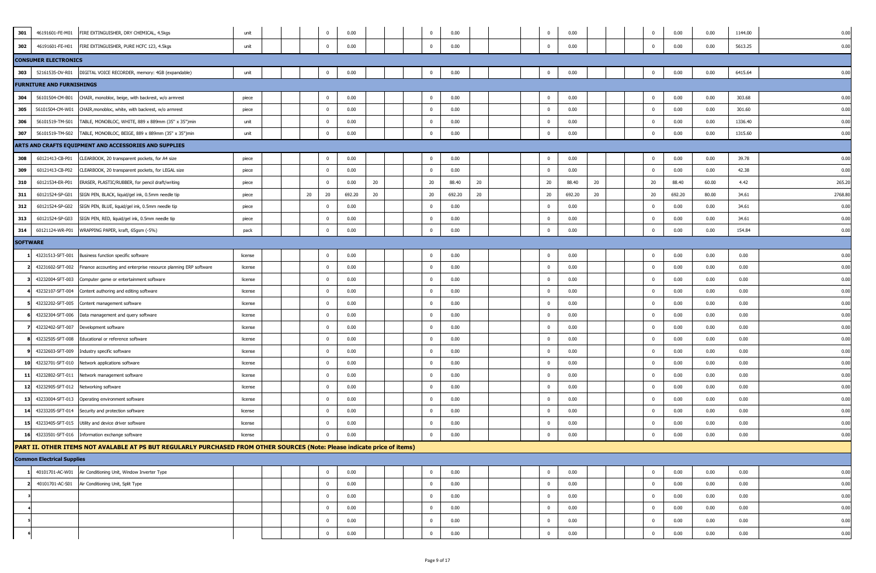| 301             | 46191601-FE-M01                   | FIRE EXTINGUISHER, DRY CHEMICAL, 4.5kgs                                                                                   | unit    |  |    | $\mathbf 0$    | 0.00   |    |  | $\overline{0}$ | 0.00   |    |  | $^{\circ}$     | 0.00   |    | $^{\circ}$     | 0.00   | 0.00  | 1144.00 | 0.00   |
|-----------------|-----------------------------------|---------------------------------------------------------------------------------------------------------------------------|---------|--|----|----------------|--------|----|--|----------------|--------|----|--|----------------|--------|----|----------------|--------|-------|---------|--------|
| 302             | 46191601-FE-H01                   | FIRE EXTINGUISHER, PURE HCFC 123, 4.5kgs                                                                                  | unit    |  |    | $\mathbf{0}$   | 0.00   |    |  | $\mathbf{0}$   | 0.00   |    |  | $\mathbf 0$    | 0.00   |    | $\mathbf{0}$   | 0.00   | 0.00  | 5613.25 | 0.00   |
|                 | <b>CONSUMER ELECTRONICS</b>       |                                                                                                                           |         |  |    |                |        |    |  |                |        |    |  |                |        |    |                |        |       |         |        |
| 303             | 52161535-DV-R01                   | DIGITAL VOICE RECORDER, memory: 4GB (expandable)                                                                          | unit    |  |    | $\overline{0}$ | 0.00   |    |  | $\bf{0}$       | 0.00   |    |  | $\overline{0}$ | 0.00   |    | $^{\circ}$     | 0.00   | 0.00  | 6415.64 | 0.00   |
|                 | <b>FURNITURE AND FURNISHINGS</b>  |                                                                                                                           |         |  |    |                |        |    |  |                |        |    |  |                |        |    |                |        |       |         |        |
| 304             | 56101504-CM-B01                   | CHAIR, monobloc, beige, with backrest, w/o armrest                                                                        | piece   |  |    | $\overline{0}$ | 0.00   |    |  | $\bf{0}$       | 0.00   |    |  | $\mathbf{0}$   | 0.00   |    | $\mathbf 0$    | 0.00   | 0.00  | 303.68  | 0.00   |
| 305             | 56101504-CM-W01                   | CHAIR, monobloc, white, with backrest, w/o armrest                                                                        | piece   |  |    | $\overline{0}$ | 0.00   |    |  | $\mathbf 0$    | 0.00   |    |  | $\mathbf 0$    | 0.00   |    | $\mathbf{0}$   | 0.00   | 0.00  | 301.60  | 0.00   |
| 306             | 56101519-TM-S01                   | TABLE, MONOBLOC, WHITE, 889 x 889mm (35" x 35")min                                                                        | unit    |  |    | $\mathbf{0}$   | 0.00   |    |  | $\mathbf 0$    | 0.00   |    |  | $\overline{0}$ | 0.00   |    | $^{\circ}$     | 0.00   | 0.00  | 1336.40 | 0.00   |
| 307             | 56101519-TM-S02                   | TABLE, MONOBLOC, BEIGE, 889 x 889mm (35" x 35")min                                                                        | unit    |  |    | $\overline{0}$ | 0.00   |    |  | $\bf{0}$       | 0.00   |    |  | $\mathbf 0$    | 0.00   |    | $\Omega$       | 0.00   | 0.00  | 1315.60 | 0.00   |
|                 |                                   | ARTS AND CRAFTS EQUIPMENT AND ACCESSORIES AND SUPPLIES                                                                    |         |  |    |                |        |    |  |                |        |    |  |                |        |    |                |        |       |         |        |
| 308             | 60121413-CB-P01                   | CLEARBOOK, 20 transparent pockets, for A4 size                                                                            | piece   |  |    | $\overline{0}$ | 0.00   |    |  | $\mathbf 0$    | 0.00   |    |  | $\mathbf 0$    | 0.00   |    | $^{\circ}$     | 0.00   | 0.00  | 39.78   | 0.00   |
| 309             | 60121413-CB-P02                   | CLEARBOOK, 20 transparent pockets, for LEGAL size                                                                         | piece   |  |    | $\overline{0}$ | 0.00   |    |  | $\bf{0}$       | 0.00   |    |  | $\mathbf{0}$   | 0.00   |    | $\bf{0}$       | 0.00   | 0.00  | 42.38   | 0.00   |
| 310             | 60121534-ER-P01                   | ERASER, PLASTIC/RUBBER, for pencil draft/writing                                                                          | piece   |  |    | $\overline{0}$ | 0.00   | 20 |  | 20             | 88.40  | 20 |  | 20             | 88.40  | 20 | 20             | 88.40  | 60.00 | 4.42    | 265.20 |
| 311             | 60121524-SP-G01                   | SIGN PEN, BLACK, liquid/gel ink, 0.5mm needle tip                                                                         | piece   |  | 20 | 20             | 692.20 | 20 |  | 20             | 692.20 | 20 |  | 20             | 692.20 | 20 | 20             | 692.20 | 80.00 | 34.61   | 2768.8 |
| 312             | 60121524-SP-G02                   | SIGN PEN, BLUE, liquid/gel ink, 0.5mm needle tip                                                                          | piece   |  |    | $\mathbf{0}$   | 0.00   |    |  | $\mathbf 0$    | 0.00   |    |  | $\overline{0}$ | 0.00   |    | $^{\circ}$     | 0.00   | 0.00  | 34.61   | 0.00   |
| 313             | 60121524-SP-G03                   | SIGN PEN, RED, liquid/gel ink, 0.5mm needle tip                                                                           | piece   |  |    | $\overline{0}$ | 0.00   |    |  | $\bf{0}$       | 0.00   |    |  | $\overline{0}$ | 0.00   |    | $\mathbf 0$    | 0.00   | 0.00  | 34.61   | 0.00   |
| 314             | 60121124-WR-P01                   | WRAPPING PAPER, kraft, 65gsm (-5%)                                                                                        | pack    |  |    | $\mathbf{0}$   | 0.00   |    |  | $\mathbf{0}$   | 0.00   |    |  | $\mathbf{0}$   | 0.00   |    | $\Omega$       | 0.00   | 0.00  | 154.84  | 0.00   |
| <b>SOFTWARE</b> |                                   |                                                                                                                           |         |  |    |                |        |    |  |                |        |    |  |                |        |    |                |        |       |         |        |
|                 | 43231513-SFT-001                  | Business function specific software                                                                                       | license |  |    | $\overline{0}$ | 0.00   |    |  | $\mathbf 0$    | 0.00   |    |  | $\mathbf 0$    | 0.00   |    | $^{\circ}$     | 0.00   | 0.00  | 0.00    | 0.00   |
|                 | 43231602-SFT-002                  | Finance accounting and enterprise resource planning ERP software                                                          | license |  |    | $\mathbf 0$    | 0.00   |    |  | $\bf{0}$       | 0.00   |    |  | $\mathbf 0$    | 0.00   |    | $\mathbf{0}$   | 0.00   | 0.00  | 0.00    | 0.00   |
|                 | 43232004-SFT-003                  | Computer game or entertainment software                                                                                   | license |  |    | $\overline{0}$ | 0.00   |    |  | $\mathbf 0$    | 0.00   |    |  | $\mathbf 0$    | 0.00   |    | $^{\circ}$     | 0.00   | 0.00  | 0.00    | 0.00   |
|                 | 43232107-SFT-004                  | Content authoring and editing software                                                                                    | license |  |    | $\overline{0}$ | 0.00   |    |  | $\bf{0}$       | 0.00   |    |  | $\overline{0}$ | 0.00   |    | $\mathbf 0$    | 0.00   | 0.00  | 0.00    | 0.00   |
|                 | 43232202-SFT-005                  | Content management software                                                                                               | license |  |    | $\overline{0}$ | 0.00   |    |  | $\bf{0}$       | 0.00   |    |  | $\mathbf 0$    | 0.00   |    | $\mathbf{0}$   | 0.00   | 0.00  | 0.00    | 0.00   |
|                 | 43232304-SFT-006                  | Data management and query software                                                                                        | license |  |    | $\overline{0}$ | 0.00   |    |  | $\bf{0}$       | 0.00   |    |  | $\mathbf 0$    | 0.00   |    | $^{\circ}$     | 0.00   | 0.00  | 0.00    | 0.00   |
|                 | 43232402-SFT-007                  | Development software                                                                                                      | license |  |    | $\overline{0}$ | 0.00   |    |  | $\mathbf 0$    | 0.00   |    |  | $\overline{0}$ | 0.00   |    | $^{\circ}$     | 0.00   | 0.00  | 0.00    | 0.00   |
|                 | 43232505-SFT-008                  | Educational or reference software                                                                                         | license |  |    | $\overline{0}$ | 0.00   |    |  | $\bf{0}$       | 0.00   |    |  | $^{\circ}$     | 0.00   |    | $^{\circ}$     | 0.00   | 0.00  | 0.00    | 0.00   |
|                 | 43232603-SFT-009                  | Industry specific software                                                                                                | license |  |    | $\mathbf 0$    | 0.00   |    |  | $\mathbf 0$    | 0.00   |    |  | $\mathbf 0$    | 0.00   |    | $^{\circ}$     | 0.00   | 0.00  | 0.00    | 0.00   |
| 10              | 43232701-SFT-010                  | Network applications software                                                                                             | license |  |    | $\overline{0}$ | 0.00   |    |  | $\overline{0}$ | 0.00   |    |  | $\overline{0}$ | 0.00   |    | $^{\circ}$     | 0.00   | 0.00  | 0.00    | 0.00   |
| 11              | 43232802-SFT-011                  | Network management software                                                                                               | license |  |    | $\overline{0}$ | 0.00   |    |  | $\overline{0}$ | 0.00   |    |  | $\mathbf 0$    | 0.00   |    | $^{\circ}$     | 0.00   | 0.00  | 0.00    | 0.00   |
| 12              | 43232905-SFT-012                  | Networking software                                                                                                       | license |  |    | $\overline{0}$ | 0.00   |    |  | $\bf{0}$       | 0.00   |    |  | $\mathbf 0$    | 0.00   |    | $\mathbf{0}$   | 0.00   | 0.00  | 0.00    | 0.00   |
| 13              | 43233004-SFT-013                  | Operating environment software                                                                                            | license |  |    | $\overline{0}$ | 0.00   |    |  | $\overline{0}$ | 0.00   |    |  | $\mathbf 0$    | 0.00   |    | $\mathbf{0}$   | 0.00   | 0.00  | 0.00    | 0.00   |
| 14              | 43233205-SFT-014                  | Security and protection software                                                                                          | license |  |    | $\overline{0}$ | 0.00   |    |  | $\mathbf 0$    | 0.00   |    |  | $\overline{0}$ | 0.00   |    | $^{\circ}$     | 0.00   | 0.00  | 0.00    | 0.00   |
| 15              | 43233405-SFT-015                  | Utility and device driver software                                                                                        | license |  |    | $\overline{0}$ | 0.00   |    |  | $\bf{0}$       | 0.00   |    |  | $\mathbf{0}$   | 0.00   |    | $\mathbf 0$    | 0.00   | 0.00  | 0.00    | 0.00   |
| 16              | 43233501-SFT-016                  | Information exchange software                                                                                             | license |  |    | $\overline{0}$ | 0.00   |    |  | $\mathbf 0$    | 0.00   |    |  | $\mathbf 0$    | 0.00   |    | $\Omega$       | 0.00   | 0.00  | 0.00    | 0.00   |
|                 |                                   | PART II. OTHER ITEMS NOT AVALABLE AT PS BUT REGULARLY PURCHASED FROM OTHER SOURCES (Note: Please indicate price of items) |         |  |    |                |        |    |  |                |        |    |  |                |        |    |                |        |       |         |        |
|                 | <b>Common Electrical Supplies</b> |                                                                                                                           |         |  |    |                |        |    |  |                |        |    |  |                |        |    |                |        |       |         |        |
|                 | 40101701-AC-W01                   | Air Conditioning Unit, Window Inverter Type                                                                               |         |  |    | $\overline{0}$ | 0.00   |    |  | $\bf{0}$       | 0.00   |    |  | $\mathbf{0}$   | 0.00   |    | $\overline{0}$ | 0.00   | 0.00  | 0.00    | 0.00   |
|                 | 40101701-AC-S01                   | Air Conditioning Unit, Split Type                                                                                         |         |  |    | $\overline{0}$ | 0.00   |    |  | $\bf{0}$       | 0.00   |    |  | $\overline{0}$ | 0.00   |    | $\mathbf{0}$   | 0.00   | 0.00  | 0.00    | 0.00   |
|                 |                                   |                                                                                                                           |         |  |    | $\overline{0}$ | 0.00   |    |  | $\bf{0}$       | 0.00   |    |  | $\mathbf 0$    | 0.00   |    | $\bf{0}$       | 0.00   | 0.00  | 0.00    | 0.00   |
|                 |                                   |                                                                                                                           |         |  |    | $\mathbf 0$    | 0.00   |    |  | $\bf{0}$       | 0.00   |    |  | $\mathbf{0}$   | 0.00   |    | $\bf{0}$       | 0.00   | 0.00  | 0.00    | 0.00   |
|                 |                                   |                                                                                                                           |         |  |    | $\mathbf{0}$   | 0.00   |    |  | $\mathbf 0$    | 0.00   |    |  | $\overline{0}$ | 0.00   |    | $\mathbf{0}$   | 0.00   | 0.00  | 0.00    | 0.00   |
|                 |                                   |                                                                                                                           |         |  |    | $\overline{0}$ | 0.00   |    |  | $\overline{0}$ | 0.00   |    |  | $\mathbf 0$    | 0.00   |    | $\mathbf{0}$   | 0.00   | 0.00  | 0.00    | 0.00   |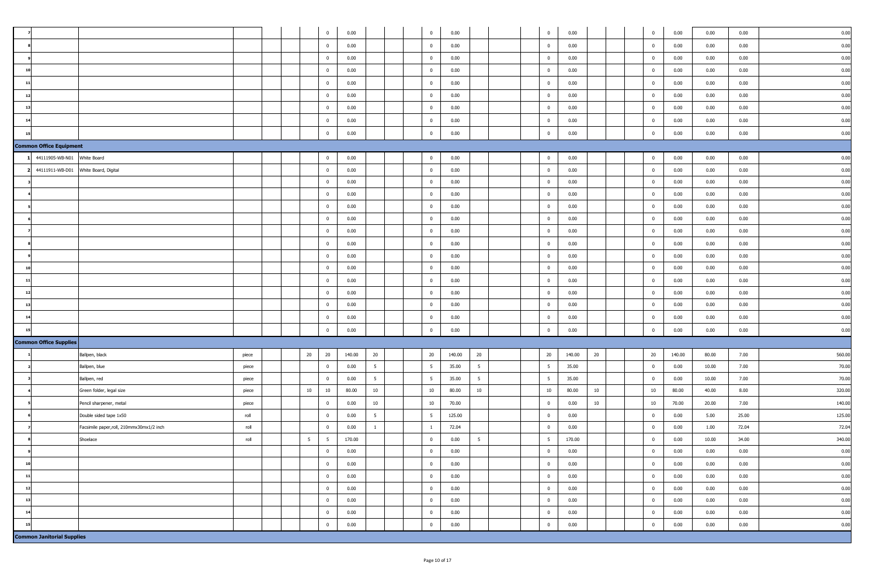|                                   |                                           |       |  |                 | $\overline{0}$          | 0.00   |                 |  | $\overline{0}$          | 0.00   |                 |  | $\overline{0}$ | 0.00   |    | $\bf{0}$       | 0.00   | 0.00  | 0.00  | 0.00   |
|-----------------------------------|-------------------------------------------|-------|--|-----------------|-------------------------|--------|-----------------|--|-------------------------|--------|-----------------|--|----------------|--------|----|----------------|--------|-------|-------|--------|
|                                   |                                           |       |  |                 | $\overline{0}$          | 0.00   |                 |  | $\overline{0}$          | 0.00   |                 |  | $\bf{0}$       | 0.00   |    | $\bf{0}$       | 0.00   | 0.00  | 0.00  | 0.00   |
|                                   |                                           |       |  |                 |                         |        |                 |  |                         |        |                 |  |                |        |    |                |        |       |       |        |
|                                   |                                           |       |  |                 | $\overline{0}$          | 0.00   |                 |  | $\overline{0}$          | 0.00   |                 |  | $\overline{0}$ | 0.00   |    | $\bf{0}$       | 0.00   | 0.00  | 0.00  | 0.00   |
|                                   |                                           |       |  |                 | $\overline{0}$          | 0.00   |                 |  | $\overline{0}$          | 0.00   |                 |  | $\overline{0}$ | 0.00   |    | $\overline{0}$ | 0.00   | 0.00  | 0.00  | 0.00   |
|                                   |                                           |       |  |                 | $\bf{0}$                | 0.00   |                 |  | $\overline{0}$          | 0.00   |                 |  | $\mathbf 0$    | 0.00   |    | $\mathbf{0}$   | 0.00   | 0.00  | 0.00  | 0.00   |
| 12                                |                                           |       |  |                 | $\overline{\mathbf{0}}$ | 0.00   |                 |  | $\overline{0}$          | 0.00   |                 |  | $\bf{0}$       | 0.00   |    | $\overline{0}$ | 0.00   | 0.00  | 0.00  | 0.00   |
| 13                                |                                           |       |  |                 | $\overline{\mathbf{0}}$ | 0.00   |                 |  | $\overline{0}$          | 0.00   |                 |  | $\overline{0}$ | 0.00   |    | $\bf{0}$       | 0.00   | 0.00  | 0.00  | 0.00   |
|                                   |                                           |       |  |                 | $\overline{0}$          | 0.00   |                 |  | $\overline{0}$          | 0.00   |                 |  | $\overline{0}$ | 0.00   |    | $\mathbf{0}$   | 0.00   | 0.00  | 0.00  | 0.00   |
|                                   |                                           |       |  |                 | $\overline{0}$          | 0.00   |                 |  | $\overline{0}$          | 0.00   |                 |  | $\overline{0}$ | 0.00   |    | $\mathbf{0}$   | 0.00   | 0.00  | 0.00  | 0.00   |
| <b>Common Office Equipment</b>    |                                           |       |  |                 |                         |        |                 |  |                         |        |                 |  |                |        |    |                |        |       |       |        |
| 1 44111905-WB-N01                 | White Board                               |       |  |                 | $\overline{0}$          | 0.00   |                 |  | $\overline{0}$          | 0.00   |                 |  | $\overline{0}$ | 0.00   |    | $\bf{0}$       | 0.00   | 0.00  | 0.00  | 0.00   |
| 44111911-WB-D01                   | White Board, Digital                      |       |  |                 | $\mathbf{0}$            | 0.00   |                 |  | $\overline{0}$          | 0.00   |                 |  | $\overline{0}$ | 0.00   |    | $\bf{0}$       | 0.00   | 0.00  | 0.00  | 0.00   |
|                                   |                                           |       |  |                 | $\overline{0}$          | 0.00   |                 |  | $\overline{0}$          | 0.00   |                 |  | $\overline{0}$ | 0.00   |    | $\mathbf{0}$   | 0.00   | 0.00  | 0.00  | 0.00   |
|                                   |                                           |       |  |                 | $\overline{0}$          | 0.00   |                 |  | $\overline{0}$          | 0.00   |                 |  | $\bf{0}$       | 0.00   |    | $\bf{0}$       | 0.00   | 0.00  | 0.00  | 0.00   |
|                                   |                                           |       |  |                 | $\overline{0}$          | 0.00   |                 |  | $\overline{0}$          | 0.00   |                 |  | $\mathbf{0}$   | 0.00   |    | $\mathbf{0}$   | 0.00   | 0.00  | 0.00  | 0.00   |
|                                   |                                           |       |  |                 | $\overline{\mathbf{0}}$ | 0.00   |                 |  | $\overline{0}$          | 0.00   |                 |  | $\overline{0}$ | 0.00   |    | $\bf{0}$       | 0.00   | 0.00  | 0.00  | 0.00   |
|                                   |                                           |       |  |                 | $\overline{\mathbf{0}}$ | 0.00   |                 |  | $\overline{0}$          | 0.00   |                 |  | $\bf{0}$       | 0.00   |    | $\mathbf{0}$   | 0.00   | 0.00  | 0.00  | 0.00   |
|                                   |                                           |       |  |                 | $\overline{0}$          | 0.00   |                 |  | $\overline{0}$          | 0.00   |                 |  | $\overline{0}$ | 0.00   |    | $\bf{0}$       | 0.00   | 0.00  | 0.00  | 0.00   |
|                                   |                                           |       |  |                 | $\overline{0}$          | 0.00   |                 |  | $\overline{0}$          | 0.00   |                 |  | $\overline{0}$ | 0.00   |    | $\overline{0}$ | 0.00   | 0.00  | 0.00  | 0.00   |
|                                   |                                           |       |  |                 | $\overline{0}$          | 0.00   |                 |  | $\overline{0}$          | 0.00   |                 |  | $\overline{0}$ | 0.00   |    | $\mathbf{0}$   | 0.00   | 0.00  | 0.00  | 0.00   |
|                                   |                                           |       |  |                 | $\overline{\mathbf{0}}$ | 0.00   |                 |  | $\overline{0}$          | 0.00   |                 |  | $\mathbf 0$    | 0.00   |    | $\Omega$       | 0.00   | 0.00  | 0.00  | 0.00   |
| 12                                |                                           |       |  |                 | $\overline{\mathbf{0}}$ | 0.00   |                 |  | $\overline{0}$          | 0.00   |                 |  | $\bf{0}$       | 0.00   |    | $\bf{0}$       | 0.00   | 0.00  | 0.00  | 0.00   |
| 13                                |                                           |       |  |                 | $\overline{0}$          | 0.00   |                 |  | $\overline{0}$          | 0.00   |                 |  | $\overline{0}$ | 0.00   |    | $\mathbf{0}$   | 0.00   | 0.00  | 0.00  | 0.00   |
|                                   |                                           |       |  |                 | $\overline{0}$          | 0.00   |                 |  | $\overline{\mathbf{0}}$ | 0.00   |                 |  | $\overline{0}$ | 0.00   |    | $\mathbf{0}$   | 0.00   | 0.00  | 0.00  | 0.00   |
|                                   |                                           |       |  |                 | $\overline{0}$          | 0.00   |                 |  | $\overline{0}$          | 0.00   |                 |  | $\overline{0}$ | 0.00   |    | $\mathbf{0}$   | 0.00   | 0.00  | 0.00  | 0.00   |
| <b>Common Office Supplies</b>     |                                           |       |  |                 |                         |        |                 |  |                         |        |                 |  |                |        |    |                |        |       |       |        |
|                                   | Ballpen, black                            | piece |  | $20\,$          | 20                      | 140.00 | 20              |  | 20                      | 140.00 | $20\,$          |  | 20             | 140.00 | 20 | 20             | 140.00 | 80.00 | 7.00  | 560.00 |
|                                   | Ballpen, blue                             | piece |  |                 | $\overline{0}$          | 0.00   | $5\overline{5}$ |  | $5\phantom{.0}$         | 35.00  | $5\overline{5}$ |  | 5              | 35.00  |    | $\bf{0}$       | 0.00   | 10.00 | 7.00  | 70.00  |
|                                   | Ballpen, red                              | piece |  |                 | $\overline{\mathbf{0}}$ | 0.00   | 5 <sup>5</sup>  |  | $5\overline{5}$         | 35.00  | $5\overline{5}$ |  | 5              | 35.00  |    | $\mathbf{0}$   | 0.00   | 10.00 | 7.00  | 70.00  |
|                                   | Green folder, legal size                  | piece |  | 10              | 10                      | 80.00  | 10              |  | 10                      | 80.00  | 10              |  | 10             | 80.00  | 10 | 10             | 80.00  | 40.00 | 8.00  | 320.00 |
|                                   | Pencil sharpener, metal                   | piece |  |                 | $\mathbf{0}$            | 0.00   | 10              |  | 10                      | 70.00  |                 |  | $\mathbf 0$    | 0.00   | 10 | $10\,$         | 70.00  | 20.00 | 7.00  | 140.00 |
|                                   | Double sided tape 1x50                    | roll  |  |                 | $\overline{\mathbf{0}}$ | 0.00   | $5\overline{5}$ |  | $5\phantom{.0}$         | 125.00 |                 |  | $\overline{0}$ | 0.00   |    | $\bf{0}$       | 0.00   | 5.00  | 25.00 | 125.00 |
|                                   | Facsimile paper, roll, 210mmx30mx1/2 inch | roll  |  |                 | $\overline{\mathbf{0}}$ | 0.00   | $\overline{1}$  |  | $\overline{1}$          | 72.04  |                 |  | $\overline{0}$ | 0.00   |    | $\bf{0}$       | 0.00   | 1.00  | 72.04 | 72.04  |
|                                   | Shoelace                                  | roll  |  | $5\overline{5}$ | $5\overline{5}$         | 170.00 |                 |  | $\mathbf{0}$            | 0.00   | $5\overline{5}$ |  | 5 <sup>5</sup> | 170.00 |    | $\mathbf{0}$   | 0.00   | 10.00 | 34.00 | 340.00 |
|                                   |                                           |       |  |                 | $\overline{0}$          | 0.00   |                 |  | $\overline{0}$          | 0.00   |                 |  | $\overline{0}$ | 0.00   |    | $\bf{0}$       | 0.00   | 0.00  | 0.00  | 0.00   |
| 10                                |                                           |       |  |                 | $\overline{0}$          | 0.00   |                 |  | $\overline{0}$          | 0.00   |                 |  | $\overline{0}$ | 0.00   |    | $\bf{0}$       | 0.00   | 0.00  | 0.00  | 0.00   |
| 11                                |                                           |       |  |                 | $\overline{0}$          | 0.00   |                 |  | $\overline{0}$          | 0.00   |                 |  | $\overline{0}$ | 0.00   |    | $\bf{0}$       | 0.00   | 0.00  | 0.00  | 0.00   |
| 12                                |                                           |       |  |                 | $\overline{\mathbf{0}}$ | 0.00   |                 |  | $\overline{0}$          | 0.00   |                 |  | $\overline{0}$ | 0.00   |    | $\mathbf{0}$   | 0.00   | 0.00  | 0.00  | 0.00   |
| 13                                |                                           |       |  |                 | $\overline{\mathbf{0}}$ | 0.00   |                 |  | $\overline{0}$          | 0.00   |                 |  | $\mathbf 0$    | 0.00   |    | $\bf{0}$       | 0.00   | 0.00  | 0.00  | 0.00   |
| 14                                |                                           |       |  |                 | $\overline{\mathbf{0}}$ | 0.00   |                 |  | $\overline{0}$          | 0.00   |                 |  | $\overline{0}$ | 0.00   |    | $\bf{0}$       | 0.00   | 0.00  | 0.00  | 0.00   |
|                                   |                                           |       |  |                 | $\overline{0}$          | 0.00   |                 |  | $\overline{0}$          | 0.00   |                 |  | $\mathbf 0$    | 0.00   |    | $\mathbf{0}$   | 0.00   | 0.00  | 0.00  | 0.00   |
| <b>Common Janitorial Supplies</b> |                                           |       |  |                 |                         |        |                 |  |                         |        |                 |  |                |        |    |                |        |       |       |        |
|                                   |                                           |       |  |                 |                         |        |                 |  |                         |        |                 |  |                |        |    |                |        |       |       |        |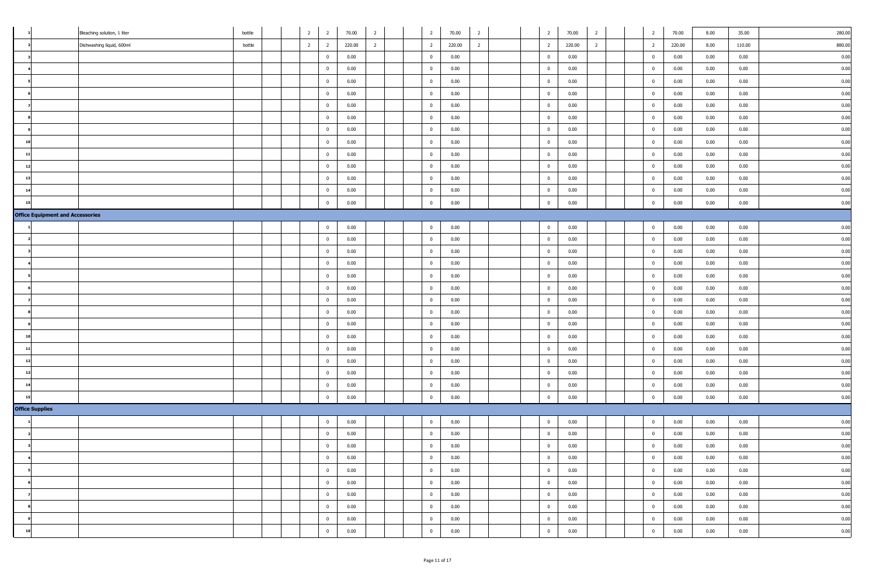|                                         | Bleaching solution, 1 liter | bottle |  | $\overline{2}$ | $\overline{2}$          | 70.00  | $\overline{2}$ | $\overline{2}$          | 70.00  | $\overline{2}$ |  | $\overline{2}$ | 70.00  | $\overline{2}$ | $\overline{2}$ | 70.00  | 8.00 | 35.00  | 280.00 |
|-----------------------------------------|-----------------------------|--------|--|----------------|-------------------------|--------|----------------|-------------------------|--------|----------------|--|----------------|--------|----------------|----------------|--------|------|--------|--------|
|                                         | Dishwashing liquid, 600ml   | bottle |  | $\overline{2}$ | $\overline{2}$          | 220.00 | $\overline{2}$ | $\overline{2}$          | 220.00 | $\overline{2}$ |  | $\overline{2}$ | 220.00 | $\overline{2}$ | $\overline{2}$ | 220.00 | 8.00 | 110.00 | 880.00 |
|                                         |                             |        |  |                | $\overline{\mathbf{0}}$ | 0.00   |                | $\overline{0}$          | 0.00   |                |  | $\overline{0}$ | 0.00   |                | $\bf{0}$       | 0.00   | 0.00 | 0.00   | 0.00   |
|                                         |                             |        |  |                | $\overline{\mathbf{0}}$ | 0.00   |                | $\overline{0}$          | 0.00   |                |  | $\overline{0}$ | 0.00   |                | $\bf{0}$       | 0.00   | 0.00 | 0.00   | 0.00   |
|                                         |                             |        |  |                | $\overline{0}$          | 0.00   |                | $\overline{0}$          | 0.00   |                |  | $\overline{0}$ | 0.00   |                | $\mathbf{0}$   | 0.00   | 0.00 | 0.00   | 0.00   |
|                                         |                             |        |  |                | $\overline{0}$          | 0.00   |                | $\overline{\mathbf{0}}$ | 0.00   |                |  | $\bf{0}$       | 0.00   |                | $\bf{0}$       | 0.00   | 0.00 | 0.00   | 0.00   |
|                                         |                             |        |  |                | $\overline{\mathbf{0}}$ | 0.00   |                | $\overline{0}$          | 0.00   |                |  | $\overline{0}$ | 0.00   |                | $\bf{0}$       | 0.00   | 0.00 | 0.00   | 0.00   |
|                                         |                             |        |  |                | $\overline{0}$          | 0.00   |                | $\overline{0}$          | 0.00   |                |  | $\overline{0}$ | 0.00   |                | $\mathbf{0}$   | 0.00   | 0.00 | 0.00   | 0.00   |
|                                         |                             |        |  |                | $\overline{\mathbf{0}}$ | 0.00   |                | $\overline{0}$          | 0.00   |                |  | $\overline{0}$ | 0.00   |                | $\bf{0}$       | 0.00   | 0.00 | 0.00   | 0.00   |
|                                         |                             |        |  |                | $\overline{0}$          | 0.00   |                | $\overline{0}$          | 0.00   |                |  | $\mathbf{0}$   | 0.00   |                | $\mathbf{0}$   | 0.00   | 0.00 | 0.00   | 0.00   |
| 11                                      |                             |        |  |                | $\overline{\mathbf{0}}$ | 0.00   |                | $\overline{0}$          | 0.00   |                |  | $\overline{0}$ | 0.00   |                | $\mathbf{0}$   | 0.00   | 0.00 | 0.00   | 0.00   |
| 12                                      |                             |        |  |                | $\overline{0}$          | 0.00   |                | $\overline{0}$          | 0.00   |                |  | $\overline{0}$ | 0.00   |                | $\overline{0}$ | 0.00   | 0.00 | 0.00   | 0.00   |
| 13                                      |                             |        |  |                | $\overline{0}$          | 0.00   |                | $\overline{0}$          | 0.00   |                |  | $\overline{0}$ | 0.00   |                | $\overline{0}$ | 0.00   | 0.00 | 0.00   | 0.00   |
|                                         |                             |        |  |                | $\mathbf{0}$            | 0.00   |                | $\overline{0}$          | 0.00   |                |  | $\overline{0}$ | 0.00   |                | $\mathbf{0}$   | 0.00   | 0.00 | 0.00   | 0.00   |
|                                         |                             |        |  |                | $\overline{\mathbf{0}}$ | 0.00   |                | $\overline{0}$          | 0.00   |                |  | $\overline{0}$ | 0.00   |                | $\bf{0}$       | 0.00   | 0.00 | 0.00   | 0.00   |
| <b>Office Equipment and Accessories</b> |                             |        |  |                |                         |        |                |                         |        |                |  |                |        |                |                |        |      |        |        |
|                                         |                             |        |  |                | $\overline{0}$          | 0.00   |                | $\overline{0}$          | 0.00   |                |  | $\overline{0}$ | 0.00   |                | $\bf{0}$       | 0.00   | 0.00 | 0.00   | 0.00   |
|                                         |                             |        |  |                | $\overline{0}$          | 0.00   |                | $\overline{0}$          | 0.00   |                |  | $\overline{0}$ | 0.00   |                | $\bf{0}$       | 0.00   | 0.00 | 0.00   | 0.00   |
|                                         |                             |        |  |                | $\overline{0}$          | 0.00   |                | $\overline{0}$          | 0.00   |                |  | $\overline{0}$ | 0.00   |                | $\bf{0}$       | 0.00   | 0.00 | 0.00   | 0.00   |
|                                         |                             |        |  |                | $\mathbf{0}$            | 0.00   |                | $\overline{0}$          | 0.00   |                |  | $\overline{0}$ | 0.00   |                | $\bf{0}$       | 0.00   | 0.00 | 0.00   | 0.00   |
|                                         |                             |        |  |                | $\overline{\mathbf{0}}$ | 0.00   |                | $\overline{0}$          | 0.00   |                |  | $\overline{0}$ | 0.00   |                | $\bf{0}$       | 0.00   | 0.00 | 0.00   | 0.00   |
|                                         |                             |        |  |                | $\overline{\mathbf{0}}$ | 0.00   |                | $\overline{0}$          | 0.00   |                |  | $\overline{0}$ | 0.00   |                | $\bf{0}$       | 0.00   | 0.00 | 0.00   | 0.00   |
|                                         |                             |        |  |                | $\mathbf{0}$            | 0.00   |                | $\overline{0}$          | 0.00   |                |  | $\overline{0}$ | 0.00   |                | $\bf{0}$       | 0.00   | 0.00 | 0.00   | 0.00   |
|                                         |                             |        |  |                | $\overline{\mathbf{0}}$ | 0.00   |                | $\overline{0}$          | 0.00   |                |  | $\overline{0}$ | 0.00   |                | $\bf{0}$       | 0.00   | 0.00 | 0.00   | 0.00   |
|                                         |                             |        |  |                | $\overline{0}$          | 0.00   |                | $\overline{0}$          | 0.00   |                |  | $\overline{0}$ | 0.00   |                | $\overline{0}$ | 0.00   | 0.00 | 0.00   | 0.00   |
|                                         |                             |        |  |                | $\overline{0}$          | 0.00   |                | $\overline{0}$          | 0.00   |                |  | $\overline{0}$ | 0.00   |                | $\bf{0}$       | 0.00   | 0.00 | 0.00   | 0.00   |
| 11                                      |                             |        |  |                | $\overline{\mathbf{0}}$ | 0.00   |                | $\overline{0}$          | 0.00   |                |  | $\overline{0}$ | 0.00   |                | $\bf{0}$       | 0.00   | 0.00 | 0.00   | 0.00   |
| 12                                      |                             |        |  |                | $\overline{0}$          | 0.00   |                | $\overline{0}$          | 0.00   |                |  | $\overline{0}$ | 0.00   |                | $\bf{0}$       | 0.00   | 0.00 | 0.00   | 0.00   |
| 13                                      |                             |        |  |                | $\mathbf{0}$            | 0.00   |                | $\overline{0}$          | 0.00   |                |  | $\overline{0}$ | 0.00   |                | $\bf{0}$       | 0.00   | 0.00 | 0.00   | 0.00   |
|                                         |                             |        |  |                | $\overline{0}$          | 0.00   |                | $\overline{0}$          | 0.00   |                |  | $\overline{0}$ | 0.00   |                | $\mathbf{0}$   | 0.00   | 0.00 | 0.00   | 0.00   |
|                                         |                             |        |  |                | $\overline{0}$          | 0.00   |                | $\overline{0}$          | 0.00   |                |  | $\overline{0}$ | 0.00   |                | $\mathbf{0}$   | 0.00   | 0.00 | 0.00   | 0.00   |
| <b>Office Supplies</b>                  |                             |        |  |                |                         |        |                |                         |        |                |  |                |        |                |                |        |      |        |        |
|                                         |                             |        |  |                | $\overline{\mathbf{0}}$ | 0.00   |                | $\overline{0}$          | 0.00   |                |  | $\overline{0}$ | 0.00   |                | $\bf{0}$       | 0.00   | 0.00 | 0.00   | 0.00   |
|                                         |                             |        |  |                | $\overline{\mathbf{0}}$ | 0.00   |                | $\overline{0}$          | 0.00   |                |  | $\overline{0}$ | 0.00   |                | $\mathbf{0}$   | 0.00   | 0.00 | 0.00   | 0.00   |
|                                         |                             |        |  |                | $\overline{0}$          | 0.00   |                | $\bf{0}$                | 0.00   |                |  | $\overline{0}$ | 0.00   |                | $\overline{0}$ | 0.00   | 0.00 | 0.00   | 0.00   |
|                                         |                             |        |  |                | $\overline{0}$          | 0.00   |                | $\overline{0}$          | 0.00   |                |  | $\overline{0}$ | 0.00   |                | $\mathbf{0}$   | 0.00   | 0.00 | 0.00   | 0.00   |
|                                         |                             |        |  |                | $\overline{0}$          | 0.00   |                | $\overline{0}$          | 0.00   |                |  | $\mathbf{0}$   | 0.00   |                | $\bf{0}$       | 0.00   | 0.00 | 0.00   | 0.00   |
|                                         |                             |        |  |                | $\bf{0}$                | 0.00   |                | $\bf{0}$                | 0.00   |                |  | $\mathbf 0$    | 0.00   |                | $\bf{0}$       | 0.00   | 0.00 | 0.00   | 0.00   |
|                                         |                             |        |  |                | $\overline{0}$          | 0.00   |                | $\mathbf 0$             | 0.00   |                |  | $\bf{0}$       | 0.00   |                | $\bf{0}$       | 0.00   | 0.00 | 0.00   | 0.00   |
|                                         |                             |        |  |                | $\bf{0}$                | 0.00   |                | $\bf{0}$                | 0.00   |                |  | $\overline{0}$ | 0.00   |                | $\mathbf 0$    | 0.00   | 0.00 | 0.00   | 0.00   |
|                                         |                             |        |  |                | $\overline{0}$          | 0.00   |                | $\overline{0}$          | 0.00   |                |  | $\overline{0}$ | 0.00   |                | $\bf{0}$       | 0.00   | 0.00 | 0.00   | 0.00   |
|                                         |                             |        |  |                | $\bf{0}$                | 0.00   |                | $\bf{0}$                | 0.00   |                |  | $\bf{0}$       | 0.00   |                | $\bf{0}$       | 0.00   | 0.00 | 0.00   | 0.00   |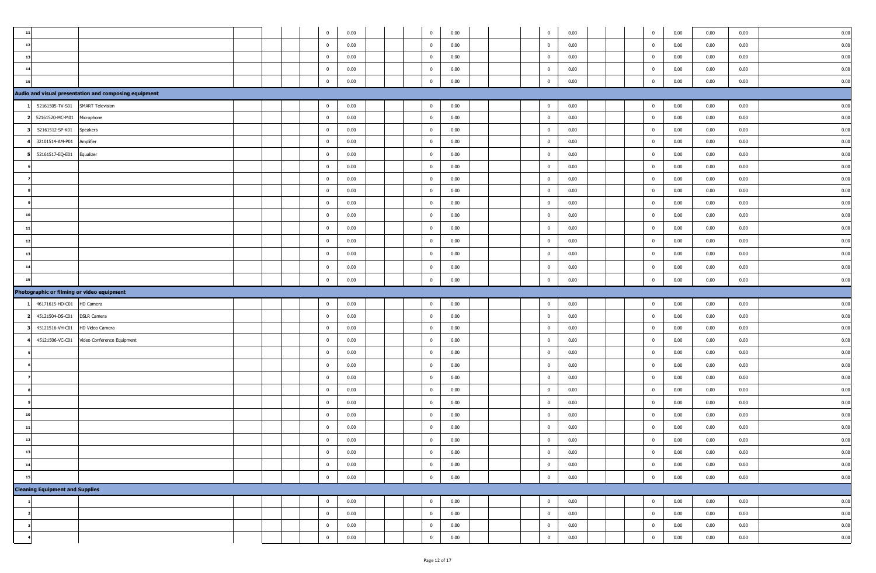|     |                                        |                                                       |  | $\mathbf{0}$   | 0.00 |  | $\overline{0}$ | 0.00 |  | $\overline{0}$          | 0.00 |  | $\mathbf 0$    | 0.00 | 0.00 | 0.00 | 0.00 |
|-----|----------------------------------------|-------------------------------------------------------|--|----------------|------|--|----------------|------|--|-------------------------|------|--|----------------|------|------|------|------|
|     |                                        |                                                       |  | $\mathbf{0}$   | 0.00 |  | $\mathbf{0}$   | 0.00 |  | $\mathbf 0$             | 0.00 |  | $\mathbf{0}$   | 0.00 | 0.00 | 0.00 | 0.00 |
| 13  |                                        |                                                       |  | $\mathbf{0}$   | 0.00 |  | $\overline{0}$ | 0.00 |  | $\overline{0}$          | 0.00 |  | $\mathbf{0}$   | 0.00 | 0.00 | 0.00 | 0.00 |
| 14  |                                        |                                                       |  | $\mathbf{0}$   | 0.00 |  | $\overline{0}$ | 0.00 |  | $\mathbf{0}$            | 0.00 |  | $\overline{0}$ | 0.00 | 0.00 | 0.00 | 0.00 |
|     |                                        |                                                       |  | $\mathbf{0}$   | 0.00 |  | $\overline{0}$ | 0.00 |  | $\mathbf 0$             | 0.00 |  | $\mathbf{0}$   | 0.00 | 0.00 | 0.00 | 0.00 |
|     |                                        | Audio and visual presentation and composing equipment |  |                |      |  |                |      |  |                         |      |  |                |      |      |      |      |
|     | 52161505-TV-S01                        | <b>SMART Television</b>                               |  | $\mathbf{0}$   | 0.00 |  | $\overline{0}$ | 0.00 |  | $\bf{0}$                | 0.00 |  | $\overline{0}$ | 0.00 | 0.00 | 0.00 | 0.00 |
|     | 52161520-MC-M01                        | Microphone                                            |  | $\mathbf{0}$   | 0.00 |  | $\overline{0}$ | 0.00 |  | $\overline{0}$          | 0.00 |  | $\bf{0}$       | 0.00 | 0.00 | 0.00 | 0.00 |
|     | 52161512-SP-K01                        | Speakers                                              |  | $\mathbf{0}$   | 0.00 |  | $\overline{0}$ | 0.00 |  | $\mathbf{0}$            | 0.00 |  | $\bf{0}$       | 0.00 | 0.00 | 0.00 | 0.00 |
|     | 32101514-AM-P01                        | Amplifier                                             |  | $\mathbf{0}$   | 0.00 |  | $\overline{0}$ | 0.00 |  | $\mathbf{0}$            | 0.00 |  | $\mathbf{0}$   | 0.00 | 0.00 | 0.00 | 0.00 |
|     | 52161517-EQ-E01                        | Equalizer                                             |  | $\mathbf{0}$   | 0.00 |  | $\overline{0}$ | 0.00 |  | $\overline{0}$          | 0.00 |  | $\bf{0}$       | 0.00 | 0.00 | 0.00 | 0.00 |
|     |                                        |                                                       |  | $\mathbf 0$    | 0.00 |  | $\mathbf{0}$   | 0.00 |  | $\mathbf{0}$            | 0.00 |  | $\mathbf{0}$   | 0.00 | 0.00 | 0.00 | 0.00 |
|     |                                        |                                                       |  | $\bf{0}$       | 0.00 |  | $\overline{0}$ | 0.00 |  | $\overline{0}$          | 0.00 |  | $\bf{0}$       | 0.00 | 0.00 | 0.00 | 0.00 |
|     |                                        |                                                       |  | $\mathbf{0}$   | 0.00 |  | $\mathbf{0}$   | 0.00 |  | $\mathbf{0}$            | 0.00 |  | $\mathbf{0}$   | 0.00 | 0.00 | 0.00 | 0.00 |
|     |                                        |                                                       |  | $\mathbf{0}$   | 0.00 |  | $\mathbf 0$    | 0.00 |  | $\bf{0}$                | 0.00 |  | $\mathbf{0}$   | 0.00 | 0.00 | 0.00 | 0.00 |
| 10  |                                        |                                                       |  | $\mathbf{0}$   | 0.00 |  | $\overline{0}$ | 0.00 |  | $\bf{0}$                | 0.00 |  | $\bf{0}$       | 0.00 | 0.00 | 0.00 | 0.00 |
| -11 |                                        |                                                       |  | $\mathbf{0}$   | 0.00 |  | $\overline{0}$ | 0.00 |  | $\mathbf{0}$            | 0.00 |  | $\mathbf{0}$   | 0.00 | 0.00 | 0.00 | 0.00 |
|     |                                        |                                                       |  | $\mathbf{0}$   | 0.00 |  | $\mathbf{0}$   | 0.00 |  | $\mathbf{0}$            | 0.00 |  | $\mathbf{0}$   | 0.00 | 0.00 | 0.00 | 0.00 |
| 13  |                                        |                                                       |  | $\mathbf{0}$   | 0.00 |  | $\overline{0}$ | 0.00 |  | $\mathbf{0}$            | 0.00 |  | $\mathbf{0}$   | 0.00 | 0.00 | 0.00 | 0.00 |
| 14  |                                        |                                                       |  | $\mathbf{0}$   | 0.00 |  | $\overline{0}$ | 0.00 |  | $\overline{0}$          | 0.00 |  | $\overline{0}$ | 0.00 | 0.00 | 0.00 | 0.00 |
| 15  |                                        |                                                       |  | $\mathbf{0}$   | 0.00 |  | $\overline{0}$ | 0.00 |  | $\mathbf{0}$            | 0.00 |  | $\bf{0}$       | 0.00 | 0.00 | 0.00 | 0.00 |
|     |                                        |                                                       |  |                |      |  |                |      |  |                         |      |  |                |      |      |      |      |
|     |                                        | Photographic or filming or video equipment            |  |                |      |  |                |      |  |                         |      |  |                |      |      |      |      |
|     | 46171615-HD-C01                        | HD Camera                                             |  | $\overline{0}$ | 0.00 |  | $\mathbf{0}$   | 0.00 |  | $\mathbf{0}$            | 0.00 |  | $\overline{0}$ | 0.00 | 0.00 | 0.00 | 0.00 |
|     | 45121504-DS-C01                        | <b>DSLR Camera</b>                                    |  | $\mathbf{0}$   | 0.00 |  | $\overline{0}$ | 0.00 |  | $\overline{\mathbf{0}}$ | 0.00 |  | $\bf{0}$       | 0.00 | 0.00 | 0.00 | 0.00 |
|     | 45121516-VH-C01                        | HD Video Camera                                       |  | $\mathbf{0}$   | 0.00 |  | $\overline{0}$ | 0.00 |  | $\overline{0}$          | 0.00 |  | $\mathbf{0}$   | 0.00 | 0.00 | 0.00 | 0.00 |
|     | 45121506-VC-C01                        | Video Conference Equipment                            |  | $\mathbf{0}$   | 0.00 |  | $\overline{0}$ | 0.00 |  | $\overline{0}$          | 0.00 |  | $\overline{0}$ | 0.00 | 0.00 | 0.00 | 0.00 |
|     |                                        |                                                       |  | $\mathbf{0}$   | 0.00 |  | $\overline{0}$ | 0.00 |  | $\bf{0}$                | 0.00 |  | $\overline{0}$ | 0.00 | 0.00 | 0.00 | 0.00 |
|     |                                        |                                                       |  | $\mathbf{0}$   | 0.00 |  | $\overline{0}$ | 0.00 |  | $\mathbf 0$             | 0.00 |  | $\mathbf{0}$   | 0.00 | 0.00 | 0.00 | 0.00 |
|     |                                        |                                                       |  | $\overline{0}$ | 0.00 |  | $\mathbf 0$    | 0.00 |  | $\mathbf{0}$            | 0.00 |  | $\mathbf{0}$   | 0.00 | 0.00 | 0.00 | 0.00 |
|     |                                        |                                                       |  | $\mathbf{0}$   | 0.00 |  | $\overline{0}$ | 0.00 |  | $\overline{0}$          | 0.00 |  | $\bf{0}$       | 0.00 | 0.00 | 0.00 | 0.00 |
|     |                                        |                                                       |  | $\mathbf 0$    | 0.00 |  | $\overline{0}$ | 0.00 |  | $\mathbf 0$             | 0.00 |  | $\mathbf{0}$   | 0.00 | 0.00 | 0.00 | 0.00 |
|     |                                        |                                                       |  | $\mathbf{0}$   | 0.00 |  | $\overline{0}$ | 0.00 |  | $\bf{0}$                | 0.00 |  | $\bf{0}$       | 0.00 | 0.00 | 0.00 | 0.00 |
|     |                                        |                                                       |  | $\mathbf 0$    | 0.00 |  | $\mathbf 0$    | 0.00 |  | $\mathbf 0$             | 0.00 |  | $\mathbf{0}$   | 0.00 | 0.00 | 0.00 | 0.00 |
| 12  |                                        |                                                       |  | $\overline{0}$ | 0.00 |  | $\mathbf{0}$   | 0.00 |  | $\mathbf{0}$            | 0.00 |  | $\Omega$       | 0.00 | 0.00 | 0.00 | 0.00 |
| 13  |                                        |                                                       |  | $\bf{0}$       | 0.00 |  | $\bf{0}$       | 0.00 |  | $\overline{0}$          | 0.00 |  | $\mathbf{0}$   | 0.00 | 0.00 | 0.00 | 0.00 |
| 14  |                                        |                                                       |  | $\bf{0}$       | 0.00 |  | $\overline{0}$ | 0.00 |  | $\overline{0}$          | 0.00 |  | $\bf{0}$       | 0.00 | 0.00 | 0.00 | 0.00 |
| 15  |                                        |                                                       |  | $\mathbf 0$    | 0.00 |  | $\bf{0}$       | 0.00 |  | $\overline{0}$          | 0.00 |  | $\bf{0}$       | 0.00 | 0.00 | 0.00 | 0.00 |
|     | <b>Cleaning Equipment and Supplies</b> |                                                       |  |                |      |  |                |      |  |                         |      |  |                |      |      |      |      |
|     |                                        |                                                       |  | $\bf{0}$       | 0.00 |  | $\mathbf 0$    | 0.00 |  | $\bf{0}$                | 0.00 |  | $\bf{0}$       | 0.00 | 0.00 | 0.00 | 0.00 |
|     |                                        |                                                       |  | $\mathbf{0}$   | 0.00 |  | $\overline{0}$ | 0.00 |  | $\overline{0}$          | 0.00 |  | $\bf{0}$       | 0.00 | 0.00 | 0.00 | 0.00 |
|     |                                        |                                                       |  | $\mathbf{0}$   | 0.00 |  | $\overline{0}$ | 0.00 |  | $\mathbf{0}$            | 0.00 |  | $\bf{0}$       | 0.00 | 0.00 | 0.00 | 0.00 |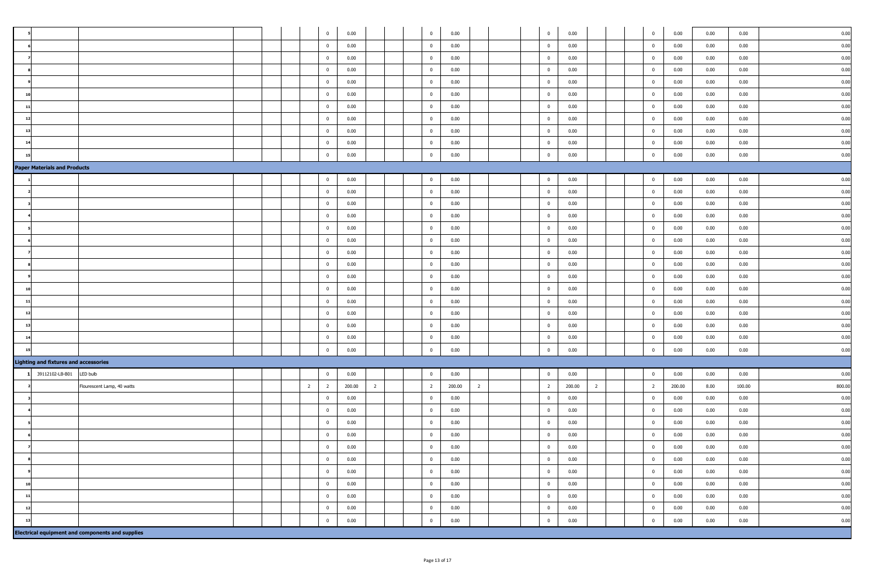|                                              |                                                         |  |                | $\overline{0}$          | 0.00   |                | $\overline{0}$          | 0.00   |                |  | $\overline{0}$ | 0.00   |                | $\overline{0}$ | 0.00   | 0.00 | 0.00   | 0.00   |
|----------------------------------------------|---------------------------------------------------------|--|----------------|-------------------------|--------|----------------|-------------------------|--------|----------------|--|----------------|--------|----------------|----------------|--------|------|--------|--------|
|                                              |                                                         |  |                | $\mathbf{0}$            | 0.00   |                | $\overline{0}$          | 0.00   |                |  | $\overline{0}$ | 0.00   |                | $\bf{0}$       | 0.00   | 0.00 | 0.00   | 0.00   |
|                                              |                                                         |  |                | $\overline{0}$          | 0.00   |                | $\overline{0}$          | 0.00   |                |  | $\overline{0}$ | 0.00   |                | $\mathbf{0}$   | 0.00   | 0.00 | 0.00   | 0.00   |
|                                              |                                                         |  |                | $\overline{0}$          | 0.00   |                | $\overline{0}$          | 0.00   |                |  | $\overline{0}$ | 0.00   |                | $\overline{0}$ | 0.00   | 0.00 | 0.00   | 0.00   |
|                                              |                                                         |  |                | $\overline{0}$          | 0.00   |                | $\overline{0}$          | 0.00   |                |  | $\mathbf{0}$   | 0.00   |                | $\mathbf{0}$   | 0.00   | 0.00 | 0.00   | 0.00   |
|                                              |                                                         |  |                | $\overline{\mathbf{0}}$ | 0.00   |                | $\overline{0}$          | 0.00   |                |  | $\mathbf 0$    | 0.00   |                | $\mathbf{0}$   | 0.00   | 0.00 | 0.00   | 0.00   |
| 11                                           |                                                         |  |                | $\overline{0}$          | 0.00   |                | $\overline{0}$          | 0.00   |                |  | $\bf{0}$       | 0.00   |                | $\bf{0}$       | 0.00   | 0.00 | 0.00   | 0.00   |
| 12                                           |                                                         |  |                | $\mathbf{0}$            | 0.00   |                | $\overline{0}$          | 0.00   |                |  | $\overline{0}$ | 0.00   |                | $\bf{0}$       | 0.00   | 0.00 | 0.00   | 0.00   |
|                                              |                                                         |  |                | $\overline{0}$          | 0.00   |                | $\overline{0}$          | 0.00   |                |  | $\overline{0}$ | 0.00   |                | $\mathbf{0}$   | 0.00   | 0.00 | 0.00   | 0.00   |
|                                              |                                                         |  |                | $\overline{\mathbf{0}}$ | 0.00   |                | $\overline{0}$          | 0.00   |                |  | $\overline{0}$ | 0.00   |                | $\overline{0}$ | 0.00   | 0.00 | 0.00   | 0.00   |
|                                              |                                                         |  |                | $\mathbf{0}$            | 0.00   |                | $\overline{0}$          | 0.00   |                |  | $\overline{0}$ | 0.00   |                | $\bf{0}$       | 0.00   | 0.00 | 0.00   | 0.00   |
| <b>Paper Materials and Products</b>          |                                                         |  |                |                         |        |                |                         |        |                |  |                |        |                |                |        |      |        |        |
|                                              |                                                         |  |                | $\overline{\mathbf{0}}$ | 0.00   |                | $\overline{0}$          | 0.00   |                |  | $\overline{0}$ | 0.00   |                | $\overline{0}$ | 0.00   | 0.00 | 0.00   | 0.00   |
|                                              |                                                         |  |                | $\overline{0}$          | 0.00   |                | $\overline{0}$          | 0.00   |                |  | $\mathbf{0}$   | 0.00   |                | $\bf{0}$       | 0.00   | 0.00 | 0.00   | 0.00   |
|                                              |                                                         |  |                | $\overline{0}$          | 0.00   |                | $\overline{0}$          | 0.00   |                |  | $\overline{0}$ | 0.00   |                | $\overline{0}$ | 0.00   | 0.00 | 0.00   | 0.00   |
|                                              |                                                         |  |                | $\overline{0}$          | 0.00   |                | $\overline{0}$          | 0.00   |                |  | $\overline{0}$ | 0.00   |                | $\overline{0}$ | 0.00   | 0.00 | 0.00   | 0.00   |
|                                              |                                                         |  |                | $\overline{0}$          | 0.00   |                | $\overline{0}$          | 0.00   |                |  | $\overline{0}$ | 0.00   |                | $\bf{0}$       | 0.00   | 0.00 | 0.00   | 0.00   |
|                                              |                                                         |  |                | $\overline{\mathbf{0}}$ | 0.00   |                | $\overline{0}$          | 0.00   |                |  | $\overline{0}$ | 0.00   |                | $\bf{0}$       | 0.00   | 0.00 | 0.00   | 0.00   |
|                                              |                                                         |  |                | $\overline{\mathbf{0}}$ | 0.00   |                | $\overline{0}$          | 0.00   |                |  | $\overline{0}$ | 0.00   |                | $\bf{0}$       | 0.00   | 0.00 | 0.00   | 0.00   |
|                                              |                                                         |  |                | $\overline{0}$          | 0.00   |                | $\overline{\mathbf{0}}$ | 0.00   |                |  | $\overline{0}$ | 0.00   |                | $\bf{0}$       | 0.00   | 0.00 | 0.00   | 0.00   |
|                                              |                                                         |  |                | $\overline{0}$          | 0.00   |                | $\overline{0}$          | 0.00   |                |  | $\overline{0}$ | 0.00   |                | $\overline{0}$ | 0.00   | 0.00 | 0.00   | 0.00   |
| 10                                           |                                                         |  |                | $\overline{0}$          | 0.00   |                | $\overline{0}$          | 0.00   |                |  | $\overline{0}$ | 0.00   |                | $\overline{0}$ | 0.00   | 0.00 | 0.00   | 0.00   |
|                                              |                                                         |  |                | $\overline{0}$          | 0.00   |                | $\overline{0}$          | 0.00   |                |  | $\overline{0}$ | 0.00   |                | $\mathbf{0}$   | 0.00   | 0.00 | 0.00   | 0.00   |
|                                              |                                                         |  |                | $\overline{\mathbf{0}}$ | 0.00   |                | $\overline{0}$          | 0.00   |                |  | $\overline{0}$ | 0.00   |                | $\bf{0}$       | 0.00   | 0.00 | 0.00   | 0.00   |
| 13                                           |                                                         |  |                | $\overline{\mathbf{0}}$ | 0.00   |                | $\overline{0}$          | 0.00   |                |  | $\overline{0}$ | 0.00   |                | $\bf{0}$       | 0.00   | 0.00 | 0.00   | 0.00   |
|                                              |                                                         |  |                | $\overline{0}$          | 0.00   |                | $\overline{0}$          | 0.00   |                |  | $\overline{0}$ | 0.00   |                | $\bf{0}$       | 0.00   | 0.00 | 0.00   | 0.00   |
|                                              |                                                         |  |                | $\overline{\mathbf{0}}$ | 0.00   |                | $\overline{0}$          | 0.00   |                |  | $\mathbf{0}$   | 0.00   |                | $\mathbf{0}$   | 0.00   | 0.00 | 0.00   | 0.00   |
| <b>Lighting and fixtures and accessories</b> |                                                         |  |                |                         |        |                |                         |        |                |  |                |        |                |                |        |      |        |        |
| 39112102-LB-B01                              | LED bulb                                                |  |                | $\bf{0}$                | 0.00   |                | $\overline{0}$          | 0.00   |                |  | $\overline{0}$ | 0.00   |                | $\mathbf{0}$   | 0.00   | 0.00 | 0.00   | 0.00   |
|                                              | Flourescent Lamp, 40 watts                              |  | $\overline{2}$ | $\overline{2}$          | 200.00 | $\overline{2}$ | $\overline{2}$          | 200.00 | $\overline{2}$ |  | $\overline{2}$ | 200.00 | $\overline{2}$ | $\overline{2}$ | 200.00 | 8.00 | 100.00 | 800.00 |
|                                              |                                                         |  |                | $\overline{\mathbf{0}}$ | 0.00   |                | $\overline{0}$          | 0.00   |                |  | $\overline{0}$ | 0.00   |                | $\bf{0}$       | 0.00   | 0.00 | 0.00   | 0.00   |
|                                              |                                                         |  |                | $\overline{0}$          | 0.00   |                | $\overline{0}$          | 0.00   |                |  | $\overline{0}$ | 0.00   |                | $\bf{0}$       | 0.00   | 0.00 | 0.00   | 0.00   |
|                                              |                                                         |  |                | $\overline{0}$          | 0.00   |                | $\overline{0}$          | 0.00   |                |  | $\mathbf{0}$   | 0.00   |                | $\mathbf{0}$   | 0.00   | 0.00 | 0.00   | 0.00   |
|                                              |                                                         |  |                | $\overline{\mathbf{0}}$ | 0.00   |                | $\overline{0}$          | 0.00   |                |  | $\overline{0}$ | 0.00   |                | $\bf{0}$       | 0.00   | 0.00 | 0.00   | 0.00   |
|                                              |                                                         |  |                | $\bf{0}$                | 0.00   |                | $\overline{\mathbf{0}}$ | 0.00   |                |  | $\bf{0}$       | 0.00   |                | $\overline{0}$ | 0.00   | 0.00 | 0.00   | 0.00   |
|                                              |                                                         |  |                | $\overline{\mathbf{0}}$ | 0.00   |                | $\overline{0}$          | 0.00   |                |  | $\mathbf 0$    | 0.00   |                | $\mathbf{0}$   | 0.00   | 0.00 | 0.00   | 0.00   |
|                                              |                                                         |  |                | $\overline{0}$          | 0.00   |                | $\overline{0}$          | 0.00   |                |  | $\overline{0}$ | 0.00   |                | $\mathbf{0}$   | 0.00   | 0.00 | 0.00   | 0.00   |
| 10                                           |                                                         |  |                | $\overline{0}$          | 0.00   |                | $\overline{\mathbf{0}}$ | 0.00   |                |  | $\overline{0}$ | 0.00   |                | $\bf{0}$       | 0.00   | 0.00 | 0.00   | 0.00   |
| 11                                           |                                                         |  |                | $\overline{0}$          | 0.00   |                | $\overline{0}$          | 0.00   |                |  | $\overline{0}$ | 0.00   |                | $\mathbf{0}$   | 0.00   | 0.00 | 0.00   | 0.00   |
| 12                                           |                                                         |  |                | $\overline{0}$          | 0.00   |                | $\overline{\mathbf{0}}$ | 0.00   |                |  | $\mathbf 0$    | 0.00   |                | $\bf{0}$       | 0.00   | 0.00 | 0.00   | 0.00   |
| 13                                           |                                                         |  |                | $\mathbf 0$             | 0.00   |                | $\overline{0}$          | 0.00   |                |  | $\overline{0}$ | 0.00   |                | $\mathbf{0}$   | 0.00   | 0.00 | 0.00   | 0.00   |
|                                              | <b>Electrical equipment and components and supplies</b> |  |                |                         |        |                |                         |        |                |  |                |        |                |                |        |      |        |        |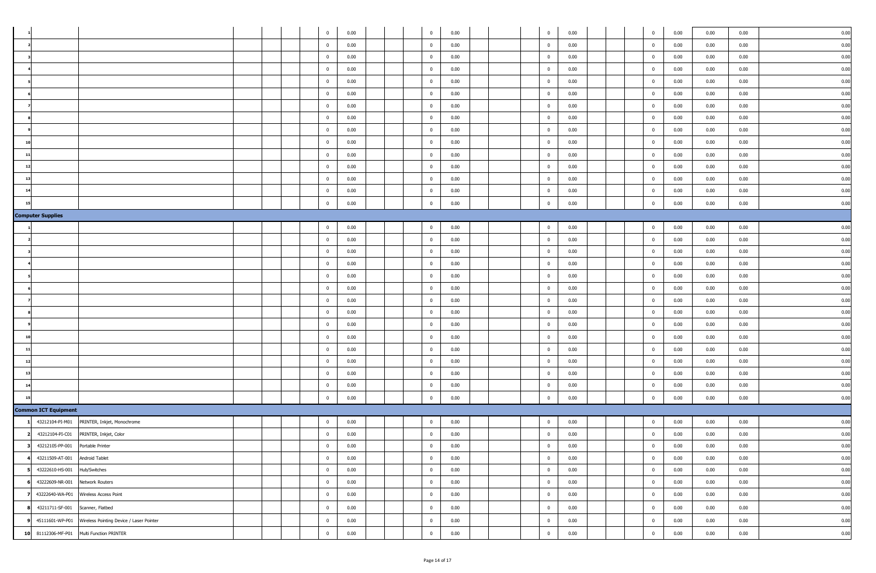|    |                                  |                                                          |  |  | $\mathbf{0}$            | 0.00 |  | $\bf{0}$       | 0.00 |  | $\overline{0}$ | 0.00 |  | $\overline{0}$ | 0.00 | 0.00 | 0.00 | 0.00 |
|----|----------------------------------|----------------------------------------------------------|--|--|-------------------------|------|--|----------------|------|--|----------------|------|--|----------------|------|------|------|------|
|    |                                  |                                                          |  |  | $\overline{0}$          | 0.00 |  | $\bf{0}$       | 0.00 |  | $\overline{0}$ | 0.00 |  | $\bf{0}$       | 0.00 | 0.00 | 0.00 | 0.00 |
|    |                                  |                                                          |  |  | $\mathbf{0}$            | 0.00 |  | $\bf{0}$       | 0.00 |  | $\overline{0}$ | 0.00 |  | $\overline{0}$ | 0.00 | 0.00 | 0.00 | 0.00 |
|    |                                  |                                                          |  |  | $\mathbf{0}$            | 0.00 |  | $\bf{0}$       | 0.00 |  | $\mathbf 0$    | 0.00 |  | $\bf{0}$       | 0.00 | 0.00 | 0.00 | 0.00 |
|    |                                  |                                                          |  |  | $\mathbf{0}$            | 0.00 |  | $\bf{0}$       | 0.00 |  | $\bf{0}$       | 0.00 |  | $\overline{0}$ | 0.00 | 0.00 | 0.00 | 0.00 |
|    |                                  |                                                          |  |  | $\mathbf{0}$            | 0.00 |  | $\bf{0}$       | 0.00 |  | $\bf{0}$       | 0.00 |  | $\bf{0}$       | 0.00 | 0.00 | 0.00 | 0.00 |
|    |                                  |                                                          |  |  | $\bf{0}$                | 0.00 |  | $\bf{0}$       | 0.00 |  | $\mathbf{0}$   | 0.00 |  | $\bf{0}$       | 0.00 | 0.00 | 0.00 | 0.00 |
|    |                                  |                                                          |  |  | $\mathbf{0}$            | 0.00 |  | $\bf{0}$       | 0.00 |  | $\bf{0}$       | 0.00 |  | $\bf{0}$       | 0.00 | 0.00 | 0.00 | 0.00 |
|    |                                  |                                                          |  |  | $\bf{0}$                | 0.00 |  | $\bf{0}$       | 0.00 |  | $\mathbf 0$    | 0.00 |  | $\mathbf{0}$   | 0.00 | 0.00 | 0.00 | 0.00 |
| 10 |                                  |                                                          |  |  | $\overline{\mathbf{0}}$ | 0.00 |  | $\bf{0}$       | 0.00 |  | $\overline{0}$ | 0.00 |  | $\bf{0}$       | 0.00 | 0.00 | 0.00 | 0.00 |
| 11 |                                  |                                                          |  |  | $\bf{0}$                | 0.00 |  | $\bf{0}$       | 0.00 |  | $\overline{0}$ | 0.00 |  | $\mathbf{0}$   | 0.00 | 0.00 | 0.00 | 0.00 |
| 12 |                                  |                                                          |  |  | $\bf{0}$                | 0.00 |  | $\bf{0}$       | 0.00 |  | $\bf{0}$       | 0.00 |  | $\bf{0}$       | 0.00 | 0.00 | 0.00 | 0.00 |
| 13 |                                  |                                                          |  |  | $\mathbf{0}$            | 0.00 |  | $\bf{0}$       | 0.00 |  | $\mathbf{0}$   | 0.00 |  | $\bf{0}$       | 0.00 | 0.00 | 0.00 | 0.00 |
| 14 |                                  |                                                          |  |  | $\bf{0}$                | 0.00 |  | $\bf{0}$       | 0.00 |  | $\bf{0}$       | 0.00 |  | $\bf{0}$       | 0.00 | 0.00 | 0.00 | 0.00 |
| 15 |                                  |                                                          |  |  | $\mathbf{0}$            | 0.00 |  | $\bf{0}$       | 0.00 |  | $\mathbf{0}$   | 0.00 |  | $\mathbf{0}$   | 0.00 | 0.00 | 0.00 | 0.00 |
|    | <b>Computer Supplies</b>         |                                                          |  |  |                         |      |  |                |      |  |                |      |  |                |      |      |      |      |
|    |                                  |                                                          |  |  | $\bf{0}$                | 0.00 |  | $\bf{0}$       | 0.00 |  | $\overline{0}$ | 0.00 |  | $\overline{0}$ | 0.00 | 0.00 | 0.00 | 0.00 |
|    |                                  |                                                          |  |  | $\bf{0}$                | 0.00 |  | $\bf{0}$       | 0.00 |  | $\overline{0}$ | 0.00 |  | $\bf{0}$       | 0.00 | 0.00 | 0.00 | 0.00 |
|    |                                  |                                                          |  |  | $\mathbf{0}$            | 0.00 |  | $\bf{0}$       | 0.00 |  | $\mathbf 0$    | 0.00 |  | $\bf{0}$       | 0.00 | 0.00 | 0.00 | 0.00 |
|    |                                  |                                                          |  |  | $\bf{0}$                | 0.00 |  | $\bf{0}$       | 0.00 |  | $\overline{0}$ | 0.00 |  | $\bf{0}$       | 0.00 | 0.00 | 0.00 | 0.00 |
|    |                                  |                                                          |  |  | $\mathbf{0}$            | 0.00 |  | $\bf{0}$       | 0.00 |  | $\mathbf 0$    | 0.00 |  | $\bf{0}$       | 0.00 | 0.00 | 0.00 | 0.00 |
|    |                                  |                                                          |  |  | $\mathbf{0}$            | 0.00 |  | $\bf{0}$       | 0.00 |  | $\overline{0}$ | 0.00 |  | $\overline{0}$ | 0.00 | 0.00 | 0.00 | 0.00 |
|    |                                  |                                                          |  |  | $\mathbf{0}$            | 0.00 |  | $\bf{0}$       | 0.00 |  | $\bf{0}$       | 0.00 |  | $\bf{0}$       | 0.00 | 0.00 | 0.00 | 0.00 |
|    |                                  |                                                          |  |  | $\mathbf{0}$            | 0.00 |  | $\bf{0}$       | 0.00 |  | $\mathbf 0$    | 0.00 |  | $\mathbf{0}$   | 0.00 | 0.00 | 0.00 | 0.00 |
|    |                                  |                                                          |  |  | $\mathbf{0}$            | 0.00 |  | $\bf{0}$       | 0.00 |  | $\mathbf{0}$   | 0.00 |  | $\bf{0}$       | 0.00 | 0.00 | 0.00 | 0.00 |
| 10 |                                  |                                                          |  |  | $\mathbf{0}$            | 0.00 |  | $\bf{0}$       | 0.00 |  | $\mathbf{0}$   | 0.00 |  | $\bf{0}$       | 0.00 | 0.00 | 0.00 | 0.00 |
| 11 |                                  |                                                          |  |  | $\mathbf{0}$            | 0.00 |  | $\bf{0}$       | 0.00 |  | $\overline{0}$ | 0.00 |  | $\bf{0}$       | 0.00 | 0.00 | 0.00 | 0.00 |
| 12 |                                  |                                                          |  |  | $\mathbf{0}$            | 0.00 |  | $\bf{0}$       | 0.00 |  | $\overline{0}$ | 0.00 |  | $\mathbf{0}$   | 0.00 | 0.00 | 0.00 | 0.00 |
| 13 |                                  |                                                          |  |  | $\bf{0}$                | 0.00 |  | $\bf{0}$       | 0.00 |  | $\bf{0}$       | 0.00 |  | $\bf{0}$       | 0.00 | 0.00 | 0.00 | 0.00 |
| 14 |                                  |                                                          |  |  | $\bf{0}$                | 0.00 |  | $\bf{0}$       | 0.00 |  | $\overline{0}$ | 0.00 |  | $\mathbf{0}$   | 0.00 | 0.00 | 0.00 | 0.00 |
| 15 |                                  |                                                          |  |  | $\mathbf{0}$            |      |  | $\overline{0}$ |      |  | $\mathbf 0$    | 0.00 |  | $\mathbf{0}$   | 0.00 |      | 0.00 | 0.00 |
|    |                                  |                                                          |  |  |                         | 0.00 |  |                | 0.00 |  |                |      |  |                |      | 0.00 |      |      |
|    | <b>Common ICT Equipment</b>      |                                                          |  |  |                         |      |  |                |      |  |                |      |  |                |      |      |      |      |
|    | 43212104-PI-M01                  | PRINTER, Inkjet, Monochrome                              |  |  | $\bf{0}$                | 0.00 |  | $\bf{0}$       | 0.00 |  | $\overline{0}$ | 0.00 |  | $\bf{0}$       | 0.00 | 0.00 | 0.00 | 0.00 |
|    | 43212104-PI-C01                  | PRINTER, Inkjet, Color                                   |  |  | $\overline{0}$          | 0.00 |  | $\bf{0}$       | 0.00 |  | $\mathbf 0$    | 0.00 |  | $\bf{0}$       | 0.00 | 0.00 | 0.00 | 0.00 |
| 3  | 43212105-PP-001                  | Portable Printer                                         |  |  | $\pmb{0}$               | 0.00 |  | $\bf{0}$       | 0.00 |  | $\mathbf{0}$   | 0.00 |  | $\overline{0}$ | 0.00 | 0.00 | 0.00 | 0.00 |
|    | 43211509-AT-001                  | Android Tablet                                           |  |  | $\mathbf{0}$            | 0.00 |  | $\mathbf 0$    | 0.00 |  | $\overline{0}$ | 0.00 |  | $\bf{0}$       | 0.00 | 0.00 | 0.00 | 0.00 |
|    | 43222610-HS-001                  | Hub/Switches                                             |  |  | $\mathbf 0$             | 0.00 |  | $\mathbf 0$    | 0.00 |  | $\mathbf 0$    | 0.00 |  | $\bf{0}$       | 0.00 | 0.00 | 0.00 | 0.00 |
| 6  | 43222609-NR-001 Network Routers  |                                                          |  |  | $\overline{0}$          | 0.00 |  | $\mathbf 0$    | 0.00 |  | $\overline{0}$ | 0.00 |  | $\bf{0}$       | 0.00 | 0.00 | 0.00 | 0.00 |
| 7  |                                  | 43222640-WA-P01 Wireless Access Point                    |  |  | $\mathbf 0$             | 0.00 |  | $\mathbf 0$    | 0.00 |  | $\overline{0}$ | 0.00 |  | $\mathbf{0}$   | 0.00 | 0.00 | 0.00 | 0.00 |
| 8  | 43211711-SF-001 Scanner, Flatbed |                                                          |  |  | $\overline{0}$          | 0.00 |  | $\bf{0}$       | 0.00 |  | $\bf{0}$       | 0.00 |  | $\bf{0}$       | 0.00 | 0.00 | 0.00 | 0.00 |
|    |                                  | 45111601-WP-P01 Wireless Pointing Device / Laser Pointer |  |  | $\mathbf 0$             | 0.00 |  | $\bf{0}$       | 0.00 |  | $\overline{0}$ | 0.00 |  | $\bf{0}$       | 0.00 | 0.00 | 0.00 | 0.00 |
|    |                                  | 10 81112306-MF-P01 Multi Function PRINTER                |  |  | $\mathbf 0$             | 0.00 |  | $\mathbf 0$    | 0.00 |  | $\overline{0}$ | 0.00 |  | $\bf{0}$       | 0.00 | 0.00 | 0.00 | 0.00 |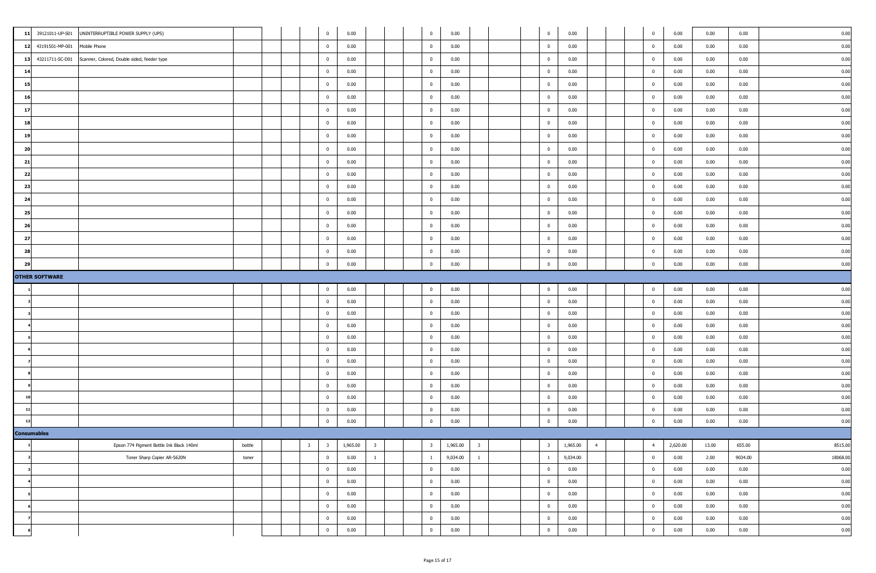| 39121011-UP-S01<br>11 | UNINTERRUPTIBLE POWER SUPPLY (UPS)          |               |  | $\mathbf{0}$            | 0.00     |                         | $\overline{0}$          | 0.00               |                |  | $\overline{0}$ | 0.00     |                | $\overline{0}$ | 0.00     | 0.00  | 0.00    | 0.00     |
|-----------------------|---------------------------------------------|---------------|--|-------------------------|----------|-------------------------|-------------------------|--------------------|----------------|--|----------------|----------|----------------|----------------|----------|-------|---------|----------|
| 12 43191501-MP-001    | Mobile Phone                                |               |  | $\mathbf{0}$            | 0.00     |                         | $\overline{0}$          | 0.00               |                |  | $\overline{0}$ | 0.00     |                | $\overline{0}$ | 0.00     | 0.00  | 0.00    | 0.00     |
| 43211711-SC-D01<br>13 | Scanner, Colored, Double sided, feeder type |               |  | $\overline{0}$          | 0.00     |                         | $\overline{\mathbf{0}}$ | 0.00               |                |  | $\overline{0}$ | 0.00     |                | $\mathbf 0$    | 0.00     | 0.00  | 0.00    | 0.00     |
| 14                    |                                             |               |  | $\mathbf{0}$            | 0.00     |                         | $\overline{0}$          | 0.00               |                |  | $\overline{0}$ | 0.00     |                | $\mathbf{0}$   | 0.00     | 0.00  | 0.00    | 0.00     |
| 15                    |                                             |               |  | $\mathbf{0}$            | 0.00     |                         | $\overline{0}$          | 0.00               |                |  | $\overline{0}$ | 0.00     |                | $\mathbf 0$    | 0.00     | 0.00  | 0.00    | 0.00     |
| 16                    |                                             |               |  | $\overline{0}$          | 0.00     |                         | $\overline{0}$          | 0.00               |                |  | $\overline{0}$ | 0.00     |                | $\bf{0}$       | 0.00     | 0.00  | 0.00    | 0.00     |
| 17                    |                                             |               |  | $\mathbf{0}$            | 0.00     |                         | $\overline{\mathbf{0}}$ | 0.00               |                |  | $\mathbf{0}$   | 0.00     |                | $\overline{0}$ | 0.00     | 0.00  | 0.00    | 0.00     |
| 18                    |                                             |               |  | $\mathbf{0}$            | 0.00     |                         | $\overline{0}$          | 0.00               |                |  | $\overline{0}$ | 0.00     |                | $\mathbf{0}$   | 0.00     | 0.00  | 0.00    | 0.00     |
| 19                    |                                             |               |  | $\mathbf{0}$            | 0.00     |                         | $\overline{0}$          | 0.00               |                |  | $\overline{0}$ | 0.00     |                | $\overline{0}$ | 0.00     | 0.00  | 0.00    | 0.00     |
| 20                    |                                             |               |  | $\overline{0}$          | 0.00     |                         | $\overline{0}$          | 0.00               |                |  | $\mathbf{0}$   | 0.00     |                | $^{\circ}$     | 0.00     | 0.00  | 0.00    | 0.00     |
| 21                    |                                             |               |  | $\overline{0}$          | 0.00     |                         | $\overline{0}$          | 0.00               |                |  | $\overline{0}$ | 0.00     |                | $\overline{0}$ | 0.00     | 0.00  | 0.00    | 0.00     |
| 22                    |                                             |               |  | $\overline{0}$          | 0.00     |                         | $\overline{0}$          | 0.00               |                |  | $\bf{0}$       | 0.00     |                | $\mathbf{0}$   | 0.00     | 0.00  | 0.00    | 0.00     |
| 23                    |                                             |               |  | $\mathbf{0}$            | 0.00     |                         | $\overline{0}$          | 0.00               |                |  | $\bf{0}$       | 0.00     |                | $\bf{0}$       | 0.00     | 0.00  | 0.00    | 0.00     |
| 24                    |                                             |               |  | $\overline{0}$          | 0.00     |                         | $\overline{0}$          | 0.00               |                |  | $\mathbf 0$    | 0.00     |                | $\mathbf{0}$   | 0.00     | 0.00  | 0.00    | 0.00     |
| 25                    |                                             |               |  | $\overline{0}$          | 0.00     |                         | $\overline{0}$          | 0.00               |                |  | $\mathbf{0}$   | 0.00     |                | $\mathbf{0}$   | 0.00     | 0.00  | 0.00    | 0.00     |
| 26                    |                                             |               |  | $\mathbf{0}$            | 0.00     |                         | $\overline{0}$          | 0.00               |                |  | $\overline{0}$ | 0.00     |                | $\overline{0}$ | 0.00     | 0.00  | 0.00    | 0.00     |
| 27                    |                                             |               |  | $\mathbf{0}$            | 0.00     |                         | $\overline{0}$          | 0.00               |                |  | $\overline{0}$ | 0.00     |                | $\bf{0}$       | 0.00     | 0.00  | 0.00    | 0.00     |
| 28                    |                                             |               |  | $\mathbf{0}$            | 0.00     |                         | $\overline{0}$          | 0.00               |                |  | $\overline{0}$ | 0.00     |                | $\overline{0}$ | 0.00     | 0.00  | 0.00    | 0.00     |
| 29                    |                                             |               |  | $\overline{\mathbf{0}}$ | 0.00     |                         | $\overline{0}$          | 0.00               |                |  | $\mathbf 0$    | 0.00     |                | $\Omega$       | 0.00     | 0.00  | 0.00    | 0.00     |
| <b>OTHER SOFTWARE</b> |                                             |               |  |                         |          |                         |                         |                    |                |  |                |          |                |                |          |       |         |          |
|                       |                                             |               |  | $\overline{0}$          | 0.00     |                         | $\overline{0}$          | 0.00               |                |  | $\overline{0}$ | 0.00     |                | $\overline{0}$ | 0.00     | 0.00  | 0.00    | 0.00     |
|                       |                                             |               |  | $\overline{0}$          | 0.00     |                         | $\overline{0}$          | 0.00               |                |  | $\overline{0}$ | 0.00     |                | $\overline{0}$ | 0.00     | 0.00  | 0.00    | 0.00     |
|                       |                                             |               |  | $\mathbf{0}$            | 0.00     |                         | $\overline{0}$          | 0.00               |                |  | $\overline{0}$ | 0.00     |                | $\mathbf{0}$   | 0.00     | 0.00  | 0.00    | 0.00     |
|                       |                                             |               |  | $\overline{\mathbf{0}}$ | 0.00     |                         | $\overline{0}$          | 0.00               |                |  | $\mathbf{0}$   | 0.00     |                | $\mathbf{0}$   | 0.00     | 0.00  | 0.00    | 0.00     |
|                       |                                             |               |  | $\overline{\mathbf{0}}$ | 0.00     |                         | $\overline{\mathbf{0}}$ | 0.00               |                |  | $\overline{0}$ | 0.00     |                | $\mathbf{0}$   | 0.00     | 0.00  | 0.00    | 0.00     |
|                       |                                             |               |  | $\overline{0}$          | 0.00     |                         | $\overline{0}$          | 0.00               |                |  | $\overline{0}$ | 0.00     |                | $\overline{0}$ | 0.00     | 0.00  | 0.00    | 0.00     |
|                       |                                             |               |  | $\overline{0}$          | 0.00     |                         | $\overline{0}$          | 0.00               |                |  | $\overline{0}$ | 0.00     |                | $\mathbf{0}$   | 0.00     | 0.00  | 0.00    | 0.00     |
|                       |                                             |               |  | $\mathbf{0}$            | 0.00     |                         | $\overline{0}$          | 0.00               |                |  | $\mathbf{0}$   | 0.00     |                | $\mathbf 0$    | 0.00     | 0.00  | 0.00    | 0.00     |
|                       |                                             |               |  | $\overline{0}$          | 0.00     |                         | $\overline{\mathbf{0}}$ | 0.00               |                |  | $\bf{0}$       | 0.00     |                | $\overline{0}$ | 0.00     | 0.00  | 0.00    | 0.00     |
|                       |                                             |               |  | $\mathbf{0}$            | 0.00     |                         | $\overline{0}$          | 0.00               |                |  | $\overline{0}$ | 0.00     |                | $\overline{0}$ | 0.00     | 0.00  | 0.00    | 0.00     |
|                       |                                             |               |  | $\overline{0}$          | 0.00     |                         | $\overline{0}$          | 0.00               |                |  | $\overline{0}$ | 0.00     |                | $\overline{0}$ | 0.00     | 0.00  | 0.00    | 0.00     |
|                       |                                             |               |  | $\overline{\mathbf{0}}$ | 0.00     |                         | $\overline{0}$          | 0.00               |                |  | $\mathbf 0$    | 0.00     |                | $\Omega$       | 0.00     | 0.00  | 0.00    | 0.00     |
| <b>Consumables</b>    |                                             |               |  |                         |          |                         |                         |                    |                |  |                |          |                |                |          |       |         |          |
|                       | Epson 774 Pigment Bottle Ink Black 140ml    | <b>DOLLIG</b> |  | $3 \qquad 3$            | 1,965.00 | $\overline{\mathbf{3}}$ |                         | $3 \t1,965.00 \t3$ |                |  | 3 <sup>1</sup> | 1,965.00 | $\overline{4}$ | $4 \quad$      | 2,620.00 | 13.00 | 655.00  | 8515.00  |
|                       | Toner Sharp Copier AR-5620N                 | toner         |  | $\overline{0}$          | 0.00     | $\mathbf{1}$            | $\mathbf{1}$            | 9,034.00           | $\overline{1}$ |  | $\overline{1}$ | 9,034.00 |                | $\mathbf 0$    | 0.00     | 2.00  | 9034.00 | 18068.00 |
|                       |                                             |               |  | $\bf{0}$                | 0.00     |                         | $\overline{\mathbf{0}}$ | 0.00               |                |  | $\overline{0}$ | 0.00     |                | $\bf{0}$       | 0.00     | 0.00  | 0.00    | 0.00     |
|                       |                                             |               |  | $\bf{0}$                | 0.00     |                         | $\bf{0}$                | 0.00               |                |  | $\overline{0}$ | 0.00     |                | $\bf{0}$       | 0.00     | 0.00  | 0.00    | 0.00     |
|                       |                                             |               |  | $\bf{0}$                | 0.00     |                         | $\bf{0}$                | 0.00               |                |  | $\overline{0}$ | 0.00     |                | $\mathbf{0}$   | 0.00     | 0.00  | 0.00    | 0.00     |
|                       |                                             |               |  | $\bf{0}$                | 0.00     |                         | $\bf{0}$                | 0.00               |                |  | $\bf{0}$       | 0.00     |                | $\bf{0}$       | 0.00     | 0.00  | 0.00    | 0.00     |
|                       |                                             |               |  | $\overline{0}$          | 0.00     |                         | $\bf{0}$                | 0.00               |                |  | $\overline{0}$ | 0.00     |                | $\mathbf{0}$   | 0.00     | 0.00  | 0.00    | 0.00     |
|                       |                                             |               |  | $\overline{0}$          | 0.00     |                         | $\overline{\mathbf{0}}$ | 0.00               |                |  | $\mathbf 0$    | 0.00     |                | $\mathbf{0}$   | 0.00     | 0.00  | 0.00    | 0.00     |